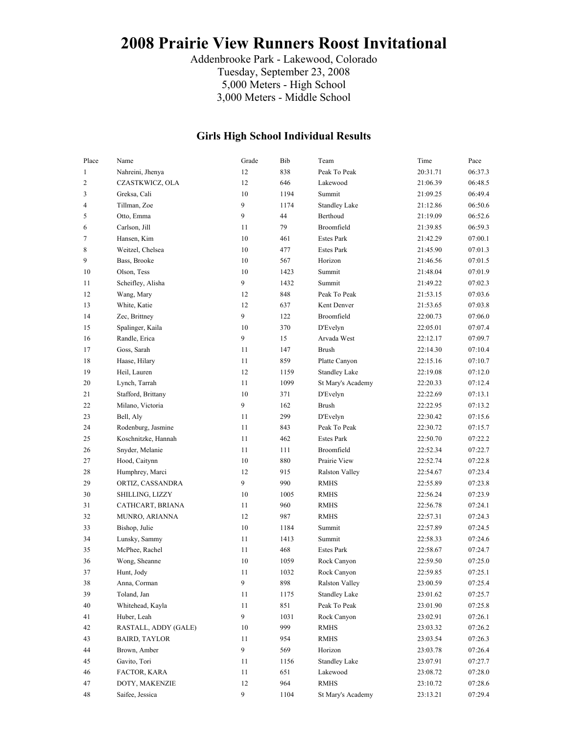# **2008 Prairie View Runners Roost Invitational**

Addenbrooke Park - Lakewood, Colorado Tuesday, September 23, 2008 5,000 Meters - High School 3,000 Meters - Middle School

#### **Girls High School Individual Results**

| Place          | Name                 | Grade          | Bib  | Team                  | Time     | Pace    |
|----------------|----------------------|----------------|------|-----------------------|----------|---------|
| $\mathbf{1}$   | Nahreini, Jhenya     | 12             | 838  | Peak To Peak          | 20:31.71 | 06:37.3 |
| $\sqrt{2}$     | CZASTKWICZ, OLA      | 12             | 646  | Lakewood              | 21:06.39 | 06:48.5 |
| 3              | Greksa, Cali         | 10             | 1194 | Summit                | 21:09.25 | 06:49.4 |
| $\overline{4}$ | Tillman, Zoe         | 9              | 1174 | <b>Standley Lake</b>  | 21:12.86 | 06:50.6 |
| 5              | Otto, Emma           | 9              | 44   | Berthoud              | 21:19.09 | 06:52.6 |
| 6              | Carlson, Jill        | 11             | 79   | Broomfield            | 21:39.85 | 06:59.3 |
| $\tau$         | Hansen, Kim          | 10             | 461  | <b>Estes Park</b>     | 21:42.29 | 07:00.1 |
| 8              | Weitzel, Chelsea     | 10             | 477  | <b>Estes Park</b>     | 21:45.90 | 07:01.3 |
| 9              | Bass, Brooke         | 10             | 567  | Horizon               | 21:46.56 | 07:01.5 |
| 10             | Olson, Tess          | 10             | 1423 | Summit                | 21:48.04 | 07:01.9 |
| 11             | Scheifley, Alisha    | 9              | 1432 | Summit                | 21:49.22 | 07:02.3 |
| 12             | Wang, Mary           | 12             | 848  | Peak To Peak          | 21:53.15 | 07:03.6 |
| 13             | White, Katie         | 12             | 637  | Kent Denver           | 21:53.65 | 07:03.8 |
| 14             | Zec, Brittney        | 9              | 122  | Broomfield            | 22:00.73 | 07:06.0 |
| 15             | Spalinger, Kaila     | 10             | 370  | D'Evelyn              | 22:05.01 | 07:07.4 |
| 16             | Randle, Erica        | 9              | 15   | Arvada West           | 22:12.17 | 07:09.7 |
| 17             | Goss, Sarah          | 11             | 147  | <b>Brush</b>          | 22:14.30 | 07:10.4 |
| 18             | Haase, Hilary        | 11             | 859  | Platte Canyon         | 22:15.16 | 07:10.7 |
| 19             | Heil, Lauren         | 12             | 1159 | <b>Standley Lake</b>  | 22:19.08 | 07:12.0 |
| 20             | Lynch, Tarrah        | 11             | 1099 | St Mary's Academy     | 22:20.33 | 07:12.4 |
| 21             | Stafford, Brittany   | 10             | 371  | D'Evelyn              | 22:22.69 | 07:13.1 |
| 22             | Milano, Victoria     | 9              | 162  | <b>Brush</b>          | 22:22.95 | 07:13.2 |
| 23             | Bell, Aly            | 11             | 299  | D'Evelyn              | 22:30.42 | 07:15.6 |
| 24             | Rodenburg, Jasmine   | 11             | 843  | Peak To Peak          | 22:30.72 | 07:15.7 |
| 25             | Koschnitzke, Hannah  | 11             | 462  | <b>Estes Park</b>     | 22:50.70 | 07:22.2 |
| 26             | Snyder, Melanie      | 11             | 111  | Broomfield            | 22:52.34 | 07:22.7 |
| 27             | Hood, Caitynn        | 10             | 880  | Prairie View          | 22:52.74 | 07:22.8 |
| 28             | Humphrey, Marci      | 12             | 915  | <b>Ralston Valley</b> | 22:54.67 | 07:23.4 |
| 29             | ORTIZ, CASSANDRA     | 9              | 990  | <b>RMHS</b>           | 22:55.89 | 07:23.8 |
| 30             | SHILLING, LIZZY      | 10             | 1005 | <b>RMHS</b>           | 22:56.24 | 07:23.9 |
| 31             | CATHCART, BRIANA     | 11             | 960  | <b>RMHS</b>           | 22:56.78 | 07:24.1 |
| 32             | MUNRO, ARIANNA       | 12             | 987  | <b>RMHS</b>           | 22:57.31 | 07:24.3 |
| 33             | Bishop, Julie        | 10             | 1184 | Summit                | 22:57.89 | 07:24.5 |
| 34             | Lunsky, Sammy        | 11             | 1413 | Summit                | 22:58.33 | 07:24.6 |
| 35             | McPhee, Rachel       | 11             | 468  | <b>Estes Park</b>     | 22:58.67 | 07:24.7 |
| 36             | Wong, Sheanne        | 10             | 1059 | Rock Canyon           | 22:59.50 | 07:25.0 |
| 37             | Hunt, Jody           | 11             | 1032 | Rock Canyon           | 22:59.85 | 07:25.1 |
| 38             | Anna, Corman         | 9              | 898  | <b>Ralston Valley</b> | 23:00.59 | 07:25.4 |
| 39             | Toland, Jan          | 11             | 1175 | <b>Standley Lake</b>  | 23:01.62 | 07:25.7 |
| 40             | Whitehead, Kayla     | 11             | 851  | Peak To Peak          | 23:01.90 | 07:25.8 |
| 41             | Huber, Leah          | $\overline{9}$ | 1031 | Rock Canyon           | 23:02.91 | 07:26.1 |
| 42             | RASTALL, ADDY (GALE) | 10             | 999  | <b>RMHS</b>           | 23:03.32 | 07:26.2 |
| 43             | BAIRD, TAYLOR        | 11             | 954  | <b>RMHS</b>           | 23:03.54 | 07:26.3 |
| 44             | Brown, Amber         | $\overline{9}$ | 569  | Horizon               | 23:03.78 | 07:26.4 |
| 45             | Gavito, Tori         | 11             | 1156 | <b>Standley Lake</b>  | 23:07.91 | 07:27.7 |
| 46             | FACTOR, KARA         | 11             | 651  | Lakewood              | 23:08.72 | 07:28.0 |
| 47             | DOTY, MAKENZIE       | 12             | 964  | <b>RMHS</b>           | 23:10.72 | 07:28.6 |
| 48             | Saifee, Jessica      | 9              | 1104 | St Mary's Academy     | 23:13.21 | 07:29.4 |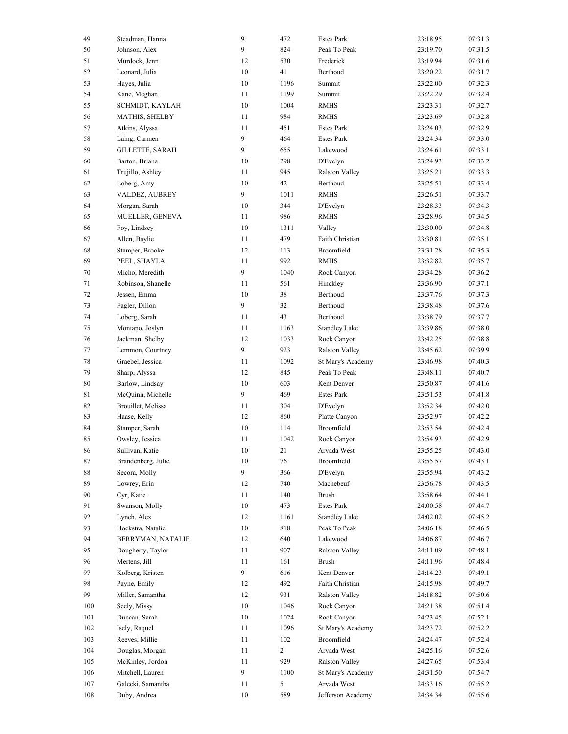| 49     | Steadman, Hanna    | $\overline{9}$ | 472            | <b>Estes Park</b>     | 23:18.95 | 07:31.3 |
|--------|--------------------|----------------|----------------|-----------------------|----------|---------|
| 50     | Johnson, Alex      | 9              | 824            | Peak To Peak          | 23:19.70 | 07:31.5 |
| 51     | Murdock, Jenn      | 12             | 530            | Frederick             | 23:19.94 | 07:31.6 |
| 52     | Leonard, Julia     | $10\,$         | 41             | Berthoud              | 23:20.22 | 07:31.7 |
| 53     | Hayes, Julia       | $10\,$         | 1196           | Summit                | 23:22.00 | 07:32.3 |
| 54     | Kane, Meghan       | 11             | 1199           | Summit                | 23:22.29 | 07:32.4 |
| 55     | SCHMIDT, KAYLAH    | $10\,$         | 1004           | <b>RMHS</b>           | 23:23.31 | 07:32.7 |
| 56     | MATHIS, SHELBY     | 11             | 984            | <b>RMHS</b>           | 23:23.69 | 07:32.8 |
| 57     | Atkins, Alyssa     | 11             | 451            | <b>Estes Park</b>     | 23:24.03 | 07:32.9 |
| 58     | Laing, Carmen      | 9              | 464            | <b>Estes Park</b>     | 23:24.34 | 07:33.0 |
| 59     | GILLETTE, SARAH    | 9              | 655            | Lakewood              | 23:24.61 | 07:33.1 |
| 60     | Barton, Briana     | 10             | 298            | D'Evelyn              | 23:24.93 | 07:33.2 |
| 61     | Trujillo, Ashley   | 11             | 945            | <b>Ralston Valley</b> | 23:25.21 | 07:33.3 |
| 62     | Loberg, Amy        | 10             | 42             | Berthoud              | 23:25.51 | 07:33.4 |
| 63     | VALDEZ, AUBREY     | 9              | 1011           | <b>RMHS</b>           | 23:26.51 | 07:33.7 |
| 64     | Morgan, Sarah      | 10             | 344            | D'Evelyn              | 23:28.33 | 07:34.3 |
|        |                    |                | 986            | <b>RMHS</b>           |          |         |
| 65     | MUELLER, GENEVA    | 11             |                |                       | 23:28.96 | 07:34.5 |
| 66     | Foy, Lindsey       | $10\,$         | 1311           | Valley                | 23:30.00 | 07:34.8 |
| 67     | Allen, Baylie      | 11             | 479            | Faith Christian       | 23:30.81 | 07:35.1 |
| 68     | Stamper, Brooke    | 12             | 113            | Broomfield            | 23:31.28 | 07:35.3 |
| 69     | PEEL, SHAYLA       | 11             | 992            | <b>RMHS</b>           | 23:32.82 | 07:35.7 |
| 70     | Micho, Meredith    | 9              | 1040           | Rock Canyon           | 23:34.28 | 07:36.2 |
| 71     | Robinson, Shanelle | 11             | 561            | Hinckley              | 23:36.90 | 07:37.1 |
| 72     | Jessen, Emma       | 10             | 38             | Berthoud              | 23:37.76 | 07:37.3 |
| 73     | Fagler, Dillon     | 9              | 32             | Berthoud              | 23:38.48 | 07:37.6 |
| 74     | Loberg, Sarah      | 11             | 43             | Berthoud              | 23:38.79 | 07:37.7 |
| 75     | Montano, Joslyn    | 11             | 1163           | <b>Standley Lake</b>  | 23:39.86 | 07:38.0 |
| 76     | Jackman, Shelby    | 12             | 1033           | Rock Canyon           | 23:42.25 | 07:38.8 |
| 77     | Lemmon, Courtney   | 9              | 923            | <b>Ralston Valley</b> | 23:45.62 | 07:39.9 |
| $78\,$ | Graebel, Jessica   | 11             | 1092           | St Mary's Academy     | 23:46.98 | 07:40.3 |
| 79     | Sharp, Alyssa      | 12             | 845            | Peak To Peak          | 23:48.11 | 07:40.7 |
| $80\,$ | Barlow, Lindsay    | 10             | 603            | Kent Denver           | 23:50.87 | 07:41.6 |
| 81     | McQuinn, Michelle  | 9              | 469            | <b>Estes Park</b>     | 23:51.53 | 07:41.8 |
| 82     | Brouillet, Melissa | 11             | 304            | D'Evelyn              | 23:52.34 | 07:42.0 |
| 83     | Haase, Kelly       | 12             | 860            | Platte Canyon         | 23:52.97 | 07:42.2 |
| 84     | Stamper, Sarah     | $10\,$         | 114            | Broomfield            | 23:53.54 | 07:42.4 |
| 85     | Owsley, Jessica    | 11             | 1042           | Rock Canyon           | 23:54.93 | 07:42.9 |
| 86     | Sullivan, Katie    | $10\,$         | 21             | Arvada West           | 23:55.25 | 07:43.0 |
| 87     | Brandenberg, Julie | 10             | 76             | Broomfield            | 23:55.57 | 07:43.1 |
| 88     | Secora, Molly      | 9              | 366            | D'Evelyn              | 23:55.94 | 07:43.2 |
| 89     | Lowrey, Erin       | 12             | 740            | Machebeuf             | 23:56.78 | 07:43.5 |
| 90     | Cyr, Katie         | 11             | 140            | <b>Brush</b>          | 23:58.64 | 07:44.1 |
| 91     | Swanson, Molly     | 10             | 473            | <b>Estes Park</b>     | 24:00.58 | 07:44.7 |
| 92     | Lynch, Alex        | 12             | 1161           | <b>Standley Lake</b>  | 24:02.02 | 07:45.2 |
| 93     | Hoekstra, Natalie  | 10             | 818            | Peak To Peak          | 24:06.18 | 07:46.5 |
| 94     |                    |                |                | Lakewood              |          |         |
|        | BERRYMAN, NATALIE  | 12             | 640            |                       | 24:06.87 | 07:46.7 |
| 95     | Dougherty, Taylor  | 11             | 907            | <b>Ralston Valley</b> | 24:11.09 | 07:48.1 |
| 96     | Mertens, Jill      | 11             | 161            | <b>Brush</b>          | 24:11.96 | 07:48.4 |
| 97     | Kolberg, Kristen   | 9              | 616            | Kent Denver           | 24:14.23 | 07:49.1 |
| 98     | Payne, Emily       | 12             | 492            | Faith Christian       | 24:15.98 | 07:49.7 |
| 99     | Miller, Samantha   | 12             | 931            | Ralston Valley        | 24:18.82 | 07:50.6 |
| 100    | Seely, Missy       | 10             | 1046           | Rock Canyon           | 24:21.38 | 07:51.4 |
| 101    | Duncan, Sarah      | 10             | 1024           | Rock Canyon           | 24:23.45 | 07:52.1 |
| 102    | Isely, Raquel      | 11             | 1096           | St Mary's Academy     | 24:23.72 | 07:52.2 |
| 103    | Reeves, Millie     | 11             | 102            | Broomfield            | 24:24.47 | 07:52.4 |
| 104    | Douglas, Morgan    | 11             | $\overline{2}$ | Arvada West           | 24:25.16 | 07:52.6 |
| 105    | McKinley, Jordon   | 11             | 929            | Ralston Valley        | 24:27.65 | 07:53.4 |
| 106    | Mitchell, Lauren   | 9              | 1100           | St Mary's Academy     | 24:31.50 | 07:54.7 |
| 107    | Galecki, Samantha  | 11             | 5              | Arvada West           | 24:33.16 | 07:55.2 |
| 108    | Duby, Andrea       | $10\,$         | 589            | Jefferson Academy     | 24:34.34 | 07:55.6 |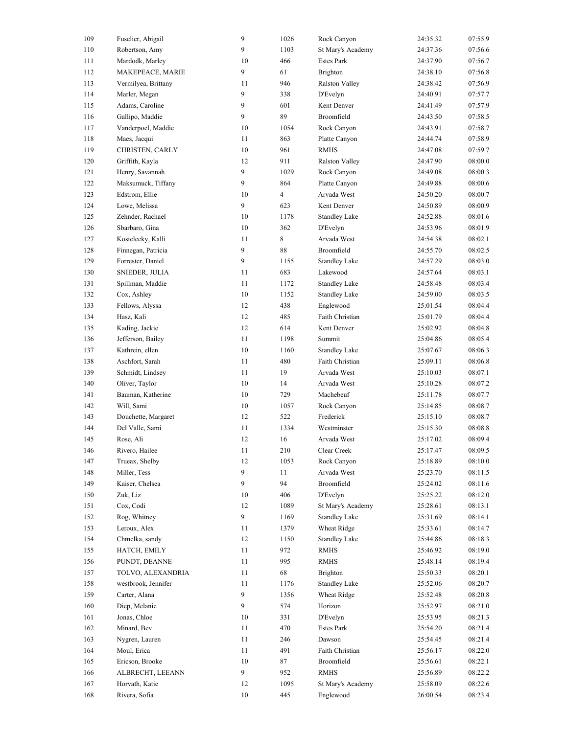| 109 | Fuselier, Abigail   | $\overline{9}$ | 1026                     | Rock Canyon           | 24:35.32 | 07:55.9 |
|-----|---------------------|----------------|--------------------------|-----------------------|----------|---------|
| 110 | Robertson, Amy      | 9              | 1103                     | St Mary's Academy     | 24:37.36 | 07:56.6 |
| 111 | Mardodk, Marley     | 10             | 466                      | <b>Estes Park</b>     | 24:37.90 | 07:56.7 |
| 112 | MAKEPEACE, MARIE    | 9              | 61                       | <b>Brighton</b>       | 24:38.10 | 07:56.8 |
| 113 | Vermilyea, Brittany | 11             | 946                      | <b>Ralston Valley</b> | 24:38.42 | 07:56.9 |
| 114 | Marler, Megan       | 9              | 338                      | <b>D'Evelyn</b>       | 24:40.91 | 07:57.7 |
| 115 | Adams, Caroline     | 9              | 601                      | Kent Denver           | 24:41.49 | 07:57.9 |
| 116 | Gallipo, Maddie     | 9              | 89                       | Broomfield            | 24:43.50 | 07:58.5 |
| 117 | Vanderpoel, Maddie  | 10             | 1054                     | Rock Canyon           | 24:43.91 | 07:58.7 |
| 118 | Maes, Jacqui        | 11             | 863                      | Platte Canyon         | 24:44.74 | 07:58.9 |
| 119 | CHRISTEN, CARLY     | 10             | 961                      | <b>RMHS</b>           | 24:47.08 | 07:59.7 |
| 120 | Griffith, Kayla     | 12             | 911                      | <b>Ralston Valley</b> | 24:47.90 | 08:00.0 |
| 121 | Henry, Savannah     | 9              | 1029                     | Rock Canyon           | 24:49.08 | 08:00.3 |
| 122 | Maksumuck, Tiffany  | 9              | 864                      | Platte Canyon         | 24:49.88 | 08:00.6 |
| 123 | Edstrom, Ellie      | 10             | $\overline{\mathcal{A}}$ | Arvada West           | 24:50.20 | 08:00.7 |
| 124 | Lowe, Melissa       | 9              | 623                      | Kent Denver           | 24:50.89 | 08:00.9 |
| 125 | Zehnder, Rachael    | 10             | 1178                     | <b>Standley Lake</b>  | 24:52.88 | 08:01.6 |
| 126 | Sbarbaro, Gina      | 10             | 362                      | <b>D'Evelyn</b>       | 24:53.96 | 08:01.9 |
|     |                     |                |                          |                       |          |         |
| 127 | Kostelecky, Kalli   | 11             | 8                        | Arvada West           | 24:54.38 | 08:02.1 |
| 128 | Finnegan, Patricia  | 9              | $8\,$                    | Broomfield            | 24:55.70 | 08:02.5 |
| 129 | Forrester, Daniel   | 9              | 1155                     | <b>Standley Lake</b>  | 24:57.29 | 08:03.0 |
| 130 | SNIEDER, JULIA      | 11             | 683                      | Lakewood              | 24:57.64 | 08:03.1 |
| 131 | Spillman, Maddie    | 11             | 1172                     | <b>Standley Lake</b>  | 24:58.48 | 08:03.4 |
| 132 | Cox, Ashley         | 10             | 1152                     | <b>Standley Lake</b>  | 24:59.00 | 08:03.5 |
| 133 | Fellows, Alyssa     | 12             | 438                      | Englewood             | 25:01.54 | 08:04.4 |
| 134 | Hasz, Kali          | 12             | 485                      | Faith Christian       | 25:01.79 | 08:04.4 |
| 135 | Kading, Jackie      | 12             | 614                      | Kent Denver           | 25:02.92 | 08:04.8 |
| 136 | Jefferson, Bailey   | 11             | 1198                     | Summit                | 25:04.86 | 08:05.4 |
| 137 | Kathrein, ellen     | 10             | 1160                     | <b>Standley Lake</b>  | 25:07.67 | 08:06.3 |
| 138 | Aschfort, Sarah     | 11             | 480                      | Faith Christian       | 25:09.11 | 08:06.8 |
| 139 | Schmidt, Lindsey    | 11             | 19                       | Arvada West           | 25:10.03 | 08:07.1 |
| 140 | Oliver, Taylor      | 10             | 14                       | Arvada West           | 25:10.28 | 08:07.2 |
| 141 | Bauman, Katherine   | 10             | 729                      | Machebeuf             | 25:11.78 | 08:07.7 |
| 142 | Will, Sami          | 10             | 1057                     | Rock Canyon           | 25:14.85 | 08:08.7 |
| 143 | Douchette, Margaret | 12             | 522                      | Frederick             | 25:15.10 | 08:08.7 |
| 144 | Del Valle, Sami     | 11             | 1334                     | Westminster           | 25:15.30 | 08:08.8 |
| 145 | Rose, Ali           | 12             | 16                       | Arvada West           | 25:17.02 | 08:09.4 |
| 146 | Rivero, Hailee      | 11             | 210                      | Clear Creek           | 25:17.47 | 08:09.5 |
| 147 | Trueax, Shelby      | 12             | 1053                     | Rock Canyon           | 25:18.89 | 08:10.0 |
| 148 | Miller, Tess        | 9              | 11                       | Arvada West           | 25:23.70 | 08:11.5 |
| 149 | Kaiser, Chelsea     | 9              | 94                       | Broomfield            | 25:24.02 | 08:11.6 |
| 150 | Zuk, Liz            | 10             | 406                      | D'Evelyn              | 25:25.22 | 08:12.0 |
| 151 | Cox, Codi           | 12             | 1089                     | St Mary's Academy     | 25:28.61 | 08:13.1 |
| 152 | Rog, Whitney        | 9              | 1169                     | <b>Standley Lake</b>  | 25:31.69 | 08:14.1 |
| 153 | Leroux, Alex        | 11             | 1379                     | Wheat Ridge           | 25:33.61 | 08:14.7 |
| 154 | Chmelka, sandy      | 12             |                          | <b>Standley Lake</b>  | 25:44.86 | 08:18.3 |
|     |                     |                | 1150                     |                       |          |         |
| 155 | HATCH, EMILY        | 11             | 972                      | <b>RMHS</b>           | 25:46.92 | 08:19.0 |
| 156 | PUNDT, DEANNE       | 11             | 995                      | <b>RMHS</b>           | 25:48.14 | 08:19.4 |
| 157 | TOLVO, ALEXANDRIA   | 11             | 68                       | <b>Brighton</b>       | 25:50.33 | 08:20.1 |
| 158 | westbrook, Jennifer | 11             | 1176                     | <b>Standley Lake</b>  | 25:52.06 | 08:20.7 |
| 159 | Carter, Alana       | 9              | 1356                     | Wheat Ridge           | 25:52.48 | 08:20.8 |
| 160 | Diep, Melanie       | 9              | 574                      | Horizon               | 25:52.97 | 08:21.0 |
| 161 | Jonas, Chloe        | 10             | 331                      | D'Evelyn              | 25:53.95 | 08:21.3 |
| 162 | Minard, Bev         | 11             | 470                      | <b>Estes Park</b>     | 25:54.20 | 08:21.4 |
| 163 | Nygren, Lauren      | 11             | 246                      | Dawson                | 25:54.45 | 08:21.4 |
| 164 | Moul, Erica         | 11             | 491                      | Faith Christian       | 25:56.17 | 08:22.0 |
| 165 | Ericson, Brooke     | 10             | 87                       | Broomfield            | 25:56.61 | 08:22.1 |
| 166 | ALBRECHT, LEEANN    | 9              | 952                      | <b>RMHS</b>           | 25:56.89 | 08:22.2 |
| 167 | Horvath, Katie      | 12             | 1095                     | St Mary's Academy     | 25:58.09 | 08:22.6 |
| 168 | Rivera, Sofia       | 10             | 445                      | Englewood             | 26:00.54 | 08:23.4 |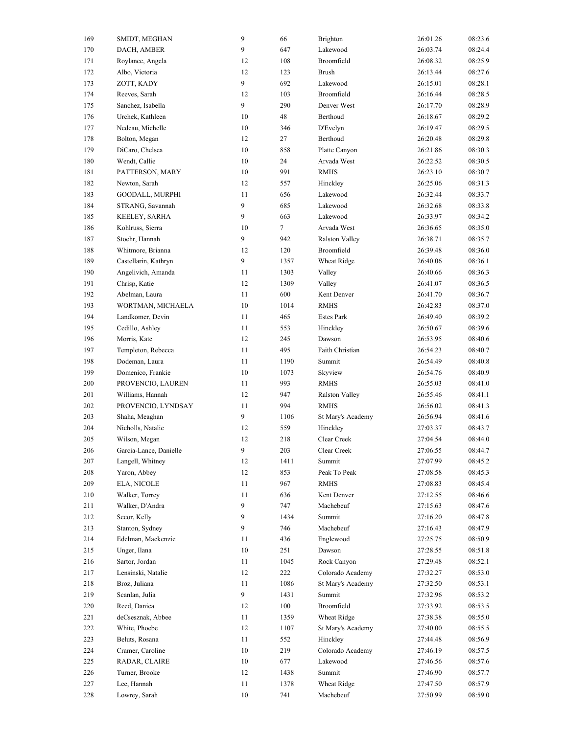| 169 | SMIDT, MEGHAN          | 9  | 66   | Brighton              | 26:01.26 | 08:23.6 |
|-----|------------------------|----|------|-----------------------|----------|---------|
| 170 | DACH, AMBER            | 9  | 647  | Lakewood              | 26:03.74 | 08:24.4 |
| 171 | Roylance, Angela       | 12 | 108  | Broomfield            | 26:08.32 | 08:25.9 |
| 172 | Albo, Victoria         | 12 | 123  | <b>Brush</b>          | 26:13.44 | 08:27.6 |
| 173 | ZOTT, KADY             | 9  | 692  | Lakewood              | 26:15.01 | 08:28.1 |
| 174 | Reeves, Sarah          | 12 | 103  | Broomfield            | 26:16.44 | 08:28.5 |
| 175 | Sanchez, Isabella      | 9  | 290  | Denver West           | 26:17.70 | 08:28.9 |
| 176 | Urchek, Kathleen       | 10 | 48   | Berthoud              | 26:18.67 | 08:29.2 |
| 177 | Nedeau, Michelle       | 10 | 346  | D'Evelyn              | 26:19.47 | 08:29.5 |
| 178 | Bolton, Megan          | 12 | 27   | Berthoud              | 26:20.48 | 08:29.8 |
| 179 | DiCaro, Chelsea        | 10 | 858  | Platte Canyon         | 26:21.86 | 08:30.3 |
| 180 | Wendt, Callie          | 10 | 24   | Arvada West           | 26:22.52 | 08:30.5 |
| 181 | PATTERSON, MARY        | 10 | 991  | <b>RMHS</b>           | 26:23.10 | 08:30.7 |
| 182 | Newton, Sarah          | 12 | 557  | Hinckley              | 26:25.06 | 08:31.3 |
| 183 | <b>GOODALL, MURPHI</b> | 11 | 656  | Lakewood              | 26:32.44 | 08:33.7 |
| 184 | STRANG, Savannah       | 9  | 685  | Lakewood              | 26:32.68 | 08:33.8 |
| 185 | KEELEY, SARHA          | 9  | 663  | Lakewood              | 26:33.97 | 08:34.2 |
| 186 | Kohlruss, Sierra       | 10 | 7    | Arvada West           |          | 08:35.0 |
|     |                        |    |      |                       | 26:36.65 |         |
| 187 | Stoehr, Hannah         | 9  | 942  | <b>Ralston Valley</b> | 26:38.71 | 08:35.7 |
| 188 | Whitmore, Brianna      | 12 | 120  | Broomfield            | 26:39.48 | 08:36.0 |
| 189 | Castellarin, Kathryn   | 9  | 1357 | Wheat Ridge           | 26:40.06 | 08:36.1 |
| 190 | Angelivich, Amanda     | 11 | 1303 | Valley                | 26:40.66 | 08:36.3 |
| 191 | Chrisp, Katie          | 12 | 1309 | Valley                | 26:41.07 | 08:36.5 |
| 192 | Abelman, Laura         | 11 | 600  | Kent Denver           | 26:41.70 | 08:36.7 |
| 193 | WORTMAN, MICHAELA      | 10 | 1014 | <b>RMHS</b>           | 26:42.83 | 08:37.0 |
| 194 | Landkomer, Devin       | 11 | 465  | <b>Estes Park</b>     | 26:49.40 | 08:39.2 |
| 195 | Cedillo, Ashley        | 11 | 553  | Hinckley              | 26:50.67 | 08:39.6 |
| 196 | Morris, Kate           | 12 | 245  | Dawson                | 26:53.95 | 08:40.6 |
| 197 | Templeton, Rebecca     | 11 | 495  | Faith Christian       | 26:54.23 | 08:40.7 |
| 198 | Dodeman, Laura         | 11 | 1190 | Summit                | 26:54.49 | 08:40.8 |
| 199 | Domenico, Frankie      | 10 | 1073 | Skyview               | 26:54.76 | 08:40.9 |
| 200 | PROVENCIO, LAUREN      | 11 | 993  | <b>RMHS</b>           | 26:55.03 | 08:41.0 |
| 201 | Williams, Hannah       | 12 | 947  | Ralston Valley        | 26:55.46 | 08:41.1 |
| 202 | PROVENCIO, LYNDSAY     | 11 | 994  | <b>RMHS</b>           | 26:56.02 | 08:41.3 |
| 203 | Shaha, Meaghan         | 9  | 1106 | St Mary's Academy     | 26:56.94 | 08:41.6 |
| 204 | Nicholls, Natalie      | 12 | 559  | Hinckley              | 27:03.37 | 08:43.7 |
| 205 | Wilson, Megan          | 12 | 218  | Clear Creek           | 27:04.54 | 08:44.0 |
| 206 | Garcia-Lance, Danielle | 9  | 203  | Clear Creek           | 27:06.55 | 08:44.7 |
| 207 | Langell, Whitney       | 12 | 1411 | Summit                | 27:07.99 | 08:45.2 |
| 208 | Yaron, Abbey           | 12 | 853  | Peak To Peak          | 27:08.58 | 08:45.3 |
| 209 | ELA, NICOLE            | 11 | 967  | <b>RMHS</b>           | 27:08.83 | 08:45.4 |
| 210 | Walker, Torrey         | 11 | 636  | Kent Denver           | 27:12.55 | 08:46.6 |
| 211 | Walker, D'Andra        | 9  | 747  | Machebeuf             | 27:15.63 | 08:47.6 |
| 212 | Secor, Kelly           | 9  | 1434 | Summit                | 27:16.20 | 08:47.8 |
| 213 | Stanton, Sydney        | 9  | 746  | Machebeuf             | 27:16.43 | 08:47.9 |
| 214 | Edelman, Mackenzie     | 11 | 436  | Englewood             | 27:25.75 | 08:50.9 |
| 215 | Unger, Ilana           | 10 | 251  | Dawson                | 27:28.55 | 08:51.8 |
|     | Sartor, Jordan         | 11 |      | Rock Canyon           |          |         |
| 216 |                        |    | 1045 |                       | 27:29.48 | 08:52.1 |
| 217 | Lensinski, Natalie     | 12 | 222  | Colorado Academy      | 27:32.27 | 08:53.0 |
| 218 | Broz, Juliana          | 11 | 1086 | St Mary's Academy     | 27:32.50 | 08:53.1 |
| 219 | Scanlan, Julia         | 9  | 1431 | Summit                | 27:32.96 | 08:53.2 |
| 220 | Reed, Danica           | 12 | 100  | Broomfield            | 27:33.92 | 08:53.5 |
| 221 | deCsesznak, Abbee      | 11 | 1359 | Wheat Ridge           | 27:38.38 | 08:55.0 |
| 222 | White, Phoebe          | 12 | 1107 | St Mary's Academy     | 27:40.00 | 08:55.5 |
| 223 | Beluts, Rosana         | 11 | 552  | Hinckley              | 27:44.48 | 08:56.9 |
| 224 | Cramer, Caroline       | 10 | 219  | Colorado Academy      | 27:46.19 | 08:57.5 |
| 225 | RADAR, CLAIRE          | 10 | 677  | Lakewood              | 27:46.56 | 08:57.6 |
| 226 | Turner, Brooke         | 12 | 1438 | Summit                | 27:46.90 | 08:57.7 |
| 227 | Lee, Hannah            | 11 | 1378 | Wheat Ridge           | 27:47.50 | 08:57.9 |
| 228 | Lowrey, Sarah          | 10 | 741  | Machebeuf             | 27:50.99 | 08:59.0 |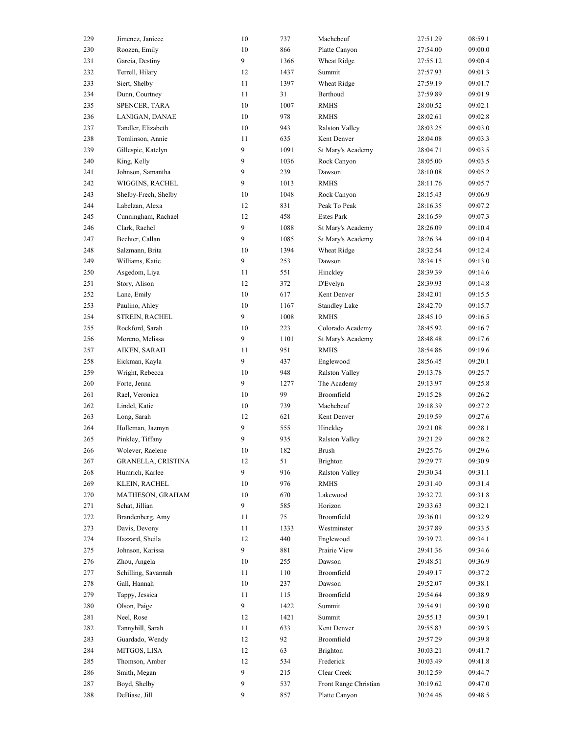| 229 | Jimenez, Janiece          | $10\,$ | 737  | Machebeuf             | 27:51.29 | 08:59.1 |
|-----|---------------------------|--------|------|-----------------------|----------|---------|
| 230 | Roozen, Emily             | $10\,$ | 866  | Platte Canyon         | 27:54.00 | 09:00.0 |
| 231 | Garcia, Destiny           | 9      | 1366 | Wheat Ridge           | 27:55.12 | 09:00.4 |
| 232 | Terrell, Hilary           | 12     | 1437 | Summit                | 27:57.93 | 09:01.3 |
| 233 | Siert, Shelby             | 11     | 1397 | Wheat Ridge           | 27:59.19 | 09:01.7 |
| 234 | Dunn, Courtney            | 11     | 31   | Berthoud              | 27:59.89 | 09:01.9 |
| 235 | SPENCER, TARA             | 10     | 1007 | <b>RMHS</b>           | 28:00.52 | 09:02.1 |
| 236 | LANIGAN, DANAE            | 10     | 978  | <b>RMHS</b>           | 28:02.61 | 09:02.8 |
| 237 | Tandler, Elizabeth        | $10\,$ | 943  | Ralston Valley        | 28:03.25 | 09:03.0 |
| 238 | Tomlinson, Annie          | 11     | 635  | Kent Denver           | 28:04.08 | 09:03.3 |
| 239 | Gillespie, Katelyn        | 9      | 1091 | St Mary's Academy     | 28:04.71 | 09:03.5 |
| 240 | King, Kelly               | 9      | 1036 | Rock Canyon           | 28:05.00 | 09:03.5 |
| 241 | Johnson, Samantha         | 9      | 239  | Dawson                | 28:10.08 | 09:05.2 |
| 242 | WIGGINS, RACHEL           | 9      | 1013 | <b>RMHS</b>           | 28:11.76 | 09:05.7 |
| 243 | Shelby-Frech, Shelby      | $10\,$ | 1048 | Rock Canyon           | 28:15.43 | 09:06.9 |
| 244 | Labelzan, Alexa           | 12     | 831  | Peak To Peak          | 28:16.35 | 09:07.2 |
| 245 | Cunningham, Rachael       | 12     | 458  | <b>Estes Park</b>     | 28:16.59 | 09:07.3 |
| 246 | Clark, Rachel             | 9      | 1088 | St Mary's Academy     | 28:26.09 | 09:10.4 |
|     |                           | 9      |      |                       | 28:26.34 |         |
| 247 | Bechter, Callan           |        | 1085 | St Mary's Academy     |          | 09:10.4 |
| 248 | Salzmann, Brita           | 10     | 1394 | Wheat Ridge           | 28:32.54 | 09:12.4 |
| 249 | Williams, Katie           | 9      | 253  | Dawson                | 28:34.15 | 09:13.0 |
| 250 | Asgedom, Liya             | 11     | 551  | Hinckley              | 28:39.39 | 09:14.6 |
| 251 | Story, Alison             | 12     | 372  | D'Evelyn              | 28:39.93 | 09:14.8 |
| 252 | Lane, Emily               | 10     | 617  | Kent Denver           | 28:42.01 | 09:15.5 |
| 253 | Paulino, Ahley            | 10     | 1167 | <b>Standley Lake</b>  | 28:42.70 | 09:15.7 |
| 254 | STREIN, RACHEL            | 9      | 1008 | <b>RMHS</b>           | 28:45.10 | 09:16.5 |
| 255 | Rockford, Sarah           | 10     | 223  | Colorado Academy      | 28:45.92 | 09:16.7 |
| 256 | Moreno, Melissa           | 9      | 1101 | St Mary's Academy     | 28:48.48 | 09:17.6 |
| 257 | AIKEN, SARAH              | 11     | 951  | <b>RMHS</b>           | 28:54.86 | 09:19.6 |
| 258 | Eickman, Kayla            | 9      | 437  | Englewood             | 28:56.45 | 09:20.1 |
| 259 | Wright, Rebecca           | 10     | 948  | <b>Ralston Valley</b> | 29:13.78 | 09:25.7 |
| 260 | Forte, Jenna              | 9      | 1277 | The Academy           | 29:13.97 | 09:25.8 |
| 261 | Rael, Veronica            | 10     | 99   | Broomfield            | 29:15.28 | 09:26.2 |
| 262 | Lindel, Katie             | $10\,$ | 739  | Machebeuf             | 29:18.39 | 09:27.2 |
| 263 | Long, Sarah               | 12     | 621  | Kent Denver           | 29:19.59 | 09:27.6 |
| 264 | Holleman, Jazmyn          | 9      | 555  | Hinckley              | 29:21.08 | 09:28.1 |
| 265 | Pinkley, Tiffany          | 9      | 935  | Ralston Valley        | 29:21.29 | 09:28.2 |
| 266 | Wolever, Raelene          | 10     | 182  | Brush                 | 29:25.76 | 09:29.6 |
| 267 | <b>GRANELLA, CRISTINA</b> | 12     | 51   | <b>Brighton</b>       | 29:29.77 | 09:30.9 |
| 268 | Humrich, Karlee           | 9      | 916  | Ralston Valley        | 29:30.34 | 09:31.1 |
| 269 | KLEIN, RACHEL             | $10\,$ | 976  | <b>RMHS</b>           | 29:31.40 | 09:31.4 |
| 270 | MATHESON, GRAHAM          | 10     | 670  | Lakewood              | 29:32.72 | 09:31.8 |
| 271 | Schat, Jillian            | 9      | 585  | Horizon               | 29:33.63 | 09:32.1 |
| 272 | Brandenberg, Amy          | 11     | 75   | Broomfield            | 29:36.01 | 09:32.9 |
| 273 | Davis, Devony             | 11     | 1333 | Westminster           | 29:37.89 | 09:33.5 |
| 274 | Hazzard, Sheila           | 12     | 440  | Englewood             | 29:39.72 | 09:34.1 |
|     | Johnson, Karissa          | 9      | 881  | Prairie View          |          | 09:34.6 |
| 275 | Zhou, Angela              | $10\,$ |      |                       | 29:41.36 | 09:36.9 |
| 276 |                           |        | 255  | Dawson                | 29:48.51 |         |
| 277 |                           |        |      |                       |          |         |
| 278 | Schilling, Savannah       | 11     | 110  | Broomfield            | 29:49.17 | 09:37.2 |
|     | Gall, Hannah              | 10     | 237  | Dawson                | 29:52.07 | 09:38.1 |
| 279 | Tappy, Jessica            | 11     | 115  | Broomfield            | 29:54.64 | 09:38.9 |
| 280 | Olson, Paige              | 9      | 1422 | Summit                | 29:54.91 | 09:39.0 |
| 281 | Neel, Rose                | 12     | 1421 | Summit                | 29:55.13 | 09:39.1 |
| 282 | Tannyhill, Sarah          | 11     | 633  | Kent Denver           | 29:55.83 | 09:39.3 |
| 283 | Guardado, Wendy           | 12     | 92   | Broomfield            | 29:57.29 | 09:39.8 |
| 284 | MITGOS, LISA              | 12     | 63   | Brighton              | 30:03.21 | 09:41.7 |
| 285 | Thomson, Amber            | 12     | 534  | Frederick             | 30:03.49 | 09:41.8 |
| 286 | Smith, Megan              | 9      | 215  | Clear Creek           | 30:12.59 | 09:44.7 |
| 287 | Boyd, Shelby              | 9      | 537  | Front Range Christian | 30:19.62 | 09:47.0 |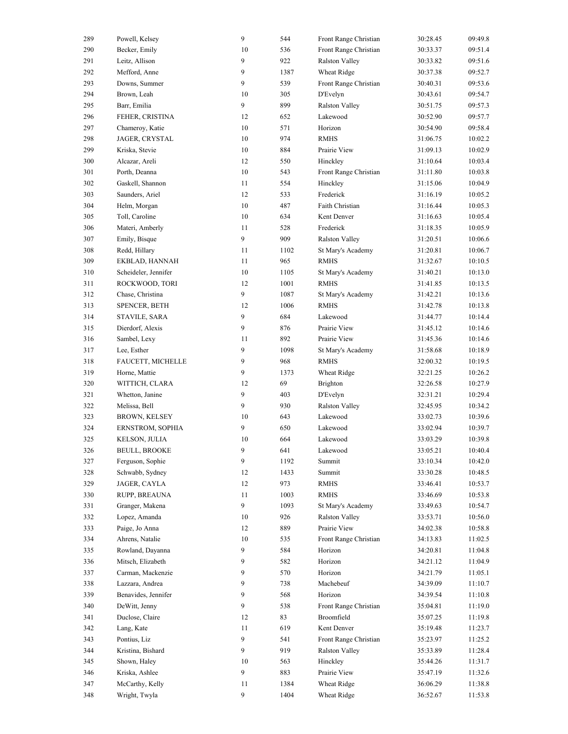| 289 | Powell, Kelsey       | $\overline{9}$ | 544  | Front Range Christian | 30:28.45 | 09:49.8 |
|-----|----------------------|----------------|------|-----------------------|----------|---------|
| 290 | Becker, Emily        | 10             | 536  | Front Range Christian | 30:33.37 | 09:51.4 |
| 291 | Leitz, Allison       | 9              | 922  | Ralston Valley        | 30:33.82 | 09:51.6 |
| 292 | Mefford, Anne        | 9              | 1387 | Wheat Ridge           | 30:37.38 | 09:52.7 |
| 293 | Downs, Summer        | 9              | 539  | Front Range Christian | 30:40.31 | 09:53.6 |
| 294 | Brown, Leah          | 10             | 305  | D'Evelyn              | 30:43.61 | 09:54.7 |
| 295 | Barr, Emilia         | 9              | 899  | <b>Ralston Valley</b> | 30:51.75 | 09:57.3 |
| 296 | FEHER, CRISTINA      | 12             | 652  | Lakewood              | 30:52.90 | 09:57.7 |
| 297 | Chameroy, Katie      | 10             | 571  | Horizon               | 30:54.90 | 09:58.4 |
| 298 | JAGER, CRYSTAL       | $10\,$         | 974  | <b>RMHS</b>           | 31:06.75 | 10:02.2 |
| 299 | Kriska, Stevie       | $10\,$         | 884  | Prairie View          | 31:09.13 | 10:02.9 |
| 300 | Alcazar, Areli       | 12             | 550  | Hinckley              | 31:10.64 | 10:03.4 |
| 301 | Porth, Deanna        | 10             | 543  | Front Range Christian | 31:11.80 | 10:03.8 |
| 302 | Gaskell, Shannon     | 11             | 554  | Hinckley              | 31:15.06 | 10:04.9 |
| 303 | Saunders, Ariel      | 12             | 533  | Frederick             | 31:16.19 | 10:05.2 |
| 304 | Helm, Morgan         | 10             | 487  | Faith Christian       | 31:16.44 | 10:05.3 |
| 305 | Toll, Caroline       | 10             | 634  | Kent Denver           | 31:16.63 | 10:05.4 |
| 306 | Materi, Amberly      | 11             | 528  | Frederick             | 31:18.35 | 10:05.9 |
|     |                      | 9              |      |                       |          |         |
| 307 | Emily, Bisque        |                | 909  | <b>Ralston Valley</b> | 31:20.51 | 10:06.6 |
| 308 | Redd, Hillary        | 11             | 1102 | St Mary's Academy     | 31:20.81 | 10:06.7 |
| 309 | EKBLAD, HANNAH       | 11             | 965  | <b>RMHS</b>           | 31:32.67 | 10:10.5 |
| 310 | Scheideler, Jennifer | 10             | 1105 | St Mary's Academy     | 31:40.21 | 10:13.0 |
| 311 | ROCKWOOD, TORI       | 12             | 1001 | <b>RMHS</b>           | 31:41.85 | 10:13.5 |
| 312 | Chase, Christina     | 9              | 1087 | St Mary's Academy     | 31:42.21 | 10:13.6 |
| 313 | SPENCER, BETH        | 12             | 1006 | <b>RMHS</b>           | 31:42.78 | 10:13.8 |
| 314 | STAVILE, SARA        | 9              | 684  | Lakewood              | 31:44.77 | 10:14.4 |
| 315 | Dierdorf, Alexis     | 9              | 876  | Prairie View          | 31:45.12 | 10:14.6 |
| 316 | Sambel, Lexy         | 11             | 892  | Prairie View          | 31:45.36 | 10:14.6 |
| 317 | Lee, Esther          | 9              | 1098 | St Mary's Academy     | 31:58.68 | 10:18.9 |
| 318 | FAUCETT, MICHELLE    | 9              | 968  | <b>RMHS</b>           | 32:00.32 | 10:19.5 |
| 319 | Horne, Mattie        | 9              | 1373 | Wheat Ridge           | 32:21.25 | 10:26.2 |
| 320 | WITTICH, CLARA       | 12             | 69   | <b>Brighton</b>       | 32:26.58 | 10:27.9 |
| 321 | Whetton, Janine      | 9              | 403  | D'Evelyn              | 32:31.21 | 10:29.4 |
| 322 | Melissa, Bell        | 9              | 930  | <b>Ralston Valley</b> | 32:45.95 | 10:34.2 |
| 323 | BROWN, KELSEY        | 10             | 643  | Lakewood              | 33:02.73 | 10:39.6 |
| 324 | ERNSTROM, SOPHIA     | 9              | 650  | Lakewood              | 33:02.94 | 10:39.7 |
| 325 | KELSON, JULIA        | 10             | 664  | Lakewood              | 33:03.29 | 10:39.8 |
| 326 | <b>BEULL, BROOKE</b> | 9              | 641  | Lakewood              | 33:05.21 | 10:40.4 |
| 327 | Ferguson, Sophie     | 9              | 1192 | Summit                | 33:10.34 | 10:42.0 |
| 328 | Schwabb, Sydney      | 12             | 1433 | Summit                | 33:30.28 | 10:48.5 |
| 329 | JAGER, CAYLA         | 12             | 973  | <b>RMHS</b>           | 33:46.41 | 10:53.7 |
| 330 | RUPP, BREAUNA        | 11             | 1003 | <b>RMHS</b>           | 33:46.69 | 10:53.8 |
| 331 | Granger, Makena      | 9              | 1093 | St Mary's Academy     | 33:49.63 | 10:54.7 |
| 332 | Lopez, Amanda        | 10             | 926  | <b>Ralston Valley</b> | 33:53.71 | 10:56.0 |
| 333 | Paige, Jo Anna       | 12             | 889  | Prairie View          | 34:02.38 | 10:58.8 |
|     |                      | 10             |      |                       |          |         |
| 334 | Ahrens, Natalie      |                | 535  | Front Range Christian | 34:13.83 | 11:02.5 |
| 335 | Rowland, Dayanna     | 9              | 584  | Horizon               | 34:20.81 | 11:04.8 |
| 336 | Mitsch, Elizabeth    | 9              | 582  | Horizon               | 34:21.12 | 11:04.9 |
| 337 |                      |                |      | Horizon               | 34:21.79 | 11:05.1 |
| 338 | Carman, Mackenzie    | 9              | 570  |                       |          |         |
|     | Lazzara, Andrea      | 9              | 738  | Machebeuf             | 34:39.09 | 11:10.7 |
| 339 | Benavides, Jennifer  | 9              | 568  | Horizon               | 34:39.54 | 11:10.8 |
| 340 | DeWitt, Jenny        | 9              | 538  | Front Range Christian | 35:04.81 | 11:19.0 |
| 341 | Duclose, Claire      | 12             | 83   | Broomfield            | 35:07.25 | 11:19.8 |
| 342 | Lang, Kate           | 11             | 619  | Kent Denver           | 35:19.48 | 11:23.7 |
| 343 | Pontius, Liz         | 9              | 541  | Front Range Christian | 35:23.97 | 11:25.2 |
| 344 | Kristina, Bishard    | 9              | 919  | Ralston Valley        | 35:33.89 | 11:28.4 |
| 345 | Shown, Haley         | 10             | 563  | Hinckley              | 35:44.26 | 11:31.7 |
| 346 | Kriska, Ashlee       | 9              | 883  | Prairie View          | 35:47.19 | 11:32.6 |
| 347 | McCarthy, Kelly      | 11             | 1384 | Wheat Ridge           | 36:06.29 | 11:38.8 |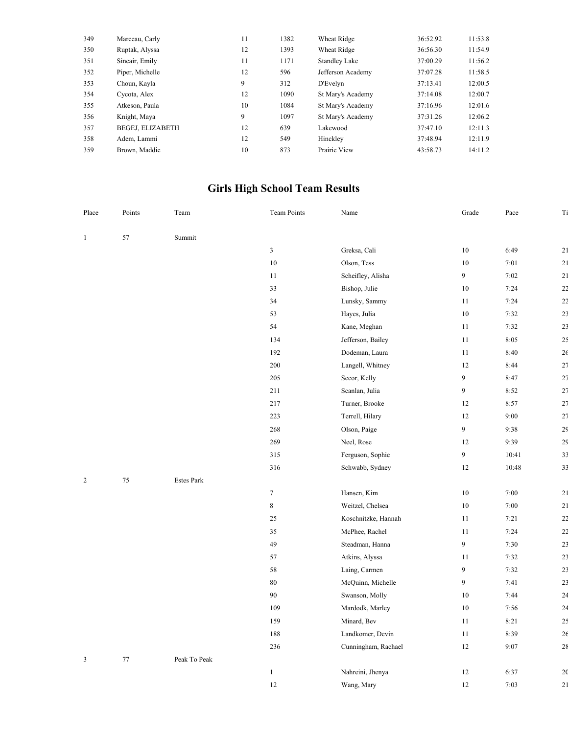| 349 | Marceau, Carly          | 11 | 1382 | Wheat Ridge          | 36:52.92 | 11:53.8 |
|-----|-------------------------|----|------|----------------------|----------|---------|
| 350 | Ruptak, Alyssa          | 12 | 1393 | Wheat Ridge          | 36:56.30 | 11:54.9 |
| 351 | Sincair, Emily          | 11 | 1171 | <b>Standley Lake</b> | 37:00.29 | 11:56.2 |
| 352 | Piper, Michelle         | 12 | 596  | Jefferson Academy    | 37:07.28 | 11:58.5 |
| 353 | Choun, Kayla            | 9  | 312  | D'Evelyn             | 37:13.41 | 12:00.5 |
| 354 | Cycota, Alex            | 12 | 1090 | St Mary's Academy    | 37:14.08 | 12:00.7 |
| 355 | Atkeson. Paula          | 10 | 1084 | St Mary's Academy    | 37:16.96 | 12:01.6 |
| 356 | Knight, Maya            | 9  | 1097 | St Mary's Academy    | 37:31.26 | 12:06.2 |
| 357 | <b>BEGEJ, ELIZABETH</b> | 12 | 639  | Lakewood             | 37:47.10 | 12:11.3 |
| 358 | Adem, Lammi             | 12 | 549  | Hinckley             | 37:48.94 | 12:11.9 |
| 359 | Brown, Maddie           | 10 | 873  | Prairie View         | 43:58.73 | 14:11.2 |
|     |                         |    |      |                      |          |         |

## **Girls High School Team Results**

| Place          | Points | Team              | Team Points                 | Name                | Grade            | Pace  | Ti              |
|----------------|--------|-------------------|-----------------------------|---------------------|------------------|-------|-----------------|
| $\mathbf{1}$   | 57     | Summit            |                             |                     |                  |       |                 |
|                |        |                   | $\ensuremath{\mathfrak{Z}}$ | Greksa, Cali        | 10               | 6:49  | 21              |
|                |        |                   | $10\,$                      | Olson, Tess         | 10               | 7:01  | 21              |
|                |        |                   | 11                          | Scheifley, Alisha   | $\overline{9}$   | 7:02  | $\overline{21}$ |
|                |        |                   | 33                          | Bishop, Julie       | 10               | 7:24  | 2 <sub>2</sub>  |
|                |        |                   | 34                          | Lunsky, Sammy       | 11               | 7:24  | 2 <sub>2</sub>  |
|                |        |                   | 53                          | Hayes, Julia        | 10               | 7:32  | 2 <sup>3</sup>  |
|                |        |                   | 54                          | Kane, Meghan        | 11               | 7:32  | 2 <sup>3</sup>  |
|                |        |                   | 134                         | Jefferson, Bailey   | 11               | 8:05  | 25              |
|                |        |                   | 192                         | Dodeman, Laura      | 11               | 8:40  | 2 <sub>6</sub>  |
|                |        |                   | 200                         | Langell, Whitney    | 12               | 8:44  | 27              |
|                |        |                   | 205                         | Secor, Kelly        | 9                | 8:47  | 27              |
|                |        |                   | 211                         | Scanlan, Julia      | 9                | 8:52  | 27              |
|                |        |                   | 217                         | Turner, Brooke      | 12               | 8:57  | 27              |
|                |        |                   | 223                         | Terrell, Hilary     | 12               | 9:00  | 27              |
|                |        |                   | 268                         | Olson, Paige        | 9                | 9:38  | 2 <sub>5</sub>  |
|                |        |                   | 269                         | Neel, Rose          | 12               | 9:39  | 2 <sup>5</sup>  |
|                |        |                   | 315                         | Ferguson, Sophie    | 9                | 10:41 | 3 <sup>2</sup>  |
|                |        |                   | 316                         | Schwabb, Sydney     | 12               | 10:48 | 3 <sup>3</sup>  |
| $\overline{2}$ | $75\,$ | <b>Estes Park</b> |                             |                     |                  |       |                 |
|                |        |                   | $\boldsymbol{7}$            | Hansen, Kim         | 10               | 7:00  | 21              |
|                |        |                   | $\,$ 8 $\,$                 | Weitzel, Chelsea    | 10               | 7:00  | $\overline{21}$ |
|                |        |                   | 25                          | Koschnitzke, Hannah | 11               | 7:21  | 2 <sub>2</sub>  |
|                |        |                   | 35                          | McPhee, Rachel      | 11               | 7:24  | $\overline{2}$  |
|                |        |                   | 49                          | Steadman, Hanna     | 9                | 7:30  | 2 <sub>3</sub>  |
|                |        |                   | 57                          | Atkins, Alyssa      | 11               | 7:32  | 2 <sub>3</sub>  |
|                |        |                   | 58                          | Laing, Carmen       | $\overline{9}$   | 7:32  | 2 <sub>3</sub>  |
|                |        |                   | $80\,$                      | McQuinn, Michelle   | $\boldsymbol{9}$ | 7:41  | 2 <sup>3</sup>  |
|                |        |                   | 90                          | Swanson, Molly      | 10               | 7:44  | 2 <sup>2</sup>  |
|                |        |                   | 109                         | Mardodk, Marley     | 10               | 7:56  | 2 <sup>2</sup>  |
|                |        |                   | 159                         | Minard, Bev         | 11               | 8:21  | 2 <sub>5</sub>  |
|                |        |                   | 188                         | Landkomer, Devin    | 11               | 8:39  | 26              |
|                |        |                   | 236                         | Cunningham, Rachael | 12               | 9:07  | 28              |
| 3              | $77\,$ | Peak To Peak      |                             |                     |                  |       |                 |
|                |        |                   | $\mathbf{1}$                | Nahreini, Jhenya    | 12               | 6:37  | 2(              |
|                |        |                   | 12                          | Wang, Mary          | 12               | 7:03  | $\overline{21}$ |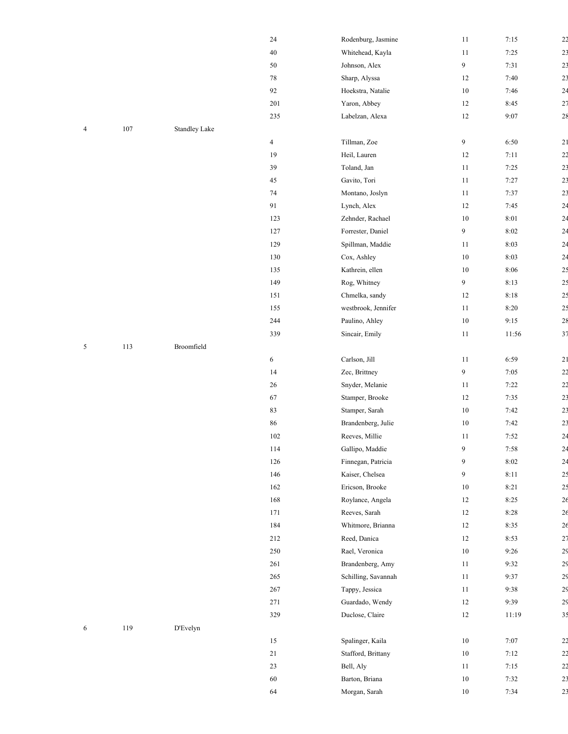|   |         |               | 24      | Rodenburg, Jasmine  | 11               | 7:15  | 22             |
|---|---------|---------------|---------|---------------------|------------------|-------|----------------|
|   |         |               | $40\,$  | Whitehead, Kayla    | 11               | 7:25  | 2 <sup>3</sup> |
|   |         |               | $50\,$  | Johnson, Alex       | 9                | 7:31  | 2 <sup>3</sup> |
|   |         |               | $78\,$  | Sharp, Alyssa       | 12               | 7:40  | 2 <sup>3</sup> |
|   |         |               | 92      | Hoekstra, Natalie   | $10\,$           | 7:46  | 2 <sup>2</sup> |
|   |         |               | 201     | Yaron, Abbey        | 12               | 8:45  | 27             |
|   |         |               | 235     | Labelzan, Alexa     | $12\,$           | 9:07  | 28             |
| 4 | $107\,$ | Standley Lake |         |                     |                  |       |                |
|   |         |               | 4       | Tillman, Zoe        | $\boldsymbol{9}$ | 6:50  | 21             |
|   |         |               | 19      | Heil, Lauren        | 12               | 7:11  | 2 <sub>2</sub> |
|   |         |               | 39      | Toland, Jan         | 11               | 7:25  | 2 <sup>3</sup> |
|   |         |               | 45      | Gavito, Tori        | 11               | 7:27  | 2 <sup>3</sup> |
|   |         |               | $74\,$  | Montano, Joslyn     | 11               | 7:37  | 2 <sub>3</sub> |
|   |         |               | 91      | Lynch, Alex         | 12               | 7:45  | 24             |
|   |         |               | 123     | Zehnder, Rachael    | $10\,$           | 8:01  | 2 <sup>2</sup> |
|   |         |               | 127     | Forrester, Daniel   | 9                | 8:02  | 2 <sup>2</sup> |
|   |         |               | 129     | Spillman, Maddie    | 11               | 8:03  | 24             |
|   |         |               | 130     | Cox, Ashley         | $10\,$           | 8:03  | 2 <sup>2</sup> |
|   |         |               | 135     | Kathrein, ellen     | $10\,$           | 8:06  | 25             |
|   |         |               | 149     | Rog, Whitney        | 9                | 8:13  | 2 <sup>5</sup> |
|   |         |               | 151     | Chmelka, sandy      | 12               | 8:18  | 2 <sup>5</sup> |
|   |         |               | 155     | westbrook, Jennifer | 11               | 8:20  | 2 <sup>5</sup> |
|   |         |               | 244     | Paulino, Ahley      | $10\,$           | 9:15  | 28             |
|   |         |               | 339     | Sincair, Emily      | 11               | 11:56 | 37             |
| 5 | 113     | Broomfield    |         |                     |                  |       |                |
|   |         |               | 6       | Carlson, Jill       | 11               | 6:59  | 21             |
|   |         |               | 14      | Zec, Brittney       | 9                | 7:05  | 2 <sub>2</sub> |
|   |         |               | $26\,$  | Snyder, Melanie     | 11               | 7:22  | 2 <sub>2</sub> |
|   |         |               | 67      | Stamper, Brooke     | 12               | 7:35  | 2 <sup>3</sup> |
|   |         |               | 83      | Stamper, Sarah      | $10\,$           | 7:42  | 2 <sup>3</sup> |
|   |         |               | 86      | Brandenberg, Julie  | $10\,$           | 7:42  | 2 <sup>3</sup> |
|   |         |               | 102     | Reeves, Millie      | 11               | 7:52  | 2 <sup>4</sup> |
|   |         |               | 114     | Gallipo, Maddie     | 9                | 7:58  | 24             |
|   |         |               | 126     | Finnegan, Patricia  | $\boldsymbol{9}$ | 8:02  | 2 <sup>2</sup> |
|   |         |               | 146     | Kaiser, Chelsea     | 9                | 8:11  | 25             |
|   |         |               | 162     | Ericson, Brooke     | $10\,$           | 8:21  | 2 <sup>5</sup> |
|   |         |               | 168     | Roylance, Angela    | 12               | 8:25  | 26             |
|   |         |               | 171     | Reeves, Sarah       | 12               | 8:28  | 26             |
|   |         |               | 184     | Whitmore, Brianna   | 12               | 8:35  | 26             |
|   |         |               | 212     | Reed, Danica        | 12               | 8:53  | 27             |
|   |         |               | $250\,$ | Rael, Veronica      | $10\,$           | 9:26  | 29             |
|   |         |               | 261     | Brandenberg, Amy    | 11               | 9:32  | 29             |
|   |         |               | 265     | Schilling, Savannah | 11               | 9:37  | 29             |
|   |         |               | 267     | Tappy, Jessica      | 11               | 9:38  | 29             |
|   |         |               | 271     | Guardado, Wendy     | $12\,$           | 9:39  | 29             |
|   |         |               | 329     | Duclose, Claire     | $12\,$           | 11:19 | 3 <sup>5</sup> |
| 6 | 119     | D'Evelyn      |         |                     |                  |       |                |
|   |         |               | 15      | Spalinger, Kaila    | $10\,$           | 7:07  | 22             |
|   |         |               | $21\,$  | Stafford, Brittany  | $10\,$           | 7:12  | 2 <sub>2</sub> |
|   |         |               | 23      | Bell, Aly           | 11               | 7:15  | 2 <sub>2</sub> |
|   |         |               | 60      | Barton, Briana      | $10\,$           | 7:32  | 2 <sup>3</sup> |
|   |         |               | 64      | Morgan, Sarah       | $10\,$           | 7:34  | 2 <sub>3</sub> |
|   |         |               |         |                     |                  |       |                |

| 14  | Zec, Brittney      |
|-----|--------------------|
| 26  | Snyder, Melanie    |
| 67  | Stamper, Brooke    |
| 83  | Stamper, Sarah     |
| 86  | Brandenberg, Julio |
| 102 | Reeves, Millie     |
| 114 | Gallipo, Maddie    |
| 126 | Finnegan, Patricia |
| 146 | Kaiser, Chelsea    |
| 162 | Ericson, Brooke    |
| 168 | Roylance, Angela   |
| 171 | Reeves, Sarah      |
| 184 | Whitmore, Briann   |
| 212 | Reed, Danica       |
| 250 | Rael, Veronica     |
| 261 | Brandenberg, Am    |
| 265 | Schilling, Savanna |
| 267 | Tappy, Jessica     |
|     |                    |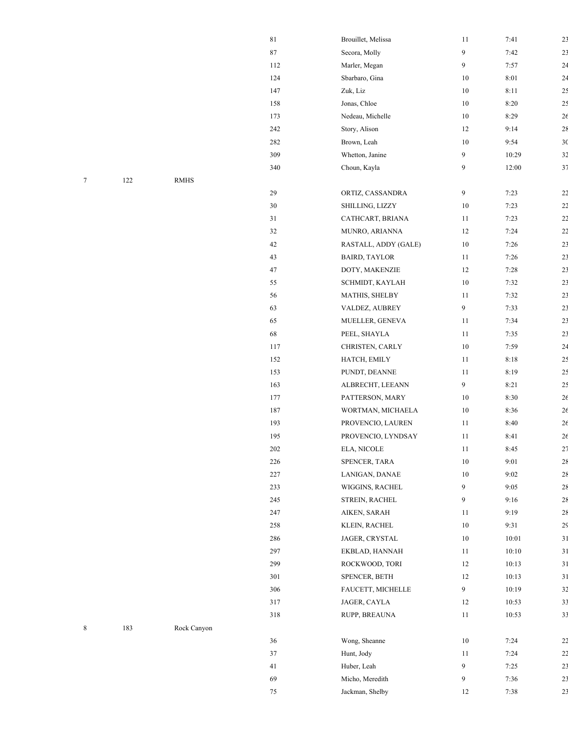|   |         |             | $81\,$   | Brouillet, Melissa   | 11             | 7:41    | 2 <sup>3</sup> |
|---|---------|-------------|----------|----------------------|----------------|---------|----------------|
|   |         |             | $\bf 87$ | Secora, Molly        | $\overline{9}$ | 7:42    | 2 <sup>3</sup> |
|   |         |             | 112      | Marler, Megan        | 9              | 7:57    | 2 <sup>4</sup> |
|   |         |             | 124      | Sbarbaro, Gina       | $10\,$         | 8:01    | 24             |
|   |         |             | 147      | Zuk, Liz             | $10\,$         | 8:11    | 25             |
|   |         |             | 158      | Jonas, Chloe         | $10\,$         | 8:20    | 2 <sup>5</sup> |
|   |         |             | 173      | Nedeau, Michelle     | $10\,$         | 8:29    | 26             |
|   |         |             | 242      | Story, Alison        | 12             | 9:14    | 28             |
|   |         |             | 282      | Brown, Leah          | 10             | 9:54    | 3 <sup>0</sup> |
|   |         |             | 309      | Whetton, Janine      | 9              | 10:29   | 3 <sup>2</sup> |
|   |         |             | 340      | Choun, Kayla         | 9              | 12:00   | 37             |
| 7 | $122\,$ | $\rm RMHS$  |          |                      |                |         |                |
|   |         |             | $29\,$   | ORTIZ, CASSANDRA     | $\overline{9}$ | 7:23    | 22             |
|   |         |             | $30\,$   | SHILLING, LIZZY      | $10\,$         | 7:23    | 2 <sub>2</sub> |
|   |         |             | 31       | CATHCART, BRIANA     | 11             | 7:23    | 2 <sub>2</sub> |
|   |         |             | 32       | MUNRO, ARIANNA       | 12             | 7:24    | 2 <sub>2</sub> |
|   |         |             | 42       | RASTALL, ADDY (GALE) | $10\,$         | 7:26    | 2 <sup>3</sup> |
|   |         |             | 43       | <b>BAIRD, TAYLOR</b> | 11             | 7:26    | 2 <sup>3</sup> |
|   |         |             | $47\,$   | DOTY, MAKENZIE       | 12             | 7:28    | 2 <sup>3</sup> |
|   |         |             | 55       | SCHMIDT, KAYLAH      | $10\,$         | 7:32    | 2 <sup>3</sup> |
|   |         |             | 56       | MATHIS, SHELBY       | 11             | 7:32    | 2 <sup>3</sup> |
|   |         |             | 63       | VALDEZ, AUBREY       | 9              | 7:33    | 2 <sup>3</sup> |
|   |         |             | 65       | MUELLER, GENEVA      | 11             | 7:34    | 2 <sup>3</sup> |
|   |         |             | 68       | PEEL, SHAYLA         | 11             | 7:35    | 2 <sup>3</sup> |
|   |         |             | 117      | CHRISTEN, CARLY      | $10\,$         | 7:59    | 2 <sup>2</sup> |
|   |         |             | 152      | HATCH, EMILY         | $11\,$         | 8:18    | 25             |
|   |         |             | 153      | PUNDT, DEANNE        | 11             | 8:19    | 25             |
|   |         |             | 163      | ALBRECHT, LEEANN     | 9              | 8:21    | 25             |
|   |         |             | 177      | PATTERSON, MARY      | 10             | 8:30    | 26             |
|   |         |             | 187      | WORTMAN, MICHAELA    | $10\,$         | 8:36    | 26             |
|   |         |             | 193      | PROVENCIO, LAUREN    | 11             | 8:40    | 26             |
|   |         |             | 195      | PROVENCIO, LYNDSAY   | 11             | 8:41    | 26             |
|   |         |             | $202\,$  | ELA, NICOLE          | 11             | 8:45    | 27             |
|   |         |             | 226      | SPENCER, TARA        | 10             | 9:01    | 28             |
|   |         |             | $227\,$  | LANIGAN, DANAE       | $10\,$         | 9:02    | 28             |
|   |         |             | 233      | WIGGINS, RACHEL      | 9              | 9:05    | 28             |
|   |         |             | 245      | STREIN, RACHEL       | 9              | 9:16    | 28             |
|   |         |             | 247      | AIKEN, SARAH         | 11             | 9:19    | 28             |
|   |         |             | 258      | KLEIN, RACHEL        | $10\,$         | 9:31    | 29             |
|   |         |             | 286      | JAGER, CRYSTAL       | $10\,$         | 10:01   | 31             |
|   |         |             | 297      | EKBLAD, HANNAH       | 11             | $10:10$ | 31             |
|   |         |             | 299      | ROCKWOOD, TORI       | 12             | 10:13   | 31             |
|   |         |             | 301      | SPENCER, BETH        | 12             | 10:13   | 31             |
|   |         |             | 306      | FAUCETT, MICHELLE    | 9              | 10:19   | 32             |
|   |         |             | 317      | JAGER, CAYLA         | 12             | 10:53   | 33             |
|   |         |             | $318\,$  | RUPP, BREAUNA        | $11\,$         | 10:53   | 33             |
| 8 | 183     | Rock Canyon |          |                      |                |         |                |
|   |         |             | 36       | Wong, Sheanne        | $10\,$         | 7:24    | 22             |
|   |         |             | 37       | Hunt, Jody           | 11             | 7:24    | 2 <sub>2</sub> |
|   |         |             | 41       | Huber, Leah          | 9              | 7:25    | 2 <sup>3</sup> |
|   |         |             | 69       | Micho, Meredith      | 9              | 7:36    | 2 <sup>3</sup> |
|   |         |             | 75       | Jackman, Shelby      | 12             | 7:38    | 2 <sub>3</sub> |
|   |         |             |          |                      |                |         |                |

| 183 | Rock Canyon |  |
|-----|-------------|--|
|     |             |  |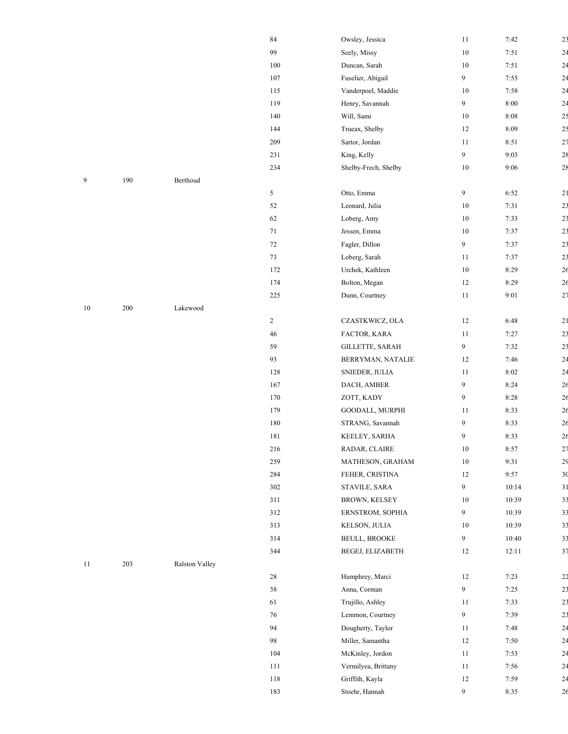|        |         |                       | 84             | Owsley, Jessica      | 11             | 7:42   | 2 <sup>3</sup> |
|--------|---------|-----------------------|----------------|----------------------|----------------|--------|----------------|
|        |         |                       | 99             | Seely, Missy         | $10\,$         | 7:51   | 2 <sup>2</sup> |
|        |         |                       | $100\,$        | Duncan, Sarah        | $10\,$         | 7:51   | 2 <sup>4</sup> |
|        |         |                       | 107            | Fuselier, Abigail    | 9              | 7:55   | 24             |
|        |         |                       | 115            | Vanderpoel, Maddie   | 10             | 7:58   | 2 <sup>2</sup> |
|        |         |                       | 119            | Henry, Savannah      | 9              | $8:00$ | 2 <sup>4</sup> |
|        |         |                       | 140            | Will, Sami           | $10\,$         | 8:08   | 25             |
|        |         |                       | 144            | Trueax, Shelby       | 12             | 8:09   | 25             |
|        |         |                       | $209\,$        | Sartor, Jordan       | 11             | 8:51   | 27             |
|        |         |                       | 231            | King, Kelly          | 9              | 9:03   | 28             |
|        |         |                       | 234            | Shelby-Frech, Shelby | $10\,$         | 9:06   | 28             |
| 9      | 190     | Berthoud              |                |                      |                |        |                |
|        |         |                       | 5              | Otto, Emma           | 9              | 6:52   | 21             |
|        |         |                       | 52             | Leonard, Julia       | $10\,$         | 7:31   | 2 <sup>3</sup> |
|        |         |                       | 62             | Loberg, Amy          | $10\,$         | 7:33   | 2 <sup>3</sup> |
|        |         |                       | 71             | Jessen, Emma         | $10\,$         | 7:37   | 2 <sup>3</sup> |
|        |         |                       | 72             | Fagler, Dillon       | 9              | 7:37   | 2 <sup>3</sup> |
|        |         |                       | 73             | Loberg, Sarah        | 11             | 7:37   | 2 <sup>3</sup> |
|        |         |                       | 172            | Urchek, Kathleen     | $10\,$         | 8:29   | 26             |
|        |         |                       | 174            | Bolton, Megan        | 12             | 8:29   | 26             |
|        |         |                       | $225\,$        | Dunn, Courtney       | 11             | 9:01   | 27             |
| $10\,$ | $200\,$ | Lakewood              |                |                      |                |        |                |
|        |         |                       | $\overline{c}$ | CZASTKWICZ, OLA      | $12\,$         | 6:48   | 21             |
|        |         |                       | 46             | FACTOR, KARA         | 11             | 7:27   | 2 <sup>3</sup> |
|        |         |                       | 59             | GILLETTE, SARAH      | 9              | 7:32   | 2 <sup>3</sup> |
|        |         |                       | 93             | BERRYMAN, NATALIE    | 12             | 7:46   | 24             |
|        |         |                       | 128            | SNIEDER, JULIA       | 11             | 8:02   | 24             |
|        |         |                       | 167            | DACH, AMBER          | 9              | 8:24   | 26             |
|        |         |                       | 170            | ZOTT, KADY           | 9              | 8:28   | 26             |
|        |         |                       | 179            | GOODALL, MURPHI      | 11             | 8:33   | 26             |
|        |         |                       | 180            | STRANG, Savannah     | 9              | 8:33   | 26             |
|        |         |                       | 181            | KEELEY, SARHA        | $\overline{9}$ | 8:33   | 26             |
|        |         |                       | $216\,$        | RADAR, CLAIRE        | $10\,$         | 8:57   | 2 <sub>7</sub> |
|        |         |                       | 259            | MATHESON, GRAHAM     | $10\,$         | 9:31   | 2 <sup>5</sup> |
|        |         |                       | 284            | FEHER, CRISTINA      | 12             | 9:57   | 3 <sup>0</sup> |
|        |         |                       | 302            | STAVILE, SARA        | $\overline{9}$ | 10:14  | 31             |
|        |         |                       | 311            | BROWN, KELSEY        | $10\,$         | 10:39  | 3 <sup>2</sup> |
|        |         |                       | 312            | ERNSTROM, SOPHIA     | 9              | 10:39  | 3 <sup>3</sup> |
|        |         |                       | 313            | KELSON, JULIA        | 10             | 10:39  | 33             |
|        |         |                       | 314            | <b>BEULL, BROOKE</b> | 9              | 10:40  | 33             |
|        |         |                       | 344            | BEGEJ, ELIZABETH     | 12             | 12:11  | 37             |
| 11     | $203\,$ | <b>Ralston Valley</b> |                |                      |                |        |                |
|        |         |                       | 28             | Humphrey, Marci      | $12\,$         | 7:23   | 22             |
|        |         |                       | $38\,$         | Anna, Corman         | 9              | 7:25   | 23             |
|        |         |                       | 61             | Trujillo, Ashley     | 11             | 7:33   | 23             |
|        |         |                       | 76             | Lemmon, Courtney     | 9              | 7:39   | 2 <sup>3</sup> |
|        |         |                       | 94             | Dougherty, Taylor    | 11             | 7:48   | 24             |
|        |         |                       | 98             | Miller, Samantha     | 12             | 7:50   | 2 <sup>2</sup> |
|        |         |                       | 104            | McKinley, Jordon     | 11             | 7:53   | 2 <sup>2</sup> |
|        |         |                       | 111            | Vermilyea, Brittany  | $11\,$         | 7:56   | 2 <sup>2</sup> |
|        |         |                       | $118\,$        | Griffith, Kayla      | 12             | 7:59   | 24             |
|        |         |                       | 183            | Stoehr, Hannah       | 9              | 8:35   | 26             |

| 9 | 190 | Berthoud |     |                    |
|---|-----|----------|-----|--------------------|
|   |     |          | 5   | Otto, Emma         |
|   |     |          | 52  | Leonard, Julia     |
|   |     |          | 62  | Loberg, Amy        |
|   |     |          | 71  | Jessen, Emma       |
|   |     |          | 72  | Fagler, Dillon     |
|   |     |          | 73  | Loberg, Sarah      |
|   |     |          | 172 | Urchek, Kathl      |
|   |     |          | 174 | Bolton, Mega       |
|   |     |          | 225 | $D$ unn $C$ ourtn. |

| 10 | 200 | Lakewood |
|----|-----|----------|
|----|-----|----------|

| 203<br><b>Ralston Valley</b><br>-11 |
|-------------------------------------|
|-------------------------------------|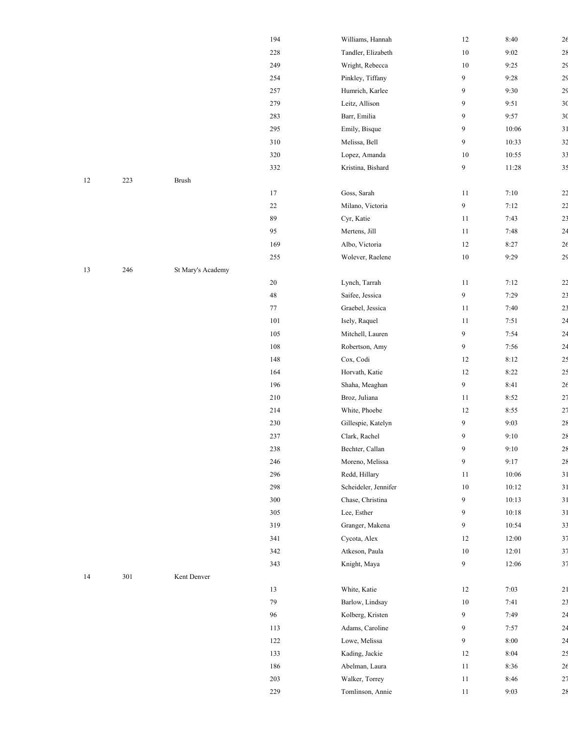|    |         |                   | 194     | Williams, Hannah     | $12\,$           | 8:40    | 26             |
|----|---------|-------------------|---------|----------------------|------------------|---------|----------------|
|    |         |                   | $228\,$ | Tandler, Elizabeth   | $10\,$           | 9:02    | 28             |
|    |         |                   | 249     | Wright, Rebecca      | $10\,$           | 9:25    | 2 <sup>5</sup> |
|    |         |                   | 254     | Pinkley, Tiffany     | $\boldsymbol{9}$ | 9:28    | 29             |
|    |         |                   | 257     | Humrich, Karlee      | 9                | 9:30    | 29             |
|    |         |                   | 279     | Leitz, Allison       | 9                | 9:51    | 3 <sup>0</sup> |
|    |         |                   | 283     | Barr, Emilia         | 9                | 9:57    | 3 <sup>0</sup> |
|    |         |                   | 295     | Emily, Bisque        | 9                | 10:06   | 31             |
|    |         |                   | 310     | Melissa, Bell        | 9                | 10:33   | 3 <sup>2</sup> |
|    |         |                   | 320     | Lopez, Amanda        | 10               | 10:55   | 33             |
|    |         |                   | 332     | Kristina, Bishard    | $\boldsymbol{9}$ | 11:28   | 3 <sup>5</sup> |
| 12 | 223     | Brush             |         |                      |                  |         |                |
|    |         |                   | 17      | Goss, Sarah          | 11               | 7:10    | 22             |
|    |         |                   | $22\,$  | Milano, Victoria     | 9                | 7:12    | 22             |
|    |         |                   | 89      | Cyr, Katie           | 11               | 7:43    | 2 <sup>3</sup> |
|    |         |                   | 95      | Mertens, Jill        | 11               | 7:48    | 2 <sup>2</sup> |
|    |         |                   | 169     | Albo, Victoria       | 12               | 8:27    | 26             |
|    |         |                   | $255\,$ | Wolever, Raelene     | $10\,$           | 9:29    | 29             |
| 13 | 246     | St Mary's Academy |         |                      |                  |         |                |
|    |         |                   | $20\,$  | Lynch, Tarrah        | 11               | 7:12    | 22             |
|    |         |                   | $48\,$  | Saifee, Jessica      | $\boldsymbol{9}$ | 7:29    | 2 <sup>3</sup> |
|    |         |                   | 77      | Graebel, Jessica     | 11               | 7:40    | 2 <sup>3</sup> |
|    |         |                   | 101     | Isely, Raquel        | 11               | 7:51    | 2 <sup>2</sup> |
|    |         |                   | 105     | Mitchell, Lauren     | $\boldsymbol{9}$ | 7:54    | 2 <sup>2</sup> |
|    |         |                   | 108     | Robertson, Amy       | 9                | 7:56    | 24             |
|    |         |                   | 148     | Cox, Codi            | 12               | 8:12    | 25             |
|    |         |                   | 164     | Horvath, Katie       | 12               | 8:22    | 2 <sup>5</sup> |
|    |         |                   | 196     | Shaha, Meaghan       | 9                | 8:41    | 26             |
|    |         |                   | 210     | Broz, Juliana        | 11               | 8:52    | 27             |
|    |         |                   | 214     | White, Phoebe        | 12               | 8:55    | 27             |
|    |         |                   | 230     | Gillespie, Katelyn   | $\boldsymbol{9}$ | 9:03    | 28             |
|    |         |                   | 237     | Clark, Rachel        | 9                | 9:10    | 28             |
|    |         |                   | 238     | Bechter, Callan      | 9                | 9:10    | 28             |
|    |         |                   | 246     | Moreno, Melissa      | 9                | 9:17    | 28             |
|    |         |                   | 296     | Redd, Hillary        | 11               | $10:06$ | 31             |
|    |         |                   | 298     | Scheideler, Jennifer | $10\,$           | 10:12   | 31             |
|    |         |                   | $300\,$ | Chase, Christina     | 9                | 10:13   | 31             |
|    |         |                   | 305     | Lee, Esther          | 9                | 10:18   | 31             |
|    |         |                   | 319     | Granger, Makena      | 9                | 10:54   | 33             |
|    |         |                   | 341     | Cycota, Alex         | 12               | 12:00   | 37             |
|    |         |                   | $342\,$ | Atkeson, Paula       | $10\,$           | 12:01   | 37             |
|    |         |                   | 343     | Knight, Maya         | 9                | 12:06   | 37             |
| 14 | $301\,$ | Kent Denver       |         |                      |                  |         |                |
|    |         |                   | 13      | White, Katie         | 12               | 7:03    | 21             |
|    |         |                   | 79      | Barlow, Lindsay      | 10               | 7:41    | 2 <sup>3</sup> |
|    |         |                   | 96      | Kolberg, Kristen     | 9                | 7:49    | 2 <sup>2</sup> |
|    |         |                   | 113     | Adams, Caroline      | 9                | 7:57    | 2 <sup>4</sup> |
|    |         |                   | 122     | Lowe, Melissa        | 9                | 8:00    | 2 <sup>2</sup> |
|    |         |                   | 133     | Kading, Jackie       | 12               | 8:04    | 2 <sup>5</sup> |
|    |         |                   | 186     | Abelman, Laura       | 11               | 8:36    | 26             |
|    |         |                   | 203     | Walker, Torrey       | 11               | 8:46    | 27             |
|    |         |                   | 229     | Tomlinson, Annie     | 11               | 9:03    | 28             |

|    |     |              | 332 | Kristina, Bishard |
|----|-----|--------------|-----|-------------------|
| 12 | 223 | <b>Brush</b> |     |                   |
|    |     |              | 17  | Goss, Sarah       |
|    |     |              | 22  | Milano, Victoria  |
|    |     |              | 89  | Cyr, Katie        |
|    |     |              | 95  | Mertens, Jill     |

| 14 | 301 | Kent Denver |  |
|----|-----|-------------|--|
|    |     |             |  |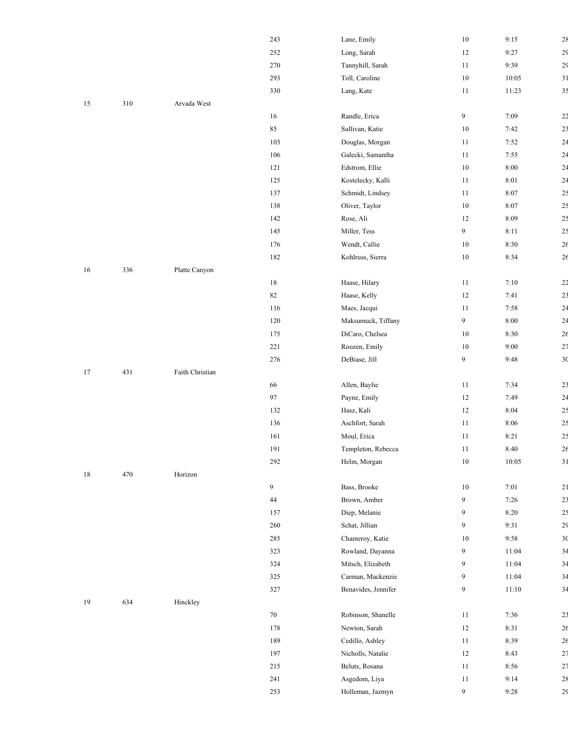|    |     |                 | 243    | Lane, Emily         | 10             | 9:15   |
|----|-----|-----------------|--------|---------------------|----------------|--------|
|    |     |                 | 252    | Long, Sarah         | 12             | 9:27   |
|    |     |                 | 270    | Tannyhill, Sarah    | $11\,$         | 9:39   |
|    |     |                 | 293    | Toll, Caroline      | $10\,$         | 10:05  |
|    |     |                 | 330    | Lang, Kate          | 11             | 11:23  |
| 15 | 310 | Arvada West     |        |                     |                |        |
|    |     |                 | 16     | Randle, Erica       | $\overline{9}$ | 7:09   |
|    |     |                 | 85     | Sullivan, Katie     | 10             | 7:42   |
|    |     |                 | 103    | Douglas, Morgan     | 11             | 7:52   |
|    |     |                 | 106    | Galecki, Samantha   | 11             | 7:55   |
|    |     |                 | 121    | Edstrom, Ellie      | 10             | $8:00$ |
|    |     |                 | 125    | Kostelecky, Kalli   | $11\,$         | 8:01   |
|    |     |                 | 137    | Schmidt, Lindsey    | $11\,$         | 8:07   |
|    |     |                 | 138    | Oliver, Taylor      | $10\,$         | 8:07   |
|    |     |                 | 142    | Rose, Ali           | 12             | 8:09   |
|    |     |                 | 145    | Miller, Tess        | 9              | 8:11   |
|    |     |                 | 176    | Wendt, Callie       | $10\,$         | 8:30   |
|    |     |                 | 182    | Kohlruss, Sierra    | $10\,$         | 8:34   |
| 16 | 336 | Platte Canyon   |        |                     |                |        |
|    |     |                 | $18\,$ | Haase, Hilary       | $11\,$         | $7:10$ |
|    |     |                 | 82     | Haase, Kelly        | 12             | 7:41   |
|    |     |                 | 116    | Maes, Jacqui        | $11\,$         | 7:58   |
|    |     |                 | 120    | Maksumuck, Tiffany  | $\overline{9}$ | $8:00$ |
|    |     |                 | 175    | DiCaro, Chelsea     | 10             | 8:30   |
|    |     |                 | 221    | Roozen, Emily       | 10             | 9:00   |
|    |     |                 | 276    | DeBiase, Jill       | 9              | 9:48   |
| 17 | 431 | Faith Christian |        |                     |                |        |
|    |     |                 | 66     | Allen, Baylie       | $11\,$         | 7:34   |
|    |     |                 | 97     | Payne, Emily        | 12             | 7:49   |
|    |     |                 | 132    | Hasz, Kali          | 12             | 8:04   |
|    |     |                 | 136    | Aschfort, Sarah     | 11             | 8:06   |
|    |     |                 | 161    | Moul, Erica         | $11\,$         | 8:21   |
|    |     |                 | 191    | Templeton, Rebecca  | 11             | 8:40   |
|    |     |                 | 292    | Helm, Morgan        | $10\,$         | 10:05  |
| 18 | 470 | Horizon         |        |                     |                |        |
|    |     |                 | 9      | Bass, Brooke        | $10\,$         | 7:01   |
|    |     |                 | 44     | Brown, Amber        | 9              | 7:26   |
|    |     |                 | 157    | Diep, Melanie       | 9              | 8:20   |
|    |     |                 | 260    | Schat, Jillian      | 9              | 9:31   |
|    |     |                 | 285    | Chameroy, Katie     | 10             | 9:58   |
|    |     |                 | 323    | Rowland, Dayanna    | 9              | 11:04  |
|    |     |                 | 324    | Mitsch, Elizabeth   | 9              | 11:04  |
|    |     |                 | 325    | Carman, Mackenzie   | 9              | 11:04  |
|    |     |                 | 327    | Benavides, Jennifer | 9              | 11:10  |
| 19 | 634 | Hinckley        |        |                     |                |        |
|    |     |                 | $70\,$ | Robinson, Shanelle  | 11             | 7:36   |
|    |     |                 | 178    | Newton, Sarah       | 12             | 8:31   |
|    |     |                 | 189    | Cedillo, Ashley     | 11             | 8:39   |
|    |     |                 | 197    | Nicholls, Natalie   | 12             | 8:43   |

|    |     |                 | 243     | Lane, Emily         | $10\,$ | 9:15     | 28             |
|----|-----|-----------------|---------|---------------------|--------|----------|----------------|
|    |     |                 | 252     | Long, Sarah         | 12     | 9:27     | 2 <sup>5</sup> |
|    |     |                 | 270     | Tannyhill, Sarah    | 11     | 9:39     | 2 <sub>5</sub> |
|    |     |                 | 293     | Toll, Caroline      | $10\,$ | 10:05    | 31             |
|    |     |                 | 330     | Lang, Kate          | 11     | 11:23    | 35             |
| 15 | 310 | Arvada West     |         |                     |        |          |                |
|    |     |                 | 16      | Randle, Erica       | 9      | 7:09     | 22             |
|    |     |                 | 85      | Sullivan, Katie     | $10\,$ | 7:42     | 2 <sub>3</sub> |
|    |     |                 | 103     | Douglas, Morgan     | 11     | 7:52     | 24             |
|    |     |                 | 106     | Galecki, Samantha   | 11     | 7:55     | 24             |
|    |     |                 | 121     | Edstrom, Ellie      | $10\,$ | 8:00     | 24             |
|    |     |                 | 125     | Kostelecky, Kalli   | 11     | $8:01$   | 24             |
|    |     |                 | 137     | Schmidt, Lindsey    | 11     | 8:07     | 25             |
|    |     |                 | 138     | Oliver, Taylor      | $10\,$ | 8:07     | 2 <sub>5</sub> |
|    |     |                 | 142     | Rose, Ali           | 12     | 8:09     | 25             |
|    |     |                 | 145     | Miller, Tess        | 9      | 8:11     | 25             |
|    |     |                 | 176     | Wendt, Callie       | $10\,$ | 8:30     | $2\epsilon$    |
|    |     |                 | 182     | Kohlruss, Sierra    | $10\,$ | 8:34     | 26             |
| 16 | 336 | Platte Canyon   |         |                     |        |          |                |
|    |     |                 | $18\,$  | Haase, Hilary       | 11     | 7:10     | 22             |
|    |     |                 | $82\,$  | Haase, Kelly        | 12     | 7:41     | 2 <sup>3</sup> |
|    |     |                 | 116     | Maes, Jacqui        | 11     | 7:58     | 2 <sup>4</sup> |
|    |     |                 | $120\,$ | Maksumuck, Tiffany  | 9      | 8:00     | 24             |
|    |     |                 | 175     | DiCaro, Chelsea     | $10\,$ | 8:30     | 26             |
|    |     |                 | 221     | Roozen, Emily       | $10\,$ | 9:00     | 27             |
|    |     |                 | 276     | DeBiase, Jill       | 9      | 9:48     | 3 <sup>0</sup> |
| 17 | 431 | Faith Christian |         |                     |        |          |                |
|    |     |                 | 66      | Allen, Baylie       | 11     | 7:34     | 2 <sup>3</sup> |
|    |     |                 | 97      | Payne, Emily        | 12     | 7:49     | 2 <sup>4</sup> |
|    |     |                 | 132     | Hasz, Kali          | $12\,$ | 8:04     | 25             |
|    |     |                 | 136     | Aschfort, Sarah     | 11     | 8:06     | 25             |
|    |     |                 | 161     | Moul, Erica         | 11     | 8:21     | 2 <sup>5</sup> |
|    |     |                 | 191     | Templeton, Rebecca  | $11\,$ | $8:40\,$ | 26             |
|    |     |                 | $292\,$ | Helm, Morgan        | $10\,$ | 10:05    | 31             |
| 18 | 470 | Horizon         |         |                     |        |          |                |
|    |     |                 | 9       | Bass, Brooke        | $10\,$ | 7:01     | 21             |
|    |     |                 | 44      | Brown, Amber        | 9      | 7:26     | 23             |
|    |     |                 | 157     | Diep, Melanie       | 9      | 8:20     | 2 <sub>5</sub> |
|    |     |                 | 260     | Schat, Jillian      | 9      | 9:31     | 2 <sup>5</sup> |
|    |     |                 | 285     | Chameroy, Katie     | $10\,$ | 9:58     | 3 <sub>0</sub> |
|    |     |                 | 323     | Rowland, Dayanna    | 9      | 11:04    | 34             |
|    |     |                 | 324     | Mitsch, Elizabeth   | 9      | 11:04    | 34             |
|    |     |                 | 325     | Carman, Mackenzie   | 9      | 11:04    | 34             |
|    |     |                 | 327     | Benavides, Jennifer | 9      | 11:10    | 34             |
| 19 | 634 | Hinckley        |         |                     |        |          |                |
|    |     |                 | $70\,$  | Robinson, Shanelle  | 11     | 7:36     | 23             |
|    |     |                 | 178     | Newton, Sarah       | 12     | 8:31     | 26             |
|    |     |                 | 189     | Cedillo, Ashley     | 11     | 8:39     | 2 <sub>6</sub> |
|    |     |                 | 197     | Nicholls, Natalie   | 12     | 8:43     | 27             |
|    |     |                 | 215     | Beluts, Rosana      | 11     | 8:56     | 27             |
|    |     |                 | 241     | Asgedom, Liya       | 11     | 9:14     | 28             |
|    |     |                 | 253     | Holleman, Jazmyn    | 9      | 9:28     | 2 <sup>5</sup> |
|    |     |                 |         |                     |        |          |                |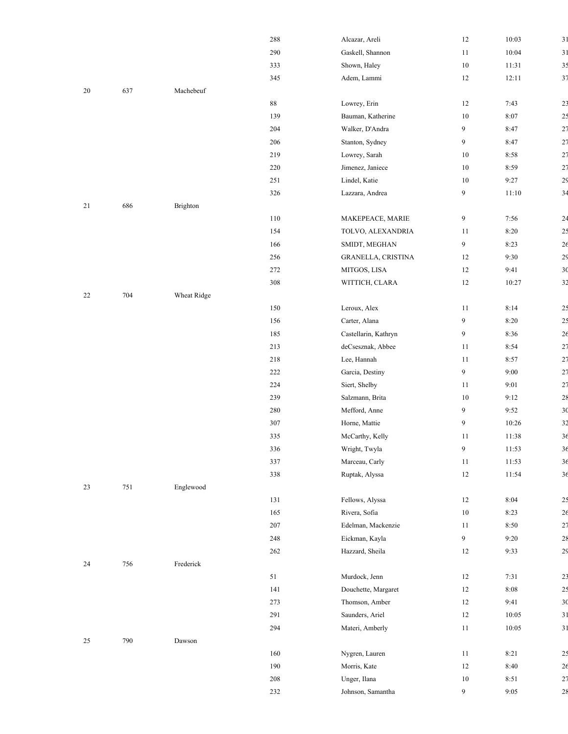|    |     |             | 288 | Alcazar, Areli           |
|----|-----|-------------|-----|--------------------------|
|    |     |             | 290 | Gaskell, Shannon         |
|    |     |             | 333 | Shown, Haley             |
|    |     |             | 345 | Adem, Lammi              |
| 20 | 637 | Machebeuf   |     |                          |
|    |     |             | 88  | Lowrey, Erin             |
|    |     |             | 139 | Bauman, Katherine        |
|    |     |             | 204 | Walker, D'Andra          |
|    |     |             | 206 | Stanton, Sydney          |
|    |     |             | 219 | Lowrey, Sarah            |
|    |     |             | 220 | Jimenez, Janiece         |
|    |     |             | 251 | Lindel, Katie            |
|    |     |             | 326 | Lazzara, Andrea          |
| 21 | 686 | Brighton    |     |                          |
|    |     |             | 110 | MAKEPEACE, MARIE         |
|    |     |             | 154 | TOLVO, ALEXANDRI.        |
|    |     |             | 166 | SMIDT, MEGHAN            |
|    |     |             | 256 |                          |
|    |     |             | 272 | <b>GRANELLA, CRISTIN</b> |
|    |     |             |     | MITGOS, LISA             |
|    |     |             | 308 | WITTICH, CLARA           |
| 22 | 704 | Wheat Ridge |     |                          |
|    |     |             | 150 | Leroux, Alex             |
|    |     |             | 156 | Carter, Alana            |
|    |     |             | 185 | Castellarin, Kathryn     |
|    |     |             | 213 | deCsesznak, Abbee        |
|    |     |             | 218 | Lee, Hannah              |
|    |     |             | 222 | Garcia, Destiny          |
|    |     |             | 224 | Siert, Shelby            |
|    |     |             | 239 | Salzmann, Brita          |
|    |     |             | 280 | Mefford, Anne            |
|    |     |             | 307 | Horne, Mattie            |
|    |     |             | 335 | McCarthy, Kelly          |
|    |     |             | 336 | Wright, Twyla            |
|    |     |             | 337 | Marceau, Carly           |
|    |     |             | 338 | Ruptak, Alyssa           |
| 23 | 751 | Englewood   |     |                          |
|    |     |             | 131 | Fellows, Alyssa          |
|    |     |             | 165 | Rivera, Sofia            |
|    |     |             | 207 | Edelman, Mackenzie       |
|    |     |             | 248 | Eickman, Kayla           |
|    |     |             | 262 | Hazzard, Sheila          |
| 24 | 756 | Frederick   |     |                          |
|    |     |             | 51  | Murdock, Jenn            |
|    |     |             | 141 | Douchette, Margaret      |
|    |     |             | 273 | Thomson, Amber           |
|    |     |             | 291 | Saunders, Ariel          |
|    |     |             | 294 | Materi, Amberly          |
| 25 | 790 | Dawson      |     |                          |
|    |     |             | 160 | Nygren, Lauren           |
|    |     |             | 190 | Morris, Kate             |
|    |     |             | 208 | Unger, Ilana             |
|    |     |             |     |                          |

|    |         |             | 288     | Alcazar, Areli       | $12\,$           | 10:03 | 31             |
|----|---------|-------------|---------|----------------------|------------------|-------|----------------|
|    |         |             | 290     | Gaskell, Shannon     | $11\,$           | 10:04 | 31             |
|    |         |             | 333     | Shown, Haley         | $10\,$           | 11:31 | 3 <sup>5</sup> |
|    |         |             | 345     | Adem, Lammi          | 12               | 12:11 | 37             |
| 20 | 637     | Machebeuf   |         |                      |                  |       |                |
|    |         |             | $88\,$  | Lowrey, Erin         | 12               | 7:43  | 23             |
|    |         |             | 139     | Bauman, Katherine    | 10               | 8:07  | 2 <sup>5</sup> |
|    |         |             | 204     | Walker, D'Andra      | 9                | 8:47  | 27             |
|    |         |             | $206\,$ | Stanton, Sydney      | 9                | 8:47  | 27             |
|    |         |             | 219     | Lowrey, Sarah        | $10\,$           | 8:58  | 27             |
|    |         |             | 220     | Jimenez, Janiece     | $10\,$           | 8:59  | 27             |
|    |         |             | 251     | Lindel, Katie        | $10\,$           | 9:27  | 29             |
|    |         |             | 326     | Lazzara, Andrea      | 9                | 11:10 | 34             |
| 21 | 686     | Brighton    |         |                      |                  |       |                |
|    |         |             | $110\,$ | MAKEPEACE, MARIE     | $\boldsymbol{9}$ | 7:56  | 24             |
|    |         |             | 154     | TOLVO, ALEXANDRIA    | 11               | 8:20  | 2 <sup>5</sup> |
|    |         |             | 166     | SMIDT, MEGHAN        | 9                | 8:23  | 26             |
|    |         |             | 256     | GRANELLA, CRISTINA   | 12               | 9:30  | 29             |
|    |         |             | $272\,$ | MITGOS, LISA         | 12               | 9:41  | 3 <sup>0</sup> |
|    |         |             | 308     | WITTICH, CLARA       | $12\,$           | 10:27 | 3 <sup>2</sup> |
| 22 | 704     | Wheat Ridge |         |                      |                  |       |                |
|    |         |             | 150     | Leroux, Alex         | 11               | 8:14  | 25             |
|    |         |             | 156     | Carter, Alana        | 9                | 8:20  | 2 <sup>5</sup> |
|    |         |             | 185     | Castellarin, Kathryn | 9                | 8:36  | 26             |
|    |         |             | 213     | deCsesznak, Abbee    | 11               | 8:54  | 27             |
|    |         |             | 218     | Lee, Hannah          | 11               | 8:57  | 27             |
|    |         |             | 222     | Garcia, Destiny      | 9                | 9:00  | 27             |
|    |         |             | 224     | Siert, Shelby        | 11               | 9:01  | 27             |
|    |         |             | 239     | Salzmann, Brita      | 10               | 9:12  | 28             |
|    |         |             | $280\,$ | Mefford, Anne        | 9                | 9:52  | 3 <sup>0</sup> |
|    |         |             | 307     | Horne, Mattie        | $\boldsymbol{9}$ | 10:26 | 32             |
|    |         |             | 335     | McCarthy, Kelly      | 11               | 11:38 | 36             |
|    |         |             | 336     | Wright, Twyla        | 9                | 11:53 | 36             |
|    |         |             | 337     | Marceau, Carly       | 11               | 11:53 | 36             |
|    |         |             | 338     | Ruptak, Alyssa       | $12\,$           | 11:54 | 36             |
| 23 | $751\,$ | Englewood   |         |                      |                  |       |                |
|    |         |             | 131     | Fellows, Alyssa      | 12               | 8:04  | 25             |
|    |         |             | 165     | Rivera, Sofia        | 10               | 8:23  | 26             |
|    |         |             | $207\,$ | Edelman, Mackenzie   | 11               | 8:50  | 27             |
|    |         |             | 248     | Eickman, Kayla       | 9                | 9:20  | 28             |
|    |         |             | 262     | Hazzard, Sheila      | 12               | 9:33  | 2 <sub>5</sub> |
| 24 | 756     | Frederick   |         |                      |                  |       |                |
|    |         |             | 51      | Murdock, Jenn        | 12               | 7:31  | 2 <sup>3</sup> |
|    |         |             | 141     | Douchette, Margaret  | 12               | 8:08  | 2 <sup>5</sup> |
|    |         |             | 273     | Thomson, Amber       | 12               | 9:41  | 3 <sup>0</sup> |
|    |         |             | 291     | Saunders, Ariel      | 12               | 10:05 | 31             |
|    |         |             | 294     | Materi, Amberly      | $11\,$           | 10:05 | 31             |
| 25 | 790     | Dawson      |         |                      |                  |       |                |
|    |         |             | 160     | Nygren, Lauren       | 11               | 8:21  | 25             |
|    |         |             | 190     | Morris, Kate         | 12               | 8:40  | 26             |
|    |         |             | 208     | Unger, Ilana         | 10               | 8:51  | 27             |
|    |         |             | 232     | Johnson, Samantha    | 9                | 9:05  | 28             |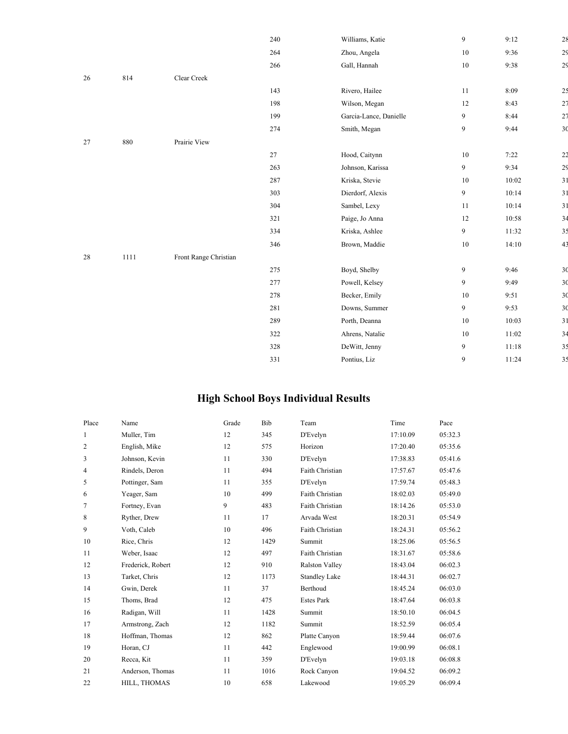|        |        |                       | 240 | Williams, Katie        | 9              | 9:12  | 28             |
|--------|--------|-----------------------|-----|------------------------|----------------|-------|----------------|
|        |        |                       | 264 | Zhou, Angela           | $10\,$         | 9:36  | 2 <sub>9</sub> |
|        |        |                       | 266 | Gall, Hannah           | $10\,$         | 9:38  | 2 <sub>9</sub> |
| 26     | 814    | Clear Creek           |     |                        |                |       |                |
|        |        |                       | 143 | Rivero, Hailee         | 11             | 8:09  | 25             |
|        |        |                       | 198 | Wilson, Megan          | 12             | 8:43  | 27             |
|        |        |                       | 199 | Garcia-Lance, Danielle | 9              | 8:44  | 27             |
|        |        |                       | 274 | Smith, Megan           | 9              | 9:44  | 3 <sup>0</sup> |
| 27     | 880    | Prairie View          |     |                        |                |       |                |
|        |        |                       | 27  | Hood, Caitynn          | $10\,$         | 7:22  | 22             |
|        |        |                       | 263 | Johnson, Karissa       | $\overline{9}$ | 9:34  | 29             |
|        |        |                       | 287 | Kriska, Stevie         | $10\,$         | 10:02 | 31             |
|        |        |                       | 303 | Dierdorf, Alexis       | 9              | 10:14 | 31             |
|        |        |                       | 304 | Sambel, Lexy           | 11             | 10:14 | 31             |
|        |        |                       | 321 | Paige, Jo Anna         | 12             | 10:58 | 34             |
|        |        |                       | 334 | Kriska, Ashlee         | 9              | 11:32 | 35             |
|        |        |                       | 346 | Brown, Maddie          | $10\,$         | 14:10 | 43             |
| $28\,$ | $1111$ | Front Range Christian |     |                        |                |       |                |
|        |        |                       | 275 | Boyd, Shelby           | 9              | 9:46  | 3 <sub>0</sub> |
|        |        |                       | 277 | Powell, Kelsey         | 9              | 9:49  | 3 <sub>0</sub> |
|        |        |                       | 278 | Becker, Emily          | $10\,$         | 9:51  | 3 <sub>0</sub> |
|        |        |                       | 281 | Downs, Summer          | 9              | 9:53  | 3 <sub>0</sub> |
|        |        |                       | 289 | Porth, Deanna          | 10             | 10:03 | 31             |
|        |        |                       | 322 | Ahrens, Natalie        | 10             | 11:02 | 34             |
|        |        |                       | 328 | DeWitt, Jenny          | 9              | 11:18 | 3 <sup>5</sup> |
|        |        |                       | 331 | Pontius, Liz           | 9              | 11:24 | 3 <sup>5</sup> |
|        |        |                       |     |                        |                |       |                |

#### **High School Boys Individual Results**

| Place          | Name              | Grade | Bib  | Team                  | Time     | Pace    |
|----------------|-------------------|-------|------|-----------------------|----------|---------|
| $\mathbf{1}$   | Muller, Tim       | 12    | 345  | D'Evelyn              | 17:10.09 | 05:32.3 |
| $\overline{c}$ | English, Mike     | 12    | 575  | Horizon               | 17:20.40 | 05:35.6 |
| 3              | Johnson, Kevin    | 11    | 330  | D'Evelyn              | 17:38.83 | 05:41.6 |
| 4              | Rindels, Deron    | 11    | 494  | Faith Christian       | 17:57.67 | 05:47.6 |
| 5              | Pottinger, Sam    | 11    | 355  | D'Evelyn              | 17:59.74 | 05:48.3 |
| 6              | Yeager, Sam       | 10    | 499  | Faith Christian       | 18:02.03 | 05:49.0 |
| $\tau$         | Fortney, Evan     | 9     | 483  | Faith Christian       | 18:14.26 | 05:53.0 |
| 8              | Ryther, Drew      | 11    | 17   | Arvada West           | 18:20.31 | 05:54.9 |
| 9              | Voth, Caleb       | 10    | 496  | Faith Christian       | 18:24.31 | 05:56.2 |
| 10             | Rice, Chris       | 12    | 1429 | Summit                | 18:25.06 | 05:56.5 |
| 11             | Weber, Isaac      | 12    | 497  | Faith Christian       | 18:31.67 | 05:58.6 |
| 12             | Frederick, Robert | 12    | 910  | <b>Ralston Valley</b> | 18:43.04 | 06:02.3 |
| 13             | Tarket, Chris     | 12    | 1173 | <b>Standley Lake</b>  | 18:44.31 | 06:02.7 |
| 14             | Gwin, Derek       | 11    | 37   | Berthoud              | 18:45.24 | 06:03.0 |
| 15             | Thoms, Brad       | 12    | 475  | <b>Estes Park</b>     | 18:47.64 | 06:03.8 |
| 16             | Radigan, Will     | 11    | 1428 | Summit                | 18:50.10 | 06:04.5 |
| 17             | Armstrong, Zach   | 12    | 1182 | Summit                | 18:52.59 | 06:05.4 |
| 18             | Hoffman, Thomas   | 12    | 862  | Platte Canyon         | 18:59.44 | 06:07.6 |
| 19             | Horan, CJ         | 11    | 442  | Englewood             | 19:00.99 | 06:08.1 |
| 20             | Recca, Kit        | 11    | 359  | D'Evelyn              | 19:03.18 | 06:08.8 |
| 21             | Anderson, Thomas  | 11    | 1016 | Rock Canyon           | 19:04.52 | 06:09.2 |
| 22             | HILL, THOMAS      | 10    | 658  | Lakewood              | 19:05.29 | 06:09.4 |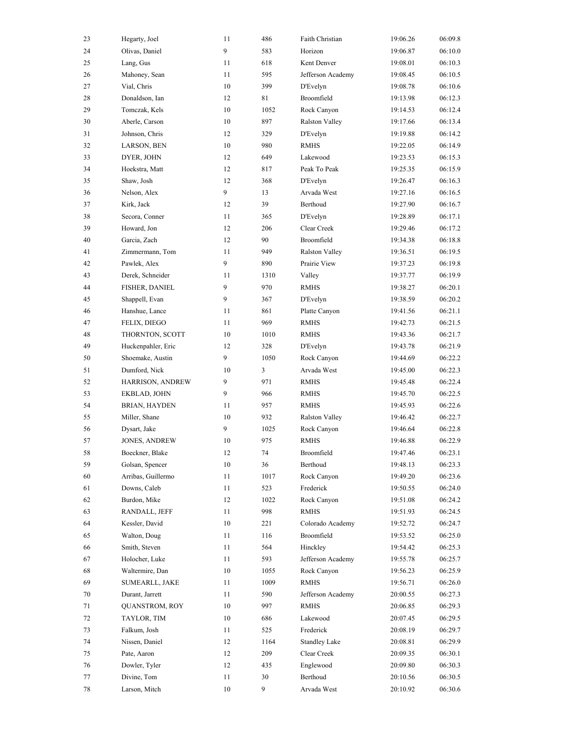| 23 | Hegarty, Joel         | 11 | 486  | Faith Christian       | 19:06.26 | 06:09.8 |
|----|-----------------------|----|------|-----------------------|----------|---------|
| 24 | Olivas, Daniel        | 9  | 583  | Horizon               | 19:06.87 | 06:10.0 |
| 25 | Lang, Gus             | 11 | 618  | Kent Denver           | 19:08.01 | 06:10.3 |
| 26 | Mahoney, Sean         | 11 | 595  | Jefferson Academy     | 19:08.45 | 06:10.5 |
| 27 | Vial, Chris           | 10 | 399  | D'Evelyn              | 19:08.78 | 06:10.6 |
| 28 | Donaldson, Ian        | 12 | 81   | Broomfield            | 19:13.98 | 06:12.3 |
| 29 | Tomczak, Kels         | 10 | 1052 | Rock Canyon           | 19:14.53 | 06:12.4 |
| 30 | Aberle, Carson        | 10 | 897  | Ralston Valley        | 19:17.66 | 06:13.4 |
| 31 | Johnson, Chris        | 12 | 329  | D'Evelyn              | 19:19.88 | 06:14.2 |
| 32 | LARSON, BEN           | 10 | 980  | <b>RMHS</b>           | 19:22.05 | 06:14.9 |
| 33 | DYER, JOHN            | 12 | 649  | Lakewood              | 19:23.53 | 06:15.3 |
| 34 | Hoekstra, Matt        | 12 | 817  | Peak To Peak          | 19:25.35 | 06:15.9 |
| 35 | Shaw, Josh            | 12 | 368  | D'Evelyn              | 19:26.47 | 06:16.3 |
| 36 | Nelson, Alex          | 9  | 13   | Arvada West           | 19:27.16 | 06:16.5 |
| 37 | Kirk, Jack            | 12 | 39   | Berthoud              | 19:27.90 | 06:16.7 |
| 38 | Secora, Conner        | 11 | 365  | D'Evelyn              | 19:28.89 | 06:17.1 |
| 39 | Howard, Jon           | 12 | 206  | Clear Creek           | 19:29.46 | 06:17.2 |
| 40 | Garcia, Zach          | 12 | 90   | Broomfield            | 19:34.38 | 06:18.8 |
| 41 | Zimmermann, Tom       | 11 | 949  | <b>Ralston Valley</b> | 19:36.51 | 06:19.5 |
| 42 | Pawlek, Alex          | 9  | 890  | Prairie View          | 19:37.23 | 06:19.8 |
| 43 | Derek, Schneider      | 11 | 1310 | Valley                | 19:37.77 | 06:19.9 |
| 44 | FISHER, DANIEL        | 9  | 970  | <b>RMHS</b>           | 19:38.27 | 06:20.1 |
| 45 | Shappell, Evan        | 9  | 367  | D'Evelyn              | 19:38.59 | 06:20.2 |
| 46 | Hanshue, Lance        | 11 | 861  | Platte Canyon         | 19:41.56 | 06:21.1 |
| 47 | FELIX, DIEGO          | 11 | 969  | <b>RMHS</b>           | 19:42.73 | 06:21.5 |
| 48 | THORNTON, SCOTT       | 10 | 1010 | <b>RMHS</b>           | 19:43.36 | 06:21.7 |
| 49 | Huckenpahler, Eric    | 12 | 328  | D'Evelyn              | 19:43.78 | 06:21.9 |
| 50 | Shoemake, Austin      | 9  | 1050 | Rock Canyon           | 19:44.69 | 06:22.2 |
| 51 | Dumford, Nick         | 10 | 3    | Arvada West           | 19:45.00 | 06:22.3 |
| 52 | HARRISON, ANDREW      | 9  | 971  | <b>RMHS</b>           | 19:45.48 | 06:22.4 |
| 53 | EKBLAD, JOHN          | 9  | 966  | <b>RMHS</b>           | 19:45.70 | 06:22.5 |
| 54 | <b>BRIAN, HAYDEN</b>  | 11 | 957  | <b>RMHS</b>           | 19:45.93 | 06:22.6 |
| 55 | Miller, Shane         | 10 | 932  | Ralston Valley        | 19:46.42 | 06:22.7 |
| 56 | Dysart, Jake          | 9  | 1025 | Rock Canyon           | 19:46.64 | 06:22.8 |
| 57 | <b>JONES, ANDREW</b>  | 10 | 975  | <b>RMHS</b>           | 19:46.88 | 06:22.9 |
| 58 | Boeckner, Blake       | 12 | 74   | Broomfield            | 19:47.46 | 06:23.1 |
| 59 | Golsan, Spencer       | 10 | 36   | Berthoud              | 19:48.13 | 06:23.3 |
| 60 | Arribas, Guillermo    | 11 | 1017 | Rock Canyon           | 19:49.20 | 06:23.6 |
| 61 | Downs, Caleb          | 11 | 523  | Frederick             | 19:50.55 | 06:24.0 |
| 62 | Burdon, Mike          | 12 | 1022 | Rock Canyon           | 19:51.08 | 06:24.2 |
| 63 | RANDALL, JEFF         | 11 | 998  | <b>RMHS</b>           | 19:51.93 | 06:24.5 |
| 64 | Kessler, David        | 10 | 221  | Colorado Academy      | 19:52.72 | 06:24.7 |
| 65 | Walton, Doug          | 11 | 116  | Broomfield            | 19:53.52 | 06:25.0 |
| 66 | Smith, Steven         | 11 | 564  | Hinckley              | 19:54.42 | 06:25.3 |
| 67 | Holocher, Luke        | 11 | 593  | Jefferson Academy     | 19:55.78 | 06:25.7 |
| 68 | Waltermire, Dan       | 10 | 1055 | Rock Canyon           | 19:56.23 | 06:25.9 |
| 69 | SUMEARLL, JAKE        | 11 | 1009 | <b>RMHS</b>           | 19:56.71 | 06:26.0 |
| 70 | Durant, Jarrett       | 11 | 590  | Jefferson Academy     | 20:00.55 | 06:27.3 |
| 71 | <b>QUANSTROM, ROY</b> | 10 | 997  | <b>RMHS</b>           | 20:06.85 | 06:29.3 |
| 72 | TAYLOR, TIM           | 10 | 686  | Lakewood              | 20:07.45 | 06:29.5 |
| 73 | Falkum, Josh          | 11 | 525  | Frederick             | 20:08.19 | 06:29.7 |
| 74 | Nissen, Daniel        | 12 | 1164 | <b>Standley Lake</b>  | 20:08.81 | 06:29.9 |
| 75 | Pate, Aaron           | 12 | 209  | Clear Creek           | 20:09.35 | 06:30.1 |
| 76 | Dowler, Tyler         | 12 | 435  | Englewood             | 20:09.80 | 06:30.3 |
| 77 | Divine, Tom           | 11 | 30   | Berthoud              | 20:10.56 | 06:30.5 |
| 78 | Larson, Mitch         | 10 | 9    | Arvada West           | 20:10.92 | 06:30.6 |
|    |                       |    |      |                       |          |         |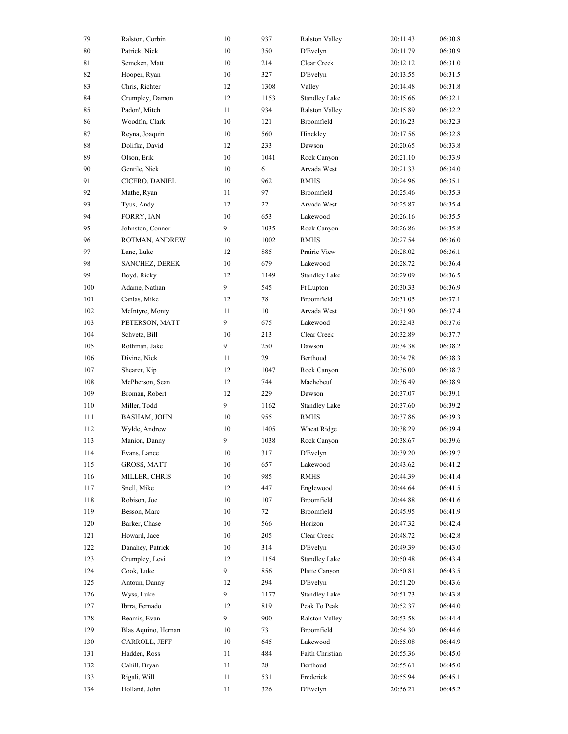| 79  | Ralston, Corbin     | 10     | 937  | <b>Ralston Valley</b> | 20:11.43 | 06:30.8 |
|-----|---------------------|--------|------|-----------------------|----------|---------|
| 80  | Patrick, Nick       | 10     | 350  | D'Evelyn              | 20:11.79 | 06:30.9 |
| 81  | Semcken, Matt       | 10     | 214  | Clear Creek           | 20:12.12 | 06:31.0 |
| 82  | Hooper, Ryan        | 10     | 327  | D'Evelyn              | 20:13.55 | 06:31.5 |
| 83  | Chris, Richter      | 12     | 1308 | Valley                | 20:14.48 | 06:31.8 |
| 84  | Crumpley, Damon     | 12     | 1153 | <b>Standley Lake</b>  | 20:15.66 | 06:32.1 |
| 85  | Padon', Mitch       | 11     | 934  | Ralston Valley        | 20:15.89 | 06:32.2 |
| 86  | Woodfin, Clark      | 10     | 121  | Broomfield            | 20:16.23 | 06:32.3 |
| 87  | Reyna, Joaquin      | 10     | 560  | Hinckley              | 20:17.56 | 06:32.8 |
| 88  | Dolifka, David      | 12     | 233  | Dawson                | 20:20.65 | 06:33.8 |
| 89  | Olson, Erik         | 10     | 1041 | Rock Canyon           | 20:21.10 | 06:33.9 |
| 90  | Gentile, Nick       | 10     | 6    | Arvada West           | 20:21.33 | 06:34.0 |
| 91  | CICERO, DANIEL      | 10     | 962  | <b>RMHS</b>           | 20:24.96 | 06:35.1 |
| 92  | Mathe, Ryan         | 11     | 97   | Broomfield            | 20:25.46 | 06:35.3 |
| 93  | Tyus, Andy          | 12     | 22   | Arvada West           | 20:25.87 | 06:35.4 |
| 94  | FORRY, IAN          | 10     | 653  | Lakewood              | 20:26.16 | 06:35.5 |
| 95  | Johnston, Connor    | 9      | 1035 | Rock Canyon           | 20:26.86 | 06:35.8 |
| 96  | ROTMAN, ANDREW      | 10     | 1002 | <b>RMHS</b>           | 20:27.54 | 06:36.0 |
| 97  | Lane, Luke          | 12     | 885  | Prairie View          | 20:28.02 | 06:36.1 |
| 98  | SANCHEZ, DEREK      | 10     | 679  | Lakewood              | 20:28.72 | 06:36.4 |
| 99  | Boyd, Ricky         | 12     | 1149 | <b>Standley Lake</b>  | 20:29.09 | 06:36.5 |
| 100 | Adame, Nathan       | 9      | 545  | Ft Lupton             | 20:30.33 | 06:36.9 |
| 101 | Canlas, Mike        | 12     | 78   | Broomfield            | 20:31.05 | 06:37.1 |
| 102 | McIntyre, Monty     | 11     | 10   | Arvada West           | 20:31.90 | 06:37.4 |
| 103 | PETERSON, MATT      | 9      | 675  | Lakewood              | 20:32.43 | 06:37.6 |
| 104 | Schvetz, Bill       | 10     | 213  | Clear Creek           | 20:32.89 | 06:37.7 |
| 105 | Rothman, Jake       | 9      | 250  | Dawson                | 20:34.38 | 06:38.2 |
| 106 | Divine, Nick        | 11     | 29   | Berthoud              | 20:34.78 | 06:38.3 |
| 107 | Shearer, Kip        | 12     | 1047 | Rock Canyon           | 20:36.00 | 06:38.7 |
| 108 | McPherson, Sean     | 12     | 744  | Machebeuf             | 20:36.49 | 06:38.9 |
| 109 | Broman, Robert      | 12     | 229  | Dawson                | 20:37.07 | 06:39.1 |
| 110 | Miller, Todd        | 9      | 1162 | <b>Standley Lake</b>  | 20:37.60 | 06:39.2 |
| 111 | BASHAM, JOHN        | 10     | 955  | <b>RMHS</b>           | 20:37.86 | 06:39.3 |
| 112 | Wylde, Andrew       | 10     | 1405 | Wheat Ridge           | 20:38.29 | 06:39.4 |
| 113 | Manion, Danny       | 9      | 1038 | Rock Canyon           | 20:38.67 | 06:39.6 |
| 114 | Evans, Lance        | $10\,$ | 317  | D'Evelyn              | 20:39.20 | 06:39.7 |
| 115 | GROSS, MATT         | 10     | 657  | Lakewood              | 20:43.62 | 06:41.2 |
| 116 | MILLER, CHRIS       | 10     | 985  | <b>RMHS</b>           | 20:44.39 | 06:41.4 |
| 117 | Snell, Mike         | 12     | 447  | Englewood             | 20:44.64 | 06:41.5 |
| 118 | Robison, Joe        | 10     | 107  | Broomfield            | 20:44.88 | 06:41.6 |
| 119 | Besson, Marc        | 10     | 72   | Broomfield            | 20:45.95 | 06:41.9 |
| 120 | Barker, Chase       | 10     | 566  | Horizon               | 20:47.32 | 06:42.4 |
| 121 | Howard, Jace        | 10     | 205  | Clear Creek           | 20:48.72 | 06:42.8 |
| 122 | Danahey, Patrick    | 10     | 314  | D'Evelyn              | 20:49.39 | 06:43.0 |
| 123 | Crumpley, Levi      | 12     | 1154 | <b>Standley Lake</b>  | 20:50.48 | 06:43.4 |
| 124 | Cook, Luke          | 9      | 856  | Platte Canyon         | 20:50.81 | 06:43.5 |
| 125 | Antoun, Danny       | 12     | 294  | D'Evelyn              | 20:51.20 | 06:43.6 |
| 126 | Wyss, Luke          | 9      | 1177 | <b>Standley Lake</b>  | 20:51.73 | 06:43.8 |
| 127 | Ibrra, Fernado      | 12     | 819  | Peak To Peak          | 20:52.37 | 06:44.0 |
| 128 | Beamis, Evan        | 9      | 900  | Ralston Valley        | 20:53.58 | 06:44.4 |
| 129 | Blas Aquino, Hernan | 10     | 73   | Broomfield            | 20:54.30 | 06:44.6 |
| 130 | CARROLL, JEFF       | 10     | 645  | Lakewood              | 20:55.08 | 06:44.9 |
| 131 | Hadden, Ross        | 11     | 484  | Faith Christian       | 20:55.36 | 06:45.0 |
| 132 | Cahill, Bryan       | 11     | 28   | Berthoud              | 20:55.61 | 06:45.0 |
| 133 | Rigali, Will        | 11     | 531  | Frederick             | 20:55.94 | 06:45.1 |
| 134 | Holland, John       | 11     | 326  | D'Evelyn              | 20:56.21 | 06:45.2 |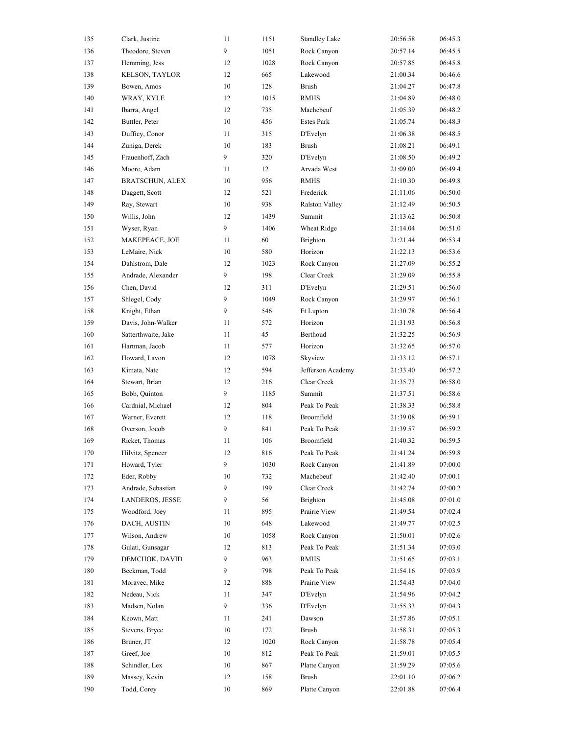| 135 | Clark, Justine         | 11     | 1151 | <b>Standley Lake</b>  | 20:56.58 | 06:45.3 |
|-----|------------------------|--------|------|-----------------------|----------|---------|
| 136 | Theodore, Steven       | 9      | 1051 | Rock Canyon           | 20:57.14 | 06:45.5 |
| 137 | Hemming, Jess          | 12     | 1028 | Rock Canyon           | 20:57.85 | 06:45.8 |
| 138 | KELSON, TAYLOR         | 12     | 665  | Lakewood              | 21:00.34 | 06:46.6 |
| 139 | Bowen, Amos            | $10\,$ | 128  | <b>Brush</b>          | 21:04.27 | 06:47.8 |
| 140 | WRAY, KYLE             | 12     | 1015 | <b>RMHS</b>           | 21:04.89 | 06:48.0 |
| 141 | Ibarra, Angel          | 12     | 735  | Machebeuf             | 21:05.39 | 06:48.2 |
| 142 | Buttler, Peter         | $10\,$ | 456  | <b>Estes Park</b>     | 21:05.74 | 06:48.3 |
| 143 | Dufficy, Conor         | 11     | 315  | D'Evelyn              | 21:06.38 | 06:48.5 |
| 144 | Zuniga, Derek          | 10     | 183  | <b>Brush</b>          | 21:08.21 | 06:49.1 |
| 145 | Frauenhoff, Zach       | 9      | 320  | D'Evelyn              | 21:08.50 | 06:49.2 |
| 146 | Moore, Adam            | 11     | 12   | Arvada West           | 21:09.00 | 06:49.4 |
| 147 | <b>BRATSCHUN, ALEX</b> | 10     | 956  | <b>RMHS</b>           | 21:10.30 | 06:49.8 |
| 148 | Daggett, Scott         | 12     | 521  | Frederick             | 21:11.06 | 06:50.0 |
| 149 | Ray, Stewart           | 10     | 938  | <b>Ralston Valley</b> | 21:12.49 | 06:50.5 |
| 150 | Willis, John           | 12     | 1439 | Summit                | 21:13.62 | 06:50.8 |
| 151 | Wyser, Ryan            | 9      | 1406 | Wheat Ridge           | 21:14.04 | 06:51.0 |
| 152 | MAKEPEACE, JOE         | 11     | 60   | Brighton              | 21:21.44 | 06:53.4 |
| 153 | LeMaire, Nick          | $10\,$ | 580  | Horizon               | 21:22.13 | 06:53.6 |
| 154 | Dahlstrom, Dale        | 12     | 1023 | Rock Canyon           | 21:27.09 | 06:55.2 |
| 155 | Andrade, Alexander     | 9      | 198  | Clear Creek           | 21:29.09 | 06:55.8 |
| 156 | Chen, David            | 12     | 311  | D'Evelyn              | 21:29.51 | 06:56.0 |
| 157 | Shlegel, Cody          | 9      | 1049 | Rock Canyon           | 21:29.97 | 06:56.1 |
| 158 | Knight, Ethan          | 9      | 546  | Ft Lupton             | 21:30.78 | 06:56.4 |
| 159 | Davis, John-Walker     | 11     | 572  | Horizon               | 21:31.93 | 06:56.8 |
| 160 | Satterthwaite, Jake    | 11     | 45   | Berthoud              | 21:32.25 | 06:56.9 |
| 161 | Hartman, Jacob         | 11     | 577  | Horizon               | 21:32.65 | 06:57.0 |
| 162 | Howard, Lavon          | 12     | 1078 | Skyview               | 21:33.12 | 06:57.1 |
| 163 | Kimata, Nate           | 12     | 594  | Jefferson Academy     | 21:33.40 | 06:57.2 |
| 164 | Stewart, Brian         | 12     | 216  | Clear Creek           | 21:35.73 | 06:58.0 |
| 165 | Bobb, Quinton          | 9      | 1185 | Summit                | 21:37.51 | 06:58.6 |
| 166 | Cardnial, Michael      | 12     | 804  | Peak To Peak          | 21:38.33 | 06:58.8 |
| 167 | Warner, Everett        | 12     | 118  | Broomfield            | 21:39.08 | 06:59.1 |
| 168 | Overson, Jocob         | 9      | 841  | Peak To Peak          | 21:39.57 | 06:59.2 |
| 169 | Ricket, Thomas         | 11     | 106  | Broomfield            | 21:40.32 | 06:59.5 |
| 170 | Hilvitz, Spencer       | 12     | 816  | Peak To Peak          | 21:41.24 | 06:59.8 |
| 171 | Howard, Tyler          | 9      | 1030 | Rock Canyon           | 21:41.89 | 07:00.0 |
| 172 | Eder, Robby            | 10     | 732  | Machebeuf             | 21:42.40 | 07:00.1 |
| 173 | Andrade, Sebastian     | 9      | 199  | Clear Creek           | 21:42.74 | 07:00.2 |
| 174 | LANDEROS, JESSE        | 9      | 56   | Brighton              | 21:45.08 | 07:01.0 |
| 175 | Woodford, Joev         | 11     | 895  | Prairie View          | 21:49.54 | 07:02.4 |
| 176 | DACH, AUSTIN           | 10     | 648  | Lakewood              | 21:49.77 | 07:02.5 |
| 177 | Wilson, Andrew         | 10     | 1058 | Rock Canyon           | 21:50.01 | 07:02.6 |
| 178 | Gulati, Gunsagar       | 12     | 813  | Peak To Peak          | 21:51.34 | 07:03.0 |
| 179 | DEMCHOK, DAVID         | 9      | 963  | <b>RMHS</b>           | 21:51.65 | 07:03.1 |
| 180 | Beckman, Todd          | 9      | 798  | Peak To Peak          | 21:54.16 | 07:03.9 |
| 181 | Moravec, Mike          | 12     | 888  | Prairie View          | 21:54.43 | 07:04.0 |
| 182 | Nedeau, Nick           | 11     | 347  | D'Evelyn              | 21:54.96 | 07:04.2 |
| 183 | Madsen, Nolan          | 9      | 336  | D'Evelyn              | 21:55.33 | 07:04.3 |
| 184 | Keown, Matt            | 11     | 241  | Dawson                | 21:57.86 | 07:05.1 |
| 185 | Stevens, Bryce         | 10     | 172  | Brush                 | 21:58.31 | 07:05.3 |
| 186 | Bruner, JT             | 12     | 1020 | Rock Canyon           | 21:58.78 | 07:05.4 |
| 187 | Greef, Joe             | 10     | 812  | Peak To Peak          | 21:59.01 | 07:05.5 |
| 188 | Schindler, Lex         | 10     | 867  | Platte Canyon         | 21:59.29 | 07:05.6 |
| 189 | Massey, Kevin          | 12     | 158  | Brush                 | 22:01.10 | 07:06.2 |
| 190 | Todd, Corey            | 10     | 869  | Platte Canyon         | 22:01.88 | 07:06.4 |
|     |                        |        |      |                       |          |         |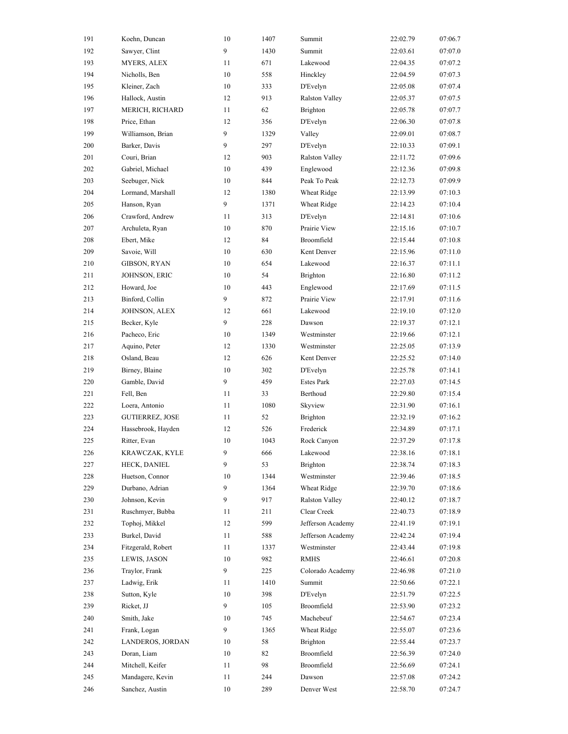| 191 | Koehn, Duncan          | 10 | 1407 | Summit                | 22:02.79 | 07:06.7 |
|-----|------------------------|----|------|-----------------------|----------|---------|
| 192 | Sawyer, Clint          | 9  | 1430 | Summit                | 22:03.61 | 07:07.0 |
| 193 | <b>MYERS, ALEX</b>     | 11 | 671  | Lakewood              | 22:04.35 | 07:07.2 |
| 194 | Nicholls, Ben          | 10 | 558  | Hinckley              | 22:04.59 | 07:07.3 |
| 195 | Kleiner, Zach          | 10 | 333  | D'Evelyn              | 22:05.08 | 07:07.4 |
| 196 | Hallock, Austin        | 12 | 913  | Ralston Valley        | 22:05.37 | 07:07.5 |
| 197 | MERICH, RICHARD        | 11 | 62   | Brighton              | 22:05.78 | 07:07.7 |
| 198 | Price, Ethan           | 12 | 356  | D'Evelyn              | 22:06.30 | 07:07.8 |
| 199 | Williamson, Brian      | 9  | 1329 | Valley                | 22:09.01 | 07:08.7 |
| 200 | Barker, Davis          | 9  | 297  | D'Evelyn              | 22:10.33 | 07:09.1 |
| 201 | Couri, Brian           | 12 | 903  | <b>Ralston Valley</b> | 22:11.72 | 07:09.6 |
| 202 | Gabriel, Michael       | 10 | 439  | Englewood             | 22:12.36 | 07:09.8 |
| 203 | Seebuger, Nick         | 10 | 844  | Peak To Peak          | 22:12.73 | 07:09.9 |
| 204 | Lormand, Marshall      | 12 | 1380 | Wheat Ridge           | 22:13.99 | 07:10.3 |
| 205 | Hanson, Ryan           | 9  | 1371 | Wheat Ridge           | 22:14.23 | 07:10.4 |
| 206 | Crawford, Andrew       | 11 | 313  | D'Evelyn              | 22:14.81 | 07:10.6 |
| 207 | Archuleta, Ryan        | 10 | 870  | Prairie View          | 22:15.16 | 07:10.7 |
| 208 | Ebert, Mike            | 12 | 84   | Broomfield            | 22:15.44 | 07:10.8 |
| 209 | Savoie, Will           | 10 | 630  | Kent Denver           | 22:15.96 | 07:11.0 |
| 210 | GIBSON, RYAN           | 10 | 654  | Lakewood              | 22:16.37 | 07:11.1 |
| 211 | JOHNSON, ERIC          | 10 | 54   | Brighton              | 22:16.80 | 07:11.2 |
| 212 | Howard, Joe            | 10 | 443  | Englewood             | 22:17.69 | 07:11.5 |
| 213 | Binford, Collin        | 9  | 872  | Prairie View          | 22:17.91 | 07:11.6 |
| 214 | JOHNSON, ALEX          | 12 | 661  | Lakewood              | 22:19.10 | 07:12.0 |
| 215 | Becker, Kyle           | 9  | 228  | Dawson                | 22:19.37 | 07:12.1 |
| 216 | Pacheco, Eric          | 10 | 1349 | Westminster           | 22:19.66 | 07:12.1 |
| 217 | Aquino, Peter          | 12 | 1330 | Westminster           | 22:25.05 | 07:13.9 |
| 218 | Osland, Beau           | 12 | 626  | Kent Denver           | 22:25.52 | 07:14.0 |
| 219 | Birney, Blaine         | 10 | 302  | D'Evelyn              | 22:25.78 | 07:14.1 |
| 220 | Gamble, David          | 9  | 459  | <b>Estes Park</b>     | 22:27.03 | 07:14.5 |
| 221 | Fell, Ben              | 11 | 33   | Berthoud              | 22:29.80 | 07:15.4 |
| 222 | Loera, Antonio         | 11 | 1080 | Skyview               | 22:31.90 | 07:16.1 |
| 223 | <b>GUTIERREZ, JOSE</b> | 11 | 52   | Brighton              | 22:32.19 | 07:16.2 |
| 224 | Hassebrook, Hayden     | 12 | 526  | Frederick             | 22:34.89 | 07:17.1 |
| 225 | Ritter, Evan           | 10 | 1043 | Rock Canyon           | 22:37.29 | 07:17.8 |
| 226 | KRAWCZAK, KYLE         | 9  | 666  | Lakewood              | 22:38.16 | 07:18.1 |
| 227 | HECK, DANIEL           | 9  | 53   | <b>Brighton</b>       | 22:38.74 | 07:18.3 |
| 228 | Huetson, Connor        | 10 | 1344 | Westminster           | 22:39.46 | 07:18.5 |
| 229 | Durbano, Adrian        | 9  | 1364 | Wheat Ridge           | 22:39.70 | 07:18.6 |
| 230 | Johnson, Kevin         | 9  | 917  | <b>Ralston Valley</b> | 22:40.12 | 07:18.7 |
| 231 | Ruschmyer, Bubba       | 11 | 211  | Clear Creek           | 22:40.73 | 07:18.9 |
| 232 | Tophoj, Mikkel         | 12 | 599  | Jefferson Academy     | 22:41.19 | 07:19.1 |
| 233 | Burkel, David          | 11 | 588  | Jefferson Academy     | 22:42.24 | 07:19.4 |
| 234 | Fitzgerald, Robert     | 11 | 1337 | Westminster           | 22:43.44 | 07:19.8 |
| 235 | <b>LEWIS, JASON</b>    | 10 | 982  | <b>RMHS</b>           | 22:46.61 | 07:20.8 |
| 236 | Traylor, Frank         | 9  | 225  | Colorado Academy      | 22:46.98 | 07:21.0 |
| 237 | Ladwig, Erik           | 11 | 1410 | Summit                | 22:50.66 | 07:22.1 |
| 238 | Sutton, Kyle           | 10 | 398  | D'Evelyn              | 22:51.79 | 07:22.5 |
| 239 | Ricket, JJ             | 9  | 105  | Broomfield            | 22:53.90 | 07:23.2 |
| 240 | Smith, Jake            | 10 | 745  | Machebeuf             | 22:54.67 | 07:23.4 |
| 241 | Frank, Logan           | 9  | 1365 | Wheat Ridge           | 22:55.07 | 07:23.6 |
| 242 | LANDEROS, JORDAN       | 10 | 58   | <b>Brighton</b>       | 22:55.44 | 07:23.7 |
| 243 | Doran, Liam            | 10 | 82   | Broomfield            | 22:56.39 | 07:24.0 |
| 244 | Mitchell, Keifer       | 11 | 98   | Broomfield            | 22:56.69 | 07:24.1 |
| 245 | Mandagere, Kevin       | 11 | 244  | Dawson                | 22:57.08 | 07:24.2 |
| 246 | Sanchez, Austin        | 10 | 289  | Denver West           | 22:58.70 | 07:24.7 |
|     |                        |    |      |                       |          |         |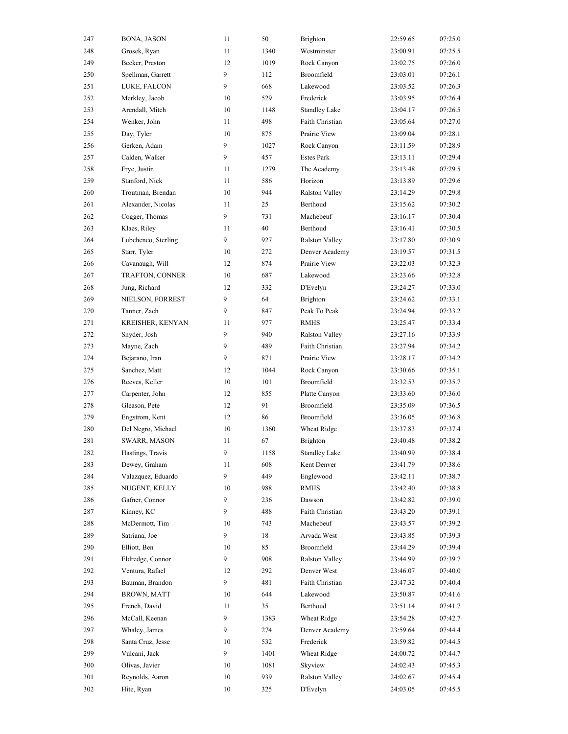| 247 | BONA, JASON         | 11 | 50   | Brighton              | 22:59.65 | 07:25.0 |
|-----|---------------------|----|------|-----------------------|----------|---------|
| 248 | Grosek, Ryan        | 11 | 1340 | Westminster           | 23:00.91 | 07:25.5 |
| 249 | Becker, Preston     | 12 | 1019 | Rock Canyon           | 23:02.75 | 07:26.0 |
| 250 | Spellman, Garrett   | 9  | 112  | Broomfield            | 23:03.01 | 07:26.1 |
| 251 | LUKE, FALCON        | 9  | 668  | Lakewood              | 23:03.52 | 07:26.3 |
| 252 | Merkley, Jacob      | 10 | 529  | Frederick             | 23:03.95 | 07:26.4 |
| 253 | Arendall, Mitch     | 10 | 1148 | <b>Standley Lake</b>  | 23:04.17 | 07:26.5 |
| 254 | Wenker, John        | 11 | 498  | Faith Christian       | 23:05.64 | 07:27.0 |
| 255 | Day, Tyler          | 10 | 875  | Prairie View          | 23:09.04 | 07:28.1 |
| 256 | Gerken, Adam        | 9  | 1027 | Rock Canyon           | 23:11.59 | 07:28.9 |
| 257 | Calden, Walker      | 9  | 457  | <b>Estes Park</b>     | 23:13.11 | 07:29.4 |
| 258 | Frye, Justin        | 11 | 1279 | The Academy           | 23:13.48 | 07:29.5 |
| 259 | Stanford, Nick      | 11 | 586  | Horizon               | 23:13.89 | 07:29.6 |
| 260 | Troutman, Brendan   | 10 | 944  | Ralston Valley        | 23:14.29 | 07:29.8 |
| 261 | Alexander, Nicolas  | 11 | 25   | Berthoud              | 23:15.62 | 07:30.2 |
| 262 | Cogger, Thomas      | 9  | 731  | Machebeuf             | 23:16.17 | 07:30.4 |
| 263 | Klaes, Riley        | 11 | 40   | Berthoud              | 23:16.41 | 07:30.5 |
| 264 | Lubchenco, Sterling | 9  | 927  | <b>Ralston Valley</b> | 23:17.80 | 07:30.9 |
| 265 | Starr, Tyler        | 10 | 272  | Denver Academy        | 23:19.57 | 07:31.5 |
| 266 | Cavanaugh, Will     | 12 | 874  | Prairie View          | 23:22.03 | 07:32.3 |
| 267 | TRAFTON, CONNER     | 10 | 687  | Lakewood              | 23:23.66 | 07:32.8 |
| 268 | Jung, Richard       | 12 | 332  | D'Evelyn              | 23:24.27 | 07:33.0 |
| 269 | NIELSON, FORREST    | 9  | 64   | Brighton              | 23:24.62 | 07:33.1 |
| 270 | Tanner, Zach        | 9  | 847  | Peak To Peak          | 23:24.94 | 07:33.2 |
| 271 | KREISHER, KENYAN    | 11 | 977  | <b>RMHS</b>           | 23:25.47 | 07:33.4 |
| 272 | Snyder, Josh        | 9  | 940  | <b>Ralston Valley</b> | 23:27.16 | 07:33.9 |
| 273 | Mayne, Zach         | 9  | 489  | Faith Christian       | 23:27.94 | 07:34.2 |
| 274 | Bejarano, Iran      | 9  | 871  | Prairie View          | 23:28.17 | 07:34.2 |
| 275 | Sanchez, Matt       | 12 | 1044 | Rock Canyon           | 23:30.66 | 07:35.1 |
| 276 | Reeves, Keller      | 10 | 101  | Broomfield            | 23:32.53 | 07:35.7 |
| 277 | Carpenter, John     | 12 | 855  | Platte Canyon         | 23:33.60 | 07:36.0 |
| 278 | Gleason, Pete       | 12 | 91   | Broomfield            | 23:35.09 | 07:36.5 |
| 279 | Engstrom, Kent      | 12 | 86   | Broomfield            | 23:36.05 | 07:36.8 |
| 280 | Del Negro, Michael  | 10 | 1360 | Wheat Ridge           | 23:37.83 | 07:37.4 |
| 281 | SWARR, MASON        | 11 | 67   | <b>Brighton</b>       | 23:40.48 | 07:38.2 |
| 282 | Hastings, Travis    | 9  | 1158 | <b>Standley Lake</b>  | 23:40.99 | 07:38.4 |
| 283 | Dewey, Graham       | 11 | 608  | Kent Denver           | 23:41.79 | 07:38.6 |
| 284 | Valazquez, Eduardo  | 9  | 449  | Englewood             | 23:42.11 | 07:38.7 |
| 285 | NUGENT, KELLY       | 10 | 988  | RMHS                  | 23:42.40 | 07:38.8 |
| 286 | Gafner, Connor      | 9  | 236  | Dawson                | 23:42.82 | 07:39.0 |
| 287 | Kinney, KC          | 9  | 488  | Faith Christian       | 23:43.20 | 07:39.1 |
| 288 | McDermott, Tim      | 10 | 743  | Machebeuf             | 23:43.57 | 07:39.2 |
| 289 | Satriana, Joe       | 9  | 18   | Arvada West           | 23:43.85 | 07:39.3 |
| 290 | Elliott, Ben        | 10 | 85   | Broomfield            | 23:44.29 | 07:39.4 |
| 291 | Eldredge, Connor    | 9  | 908  | Ralston Valley        | 23:44.99 | 07:39.7 |
| 292 | Ventura, Rafael     | 12 | 292  | Denver West           | 23:46.07 | 07:40.0 |
| 293 | Bauman, Brandon     | 9  | 481  | Faith Christian       | 23:47.32 | 07:40.4 |
| 294 | <b>BROWN, MATT</b>  | 10 | 644  | Lakewood              | 23:50.87 | 07:41.6 |
| 295 | French, David       | 11 | 35   | Berthoud              | 23:51.14 | 07:41.7 |
| 296 | McCall, Keenan      | 9  | 1383 | Wheat Ridge           | 23:54.28 | 07:42.7 |
| 297 | Whaley, James       | 9  | 274  | Denver Academy        | 23:59.64 | 07:44.4 |
| 298 | Santa Cruz, Jesse   | 10 | 532  | Frederick             | 23:59.82 | 07:44.5 |
| 299 | Vulcani, Jack       | 9  | 1401 | Wheat Ridge           | 24:00.72 | 07:44.7 |
| 300 | Olivas, Javier      | 10 | 1081 | Skyview               | 24:02.43 | 07:45.3 |
| 301 | Reynolds, Aaron     | 10 | 939  | Ralston Valley        | 24:02.67 | 07:45.4 |
| 302 | Hite, Ryan          | 10 |      | D'Evelyn              | 24:03.05 | 07:45.5 |
|     |                     |    | 325  |                       |          |         |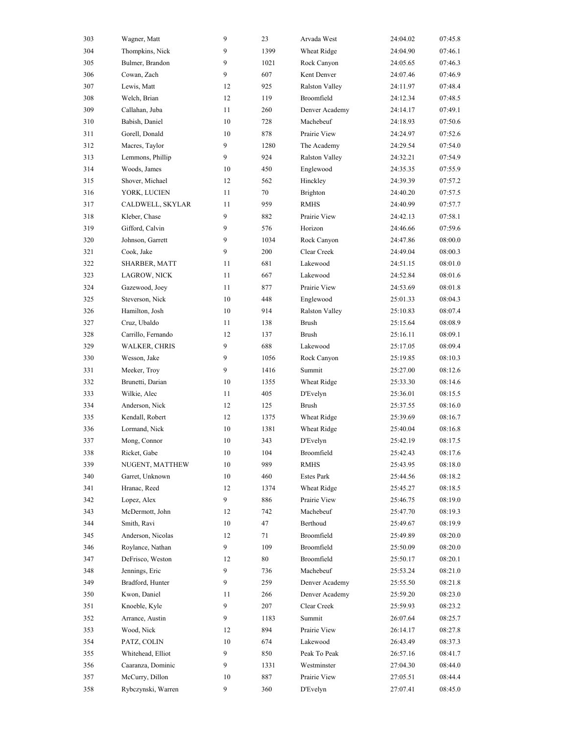| 303 | Wagner, Matt         | 9      | 23   | Arvada West           | 24:04.02 | 07:45.8 |
|-----|----------------------|--------|------|-----------------------|----------|---------|
| 304 | Thompkins, Nick      | 9      | 1399 | Wheat Ridge           | 24:04.90 | 07:46.1 |
| 305 | Bulmer, Brandon      | 9      | 1021 | Rock Canyon           | 24:05.65 | 07:46.3 |
| 306 | Cowan, Zach          | 9      | 607  | Kent Denver           | 24:07.46 | 07:46.9 |
| 307 | Lewis, Matt          | 12     | 925  | <b>Ralston Valley</b> | 24:11.97 | 07:48.4 |
| 308 | Welch, Brian         | 12     | 119  | Broomfield            | 24:12.34 | 07:48.5 |
| 309 | Callahan, Juba       | 11     | 260  | Denver Academy        | 24:14.17 | 07:49.1 |
| 310 | Babish, Daniel       | $10\,$ | 728  | Machebeuf             | 24:18.93 | 07:50.6 |
| 311 | Gorell, Donald       | 10     | 878  | Prairie View          | 24:24.97 | 07:52.6 |
| 312 | Macres, Taylor       | 9      | 1280 | The Academy           | 24:29.54 | 07:54.0 |
| 313 | Lemmons, Phillip     | 9      | 924  | <b>Ralston Valley</b> | 24:32.21 | 07:54.9 |
| 314 | Woods, James         | 10     | 450  | Englewood             | 24:35.35 | 07:55.9 |
| 315 | Shover, Michael      | 12     | 562  | Hinckley              | 24:39.39 | 07:57.2 |
| 316 | YORK, LUCIEN         | 11     | 70   | Brighton              | 24:40.20 | 07:57.5 |
| 317 | CALDWELL, SKYLAR     | 11     | 959  | <b>RMHS</b>           | 24:40.99 | 07:57.7 |
| 318 | Kleber, Chase        | 9      | 882  | Prairie View          | 24:42.13 | 07:58.1 |
| 319 | Gifford, Calvin      | 9      | 576  | Horizon               | 24:46.66 | 07:59.6 |
| 320 | Johnson, Garrett     | 9      | 1034 | Rock Canyon           | 24:47.86 | 08:00.0 |
| 321 | Cook, Jake           | 9      | 200  | Clear Creek           | 24:49.04 | 08:00.3 |
| 322 | SHARBER, MATT        | 11     | 681  | Lakewood              | 24:51.15 | 08:01.0 |
| 323 | LAGROW, NICK         | 11     | 667  | Lakewood              | 24:52.84 | 08:01.6 |
| 324 | Gazewood, Joey       | 11     | 877  | Prairie View          | 24:53.69 | 08:01.8 |
| 325 | Steverson, Nick      | 10     | 448  | Englewood             | 25:01.33 | 08:04.3 |
| 326 | Hamilton, Josh       | 10     | 914  | Ralston Valley        | 25:10.83 | 08:07.4 |
| 327 | Cruz, Ubaldo         | 11     | 138  | <b>Brush</b>          | 25:15.64 | 08:08.9 |
| 328 | Carrillo, Fernando   | 12     | 137  | <b>Brush</b>          | 25:16.11 | 08:09.1 |
| 329 | <b>WALKER, CHRIS</b> | 9      | 688  | Lakewood              | 25:17.05 | 08:09.4 |
| 330 | Wesson, Jake         | 9      | 1056 | Rock Canyon           | 25:19.85 | 08:10.3 |
| 331 | Meeker, Troy         | 9      | 1416 | Summit                | 25:27.00 | 08:12.6 |
| 332 | Brunetti, Darian     | 10     | 1355 | Wheat Ridge           | 25:33.30 | 08:14.6 |
| 333 | Wilkie, Alec         | 11     | 405  | D'Evelyn              | 25:36.01 | 08:15.5 |
| 334 | Anderson, Nick       | 12     | 125  | <b>Brush</b>          | 25:37.55 | 08:16.0 |
| 335 | Kendall, Robert      | 12     | 1375 | Wheat Ridge           | 25:39.69 | 08:16.7 |
| 336 | Lormand, Nick        | 10     | 1381 | Wheat Ridge           | 25:40.04 | 08:16.8 |
| 337 | Mong, Connor         | 10     | 343  | D'Evelyn              | 25:42.19 | 08:17.5 |
| 338 | Ricket, Gabe         | $10\,$ | 104  | Broomfield            | 25:42.43 | 08:17.6 |
| 339 | NUGENT, MATTHEW      | 10     | 989  | <b>RMHS</b>           | 25:43.95 | 08:18.0 |
| 340 | Garret, Unknown      | 10     | 460  | <b>Estes Park</b>     | 25:44.56 | 08:18.2 |
| 341 | Hranac, Reed         | 12     | 1374 | Wheat Ridge           | 25:45.27 | 08:18.5 |
| 342 | Lopez, Alex          | 9      | 886  | Prairie View          | 25:46.75 | 08:19.0 |
| 343 | McDermott, John      | 12     | 742  | Machebeuf             | 25:47.70 | 08:19.3 |
| 344 | Smith, Ravi          | 10     | 47   | Berthoud              | 25:49.67 | 08:19.9 |
| 345 | Anderson, Nicolas    | 12     | 71   | Broomfield            | 25:49.89 | 08:20.0 |
| 346 | Roylance, Nathan     | 9      | 109  | Broomfield            | 25:50.09 | 08:20.0 |
| 347 | DeFrisco, Weston     | 12     | 80   | Broomfield            | 25:50.17 | 08:20.1 |
| 348 | Jennings, Eric       | 9      | 736  | Machebeuf             | 25:53.24 | 08:21.0 |
| 349 | Bradford, Hunter     | 9      | 259  | Denver Academy        | 25:55.50 | 08:21.8 |
| 350 | Kwon, Daniel         | 11     | 266  | Denver Academy        | 25:59.20 | 08:23.0 |
| 351 | Knoeble, Kyle        | 9      | 207  | Clear Creek           | 25:59.93 | 08:23.2 |
| 352 | Arrance, Austin      | 9      | 1183 | Summit                | 26:07.64 | 08:25.7 |
| 353 | Wood, Nick           | 12     | 894  | Prairie View          | 26:14.17 | 08:27.8 |
| 354 | PATZ, COLIN          | 10     | 674  | Lakewood              | 26:43.49 | 08:37.3 |
| 355 | Whitehead, Elliot    | 9      | 850  | Peak To Peak          | 26:57.16 | 08:41.7 |
| 356 | Caaranza, Dominic    | 9      | 1331 | Westminster           | 27:04.30 | 08:44.0 |
| 357 | McCurry, Dillon      | 10     | 887  | Prairie View          | 27:05.51 | 08:44.4 |
| 358 | Rybczynski, Warren   | 9      | 360  | D'Evelyn              | 27:07.41 | 08:45.0 |
|     |                      |        |      |                       |          |         |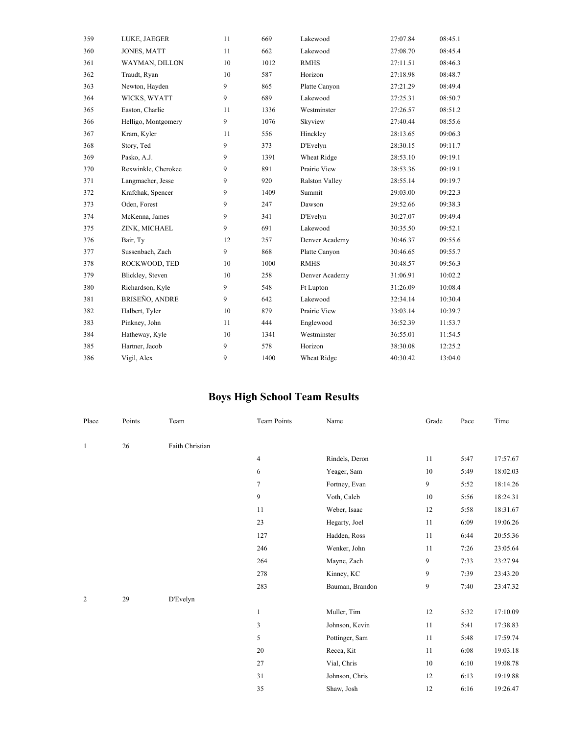| 359 | LUKE, JAEGER          | 11 | 669  | Lakewood              | 27:07.84 | 08:45.1 |
|-----|-----------------------|----|------|-----------------------|----------|---------|
| 360 | <b>JONES, MATT</b>    | 11 | 662  | Lakewood              | 27:08.70 | 08:45.4 |
| 361 | <b>WAYMAN, DILLON</b> | 10 | 1012 | <b>RMHS</b>           | 27:11.51 | 08:46.3 |
| 362 | Traudt, Ryan          | 10 | 587  | Horizon               | 27:18.98 | 08:48.7 |
| 363 | Newton, Hayden        | 9  | 865  | Platte Canyon         | 27:21.29 | 08:49.4 |
| 364 | WICKS, WYATT          | 9  | 689  | Lakewood              | 27:25.31 | 08:50.7 |
| 365 | Easton, Charlie       | 11 | 1336 | Westminster           | 27:26.57 | 08:51.2 |
| 366 | Helligo, Montgomery   | 9  | 1076 | Skyview               | 27:40.44 | 08:55.6 |
| 367 | Kram, Kyler           | 11 | 556  | Hinckley              | 28:13.65 | 09:06.3 |
| 368 | Story, Ted            | 9  | 373  | D'Evelyn              | 28:30.15 | 09:11.7 |
| 369 | Pasko, A.J.           | 9  | 1391 | Wheat Ridge           | 28:53.10 | 09:19.1 |
| 370 | Rexwinkle, Cherokee   | 9  | 891  | Prairie View          | 28:53.36 | 09:19.1 |
| 371 | Langmacher, Jesse     | 9  | 920  | <b>Ralston Valley</b> | 28:55.14 | 09:19.7 |
| 372 | Krafchak, Spencer     | 9  | 1409 | Summit                | 29:03.00 | 09:22.3 |
| 373 | Oden, Forest          | 9  | 247  | Dawson                | 29:52.66 | 09:38.3 |
| 374 | McKenna, James        | 9  | 341  | D'Evelyn              | 30:27.07 | 09:49.4 |
| 375 | ZINK, MICHAEL         | 9  | 691  | Lakewood              | 30:35.50 | 09:52.1 |
| 376 | Bair, Ty              | 12 | 257  | Denver Academy        | 30:46.37 | 09:55.6 |
| 377 | Sussenbach, Zach      | 9  | 868  | Platte Canyon         | 30:46.65 | 09:55.7 |
| 378 | ROCKWOOD, TED         | 10 | 1000 | <b>RMHS</b>           | 30:48.57 | 09:56.3 |
| 379 | Blickley, Steven      | 10 | 258  | Denver Academy        | 31:06.91 | 10:02.2 |
| 380 | Richardson, Kyle      | 9  | 548  | Ft Lupton             | 31:26.09 | 10:08.4 |
| 381 | BRISEÑO, ANDRE        | 9  | 642  | Lakewood              | 32:34.14 | 10:30.4 |
| 382 | Halbert, Tyler        | 10 | 879  | Prairie View          | 33:03.14 | 10:39.7 |
| 383 | Pinkney, John         | 11 | 444  | Englewood             | 36:52.39 | 11:53.7 |
| 384 | Hatheway, Kyle        | 10 | 1341 | Westminster           | 36:55.01 | 11:54.5 |
| 385 | Hartner, Jacob        | 9  | 578  | Horizon               | 38:30.08 | 12:25.2 |
| 386 | Vigil, Alex           | 9  | 1400 | Wheat Ridge           | 40:30.42 | 13:04.0 |

## **Boys High School Team Results**

| Place        | Points | Team            | <b>Team Points</b> | Name            | Grade | Pace | Time     |
|--------------|--------|-----------------|--------------------|-----------------|-------|------|----------|
| $\mathbf{1}$ | 26     | Faith Christian |                    |                 |       |      |          |
|              |        |                 | 4                  | Rindels, Deron  | 11    | 5:47 | 17:57.67 |
|              |        |                 | 6                  | Yeager, Sam     | 10    | 5:49 | 18:02.03 |
|              |        |                 | $\tau$             | Fortney, Evan   | 9     | 5:52 | 18:14.26 |
|              |        |                 | 9                  | Voth, Caleb     | 10    | 5:56 | 18:24.31 |
|              |        |                 | 11                 | Weber, Isaac    | 12    | 5:58 | 18:31.67 |
|              |        |                 | 23                 | Hegarty, Joel   | 11    | 6:09 | 19:06.26 |
|              |        |                 | 127                | Hadden, Ross    | 11    | 6:44 | 20:55.36 |
|              |        |                 | 246                | Wenker, John    | 11    | 7:26 | 23:05.64 |
|              |        |                 | 264                | Mayne, Zach     | 9     | 7:33 | 23:27.94 |
|              |        |                 | 278                | Kinney, KC      | 9     | 7:39 | 23:43.20 |
|              |        |                 | 283                | Bauman, Brandon | 9     | 7:40 | 23:47.32 |
| 2            | 29     | D'Evelyn        |                    |                 |       |      |          |
|              |        |                 | 1                  | Muller, Tim     | 12    | 5:32 | 17:10.09 |
|              |        |                 | 3                  | Johnson, Kevin  | 11    | 5:41 | 17:38.83 |
|              |        |                 | 5                  | Pottinger, Sam  | 11    | 5:48 | 17:59.74 |
|              |        |                 | 20                 | Recca, Kit      | 11    | 6:08 | 19:03.18 |
|              |        |                 | 27                 | Vial, Chris     | 10    | 6:10 | 19:08.78 |
|              |        |                 | 31                 | Johnson, Chris  | 12    | 6:13 | 19:19.88 |
|              |        |                 | 35                 | Shaw, Josh      | 12    | 6:16 | 19:26.47 |
|              |        |                 |                    |                 |       |      |          |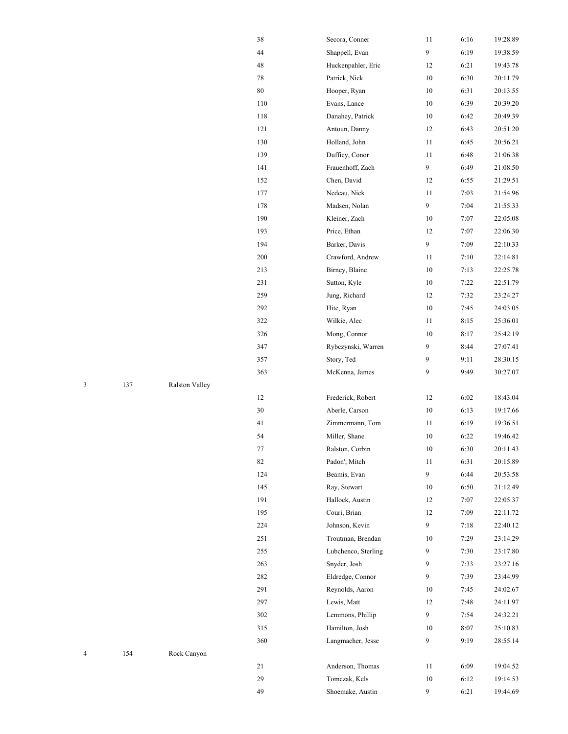|   |     |                | 38      | Secora, Conner      | 11               | 6:16 | 19:28.89 |
|---|-----|----------------|---------|---------------------|------------------|------|----------|
|   |     |                | 44      | Shappell, Evan      | 9                | 6:19 | 19:38.59 |
|   |     |                | 48      | Huckenpahler, Eric  | 12               | 6:21 | 19:43.78 |
|   |     |                | $78\,$  | Patrick, Nick       | $10\,$           | 6:30 | 20:11.79 |
|   |     |                | $80\,$  | Hooper, Ryan        | $10\,$           | 6:31 | 20:13.55 |
|   |     |                | 110     | Evans, Lance        | 10               | 6:39 | 20:39.20 |
|   |     |                | 118     | Danahey, Patrick    | $10\,$           | 6:42 | 20:49.39 |
|   |     |                | 121     | Antoun, Danny       | 12               | 6:43 | 20:51.20 |
|   |     |                | 130     | Holland, John       | 11               | 6:45 | 20:56.21 |
|   |     |                | 139     | Dufficy, Conor      | 11               | 6:48 | 21:06.38 |
|   |     |                | 141     | Frauenhoff, Zach    | $\boldsymbol{9}$ | 6:49 | 21:08.50 |
|   |     |                | 152     | Chen, David         | 12               | 6:55 | 21:29.51 |
|   |     |                | 177     | Nedeau, Nick        | 11               | 7:03 | 21:54.96 |
|   |     |                | 178     | Madsen, Nolan       | $\overline{9}$   | 7:04 | 21:55.33 |
|   |     |                | 190     | Kleiner, Zach       | 10               | 7:07 | 22:05.08 |
|   |     |                | 193     | Price, Ethan        | 12               | 7:07 | 22:06.30 |
|   |     |                | 194     | Barker, Davis       | $\overline{9}$   | 7:09 | 22:10.33 |
|   |     |                | 200     | Crawford, Andrew    | 11               | 7:10 | 22:14.81 |
|   |     |                | 213     | Birney, Blaine      | $10\,$           | 7:13 | 22:25.78 |
|   |     |                | 231     | Sutton, Kyle        | $10\,$           | 7:22 | 22:51.79 |
|   |     |                | 259     | Jung, Richard       | 12               | 7:32 | 23:24.27 |
|   |     |                | 292     | Hite, Ryan          | 10               | 7:45 | 24:03.05 |
|   |     |                | 322     | Wilkie, Alec        | 11               | 8:15 | 25:36.01 |
|   |     |                | 326     | Mong, Connor        | $10\,$           | 8:17 | 25:42.19 |
|   |     |                | 347     | Rybczynski, Warren  | 9                | 8:44 | 27:07.41 |
|   |     |                | 357     | Story, Ted          | 9                | 9:11 | 28:30.15 |
|   |     |                | 363     | McKenna, James      | 9                | 9:49 | 30:27.07 |
| 3 | 137 | Ralston Valley |         |                     |                  |      |          |
|   |     |                | 12      | Frederick, Robert   | 12               | 6:02 | 18:43.04 |
|   |     |                | $30\,$  | Aberle, Carson      | $10\,$           | 6:13 | 19:17.66 |
|   |     |                | 41      | Zimmermann, Tom     | 11               | 6:19 | 19:36.51 |
|   |     |                | 54      | Miller, Shane       | $10\,$           | 6:22 | 19:46.42 |
|   |     |                | $77 \,$ | Ralston, Corbin     | 10               | 6:30 | 20:11.43 |
|   |     |                | 82      | Padon', Mitch       | 11               | 6:31 | 20:15.89 |
|   |     |                | 124     | Beamis, Evan        | $\boldsymbol{9}$ | 6:44 | 20:53.58 |
|   |     |                | 145     | Ray, Stewart        | $10\,$           | 6:50 | 21:12.49 |
|   |     |                | 191     | Hallock, Austin     | 12               | 7:07 | 22:05.37 |
|   |     |                | 195     | Couri, Brian        | 12               | 7:09 | 22:11.72 |
|   |     |                | 224     | Johnson, Kevin      | 9                | 7:18 | 22:40.12 |
|   |     |                | 251     | Troutman, Brendan   | 10               | 7:29 | 23:14.29 |
|   |     |                | 255     | Lubchenco, Sterling | 9                | 7:30 | 23:17.80 |
|   |     |                | 263     | Snyder, Josh        | 9                | 7:33 | 23:27.16 |
|   |     |                | 282     | Eldredge, Connor    | 9                | 7:39 | 23:44.99 |
|   |     |                | 291     | Reynolds, Aaron     | $10\,$           | 7:45 | 24:02.67 |
|   |     |                | 297     | Lewis, Matt         | 12               | 7:48 | 24:11.97 |
|   |     |                | 302     | Lemmons, Phillip    | 9                | 7:54 | 24:32.21 |
|   |     |                | 315     | Hamilton, Josh      | $10\,$           | 8:07 | 25:10.83 |
|   |     |                | 360     | Langmacher, Jesse   | 9                | 9:19 | 28:55.14 |
| 4 | 154 | Rock Canyon    |         |                     |                  |      |          |
|   |     |                | 21      | Anderson, Thomas    | 11               | 6:09 | 19:04.52 |
|   |     |                | 29      | Tomczak, Kels       | 10               | 6:12 | 19:14.53 |
|   |     |                | 49      | Shoemake, Austin    | 9                | 6:21 | 19:44.69 |
|   |     |                |         |                     |                  |      |          |

| 137 | <b>Ralston Valley</b> |  |
|-----|-----------------------|--|
|     |                       |  |

| 4 | 154 | Rock Canyon |                   |
|---|-----|-------------|-------------------|
|   |     |             | $\mathbf{\hat{}}$ |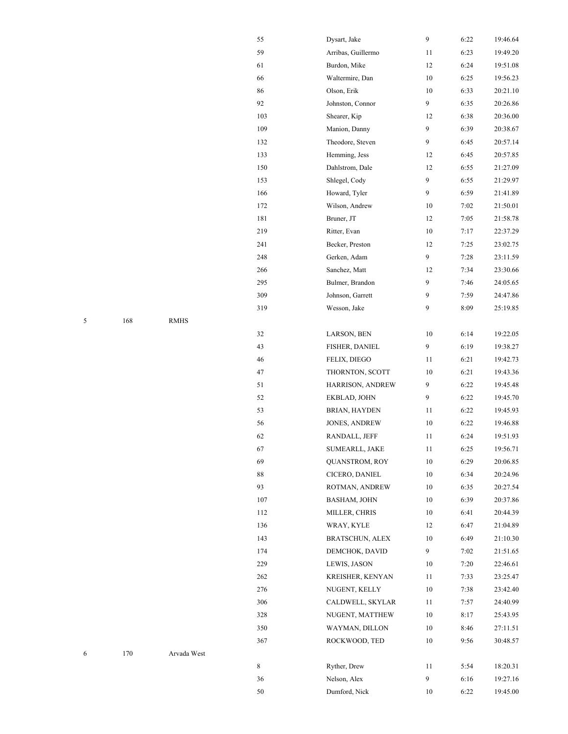|   |     |             | 55  | Dysart, Jake           | 9                | 6:22 | 19:46.64 |
|---|-----|-------------|-----|------------------------|------------------|------|----------|
|   |     |             | 59  | Arribas, Guillermo     | 11               | 6:23 | 19:49.20 |
|   |     |             | 61  | Burdon, Mike           | 12               | 6:24 | 19:51.08 |
|   |     |             | 66  | Waltermire, Dan        | $10\,$           | 6:25 | 19:56.23 |
|   |     |             | 86  | Olson, Erik            | 10               | 6:33 | 20:21.10 |
|   |     |             | 92  | Johnston, Connor       | $\overline{9}$   | 6:35 | 20:26.86 |
|   |     |             | 103 | Shearer, Kip           | 12               | 6:38 | 20:36.00 |
|   |     |             | 109 | Manion, Danny          | 9                | 6:39 | 20:38.67 |
|   |     |             | 132 | Theodore, Steven       | 9                | 6:45 | 20:57.14 |
|   |     |             | 133 | Hemming, Jess          | 12               | 6:45 | 20:57.85 |
|   |     |             | 150 | Dahlstrom, Dale        | 12               | 6:55 | 21:27.09 |
|   |     |             | 153 | Shlegel, Cody          | 9                | 6:55 | 21:29.97 |
|   |     |             | 166 | Howard, Tyler          | $\overline{9}$   | 6:59 | 21:41.89 |
|   |     |             | 172 | Wilson, Andrew         | $10\,$           | 7:02 | 21:50.01 |
|   |     |             | 181 | Bruner, JT             | 12               | 7:05 | 21:58.78 |
|   |     |             | 219 | Ritter, Evan           | 10               | 7:17 | 22:37.29 |
|   |     |             | 241 | Becker, Preston        | 12               | 7:25 | 23:02.75 |
|   |     |             | 248 | Gerken, Adam           | $\boldsymbol{9}$ | 7:28 | 23:11.59 |
|   |     |             | 266 | Sanchez, Matt          | 12               | 7:34 | 23:30.66 |
|   |     |             | 295 | Bulmer, Brandon        | 9                | 7:46 | 24:05.65 |
|   |     |             | 309 | Johnson, Garrett       | 9                | 7:59 | 24:47.86 |
|   |     |             | 319 | Wesson, Jake           | 9                | 8:09 | 25:19.85 |
| 5 | 168 | <b>RMHS</b> |     |                        |                  |      |          |
|   |     |             | 32  | LARSON, BEN            | $10\,$           | 6:14 | 19:22.05 |
|   |     |             | 43  | FISHER, DANIEL         | 9                | 6:19 | 19:38.27 |
|   |     |             | 46  | FELIX, DIEGO           | 11               | 6:21 | 19:42.73 |
|   |     |             | 47  | THORNTON, SCOTT        | 10               | 6:21 | 19:43.36 |
|   |     |             | 51  | HARRISON, ANDREW       | 9                | 6:22 | 19:45.48 |
|   |     |             | 52  | EKBLAD, JOHN           | 9                | 6:22 | 19:45.70 |
|   |     |             | 53  | <b>BRIAN, HAYDEN</b>   | 11               | 6:22 | 19:45.93 |
|   |     |             | 56  | JONES, ANDREW          | $10\,$           | 6:22 | 19:46.88 |
|   |     |             | 62  | RANDALL, JEFF          | 11               | 6:24 | 19:51.93 |
|   |     |             | 67  | SUMEARLL, JAKE         | 11               | 6:25 | 19:56.71 |
|   |     |             | 69  | QUANSTROM, ROY         | $10\,$           | 6:29 | 20:06.85 |
|   |     |             | 88  | CICERO, DANIEL         | $10\,$           | 6:34 | 20:24.96 |
|   |     |             | 93  | ROTMAN, ANDREW         | $10\,$           | 6:35 | 20:27.54 |
|   |     |             | 107 | <b>BASHAM, JOHN</b>    | 10               | 6:39 | 20:37.86 |
|   |     |             | 112 | MILLER, CHRIS          | $10\,$           | 6:41 | 20:44.39 |
|   |     |             | 136 | WRAY, KYLE             | 12               | 6:47 | 21:04.89 |
|   |     |             | 143 | <b>BRATSCHUN, ALEX</b> | $10\,$           | 6:49 | 21:10.30 |
|   |     |             | 174 | DEMCHOK, DAVID         | $\overline{9}$   | 7:02 | 21:51.65 |
|   |     |             | 229 | LEWIS, JASON           | $10\,$           | 7:20 | 22:46.61 |
|   |     |             | 262 | KREISHER, KENYAN       | 11               | 7:33 | 23:25.47 |
|   |     |             | 276 | NUGENT, KELLY          | $10\,$           | 7:38 | 23:42.40 |
|   |     |             | 306 | CALDWELL, SKYLAR       | 11               | 7:57 | 24:40.99 |
|   |     |             | 328 | NUGENT, MATTHEW        | $10\,$           | 8:17 | 25:43.95 |
|   |     |             | 350 | WAYMAN, DILLON         | $10\,$           | 8:46 | 27:11.51 |
|   |     |             | 367 | ROCKWOOD, TED          | $10\,$           | 9:56 | 30:48.57 |
| 6 | 170 | Arvada West |     |                        |                  |      |          |
|   |     |             | 8   | Ryther, Drew           | 11               | 5:54 | 18:20.31 |
|   |     |             | 36  | Nelson, Alex           | $\boldsymbol{9}$ | 6:16 | 19:27.16 |
|   |     |             | 50  | Dumford, Nick          | $10\,$           | 6:22 | 19:45.00 |

| 5 | 168 | <b>RMHS</b> |
|---|-----|-------------|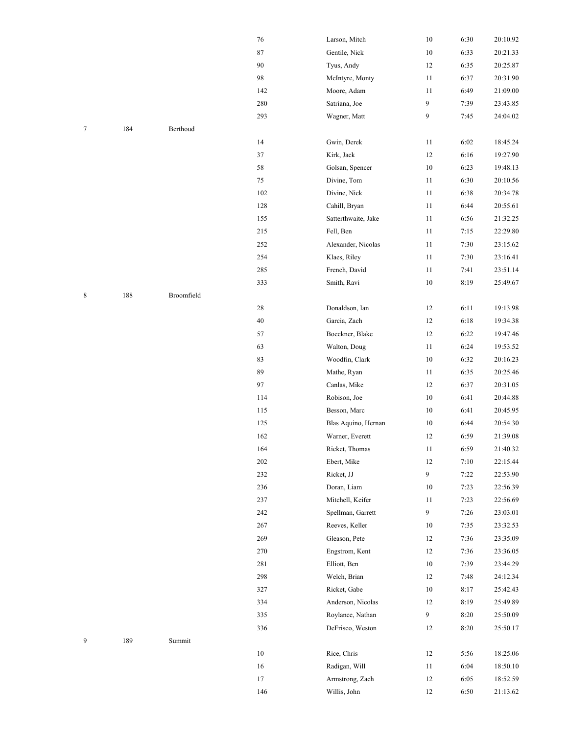|   |     |            | 76     | Larson, Mitch       | $10\,$         | 6:30 | 20:10.92 |
|---|-----|------------|--------|---------------------|----------------|------|----------|
|   |     |            | 87     | Gentile, Nick       | $10\,$         | 6:33 | 20:21.33 |
|   |     |            | 90     | Tyus, Andy          | 12             | 6:35 | 20:25.87 |
|   |     |            | 98     | McIntyre, Monty     | 11             | 6:37 | 20:31.90 |
|   |     |            | 142    | Moore, Adam         | 11             | 6:49 | 21:09.00 |
|   |     |            | 280    | Satriana, Joe       | 9              | 7:39 | 23:43.85 |
|   |     |            | 293    | Wagner, Matt        | 9              | 7:45 | 24:04.02 |
| 7 | 184 | Berthoud   |        |                     |                |      |          |
|   |     |            | 14     | Gwin, Derek         | 11             | 6:02 | 18:45.24 |
|   |     |            | 37     | Kirk, Jack          | 12             | 6:16 | 19:27.90 |
|   |     |            | 58     | Golsan, Spencer     | $10\,$         | 6:23 | 19:48.13 |
|   |     |            | $75\,$ | Divine, Tom         | 11             | 6:30 | 20:10.56 |
|   |     |            | 102    | Divine, Nick        | 11             | 6:38 | 20:34.78 |
|   |     |            | 128    | Cahill, Bryan       | 11             | 6:44 | 20:55.61 |
|   |     |            | 155    | Satterthwaite, Jake | 11             | 6:56 | 21:32.25 |
|   |     |            | 215    | Fell, Ben           | 11             | 7:15 | 22:29.80 |
|   |     |            | 252    | Alexander, Nicolas  | 11             | 7:30 | 23:15.62 |
|   |     |            | 254    | Klaes, Riley        | 11             | 7:30 | 23:16.41 |
|   |     |            | 285    | French, David       | 11             | 7:41 | 23:51.14 |
|   |     |            | 333    | Smith, Ravi         | $10\,$         | 8:19 | 25:49.67 |
| 8 | 188 | Broomfield |        |                     |                |      |          |
|   |     |            | 28     | Donaldson, Ian      | 12             | 6:11 | 19:13.98 |
|   |     |            | 40     | Garcia, Zach        | 12             | 6:18 | 19:34.38 |
|   |     |            | 57     | Boeckner, Blake     | 12             | 6:22 | 19:47.46 |
|   |     |            | 63     | Walton, Doug        | 11             | 6:24 | 19:53.52 |
|   |     |            | 83     | Woodfin, Clark      | $10\,$         | 6:32 | 20:16.23 |
|   |     |            | 89     | Mathe, Ryan         | 11             | 6:35 | 20:25.46 |
|   |     |            | 97     | Canlas, Mike        | 12             | 6:37 | 20:31.05 |
|   |     |            | 114    | Robison, Joe        | $10\,$         | 6:41 | 20:44.88 |
|   |     |            | 115    | Besson, Marc        | 10             | 6:41 | 20:45.95 |
|   |     |            | 125    | Blas Aquino, Hernan | 10             | 6:44 | 20:54.30 |
|   |     |            | 162    | Warner, Everett     | 12             | 6:59 | 21:39.08 |
|   |     |            | 164    | Ricket, Thomas      | 11             | 6:59 | 21:40.32 |
|   |     |            | 202    | Ebert, Mike         | 12             | 7:10 | 22:15.44 |
|   |     |            | 232    | Ricket, JJ          | $\overline{9}$ | 7:22 | 22:53.90 |
|   |     |            | 236    | Doran, Liam         | 10             | 7:23 | 22:56.39 |
|   |     |            | 237    | Mitchell, Keifer    | 11             | 7:23 | 22:56.69 |
|   |     |            | 242    | Spellman, Garrett   | $\overline{9}$ | 7:26 | 23:03.01 |
|   |     |            | 267    | Reeves, Keller      | $10\,$         | 7:35 | 23:32.53 |
|   |     |            | 269    | Gleason, Pete       | 12             | 7:36 | 23:35.09 |
|   |     |            | 270    | Engstrom, Kent      | 12             | 7:36 | 23:36.05 |
|   |     |            | 281    | Elliott, Ben        | $10\,$         | 7:39 | 23:44.29 |
|   |     |            | 298    | Welch, Brian        | 12             | 7:48 | 24:12.34 |
|   |     |            | 327    | Ricket, Gabe        | $10\,$         | 8:17 | 25:42.43 |
|   |     |            | 334    | Anderson, Nicolas   | 12             | 8:19 | 25:49.89 |
|   |     |            | 335    | Roylance, Nathan    | 9              | 8:20 | 25:50.09 |
|   |     |            | 336    | DeFrisco, Weston    | 12             | 8:20 | 25:50.17 |
| 9 | 189 | Summit     |        |                     |                |      |          |
|   |     |            | 10     | Rice, Chris         | 12             | 5:56 | 18:25.06 |
|   |     |            | 16     | Radigan, Will       | 11             | 6:04 | 18:50.10 |
|   |     |            | 17     | Armstrong, Zach     | 12             | 6:05 | 18:52.59 |
|   |     |            | 146    | Willis, John        | 12             | 6:50 | 21:13.62 |
|   |     |            |        |                     |                |      |          |

| $\Omega$ | Summit |
|----------|--------|
| 189      |        |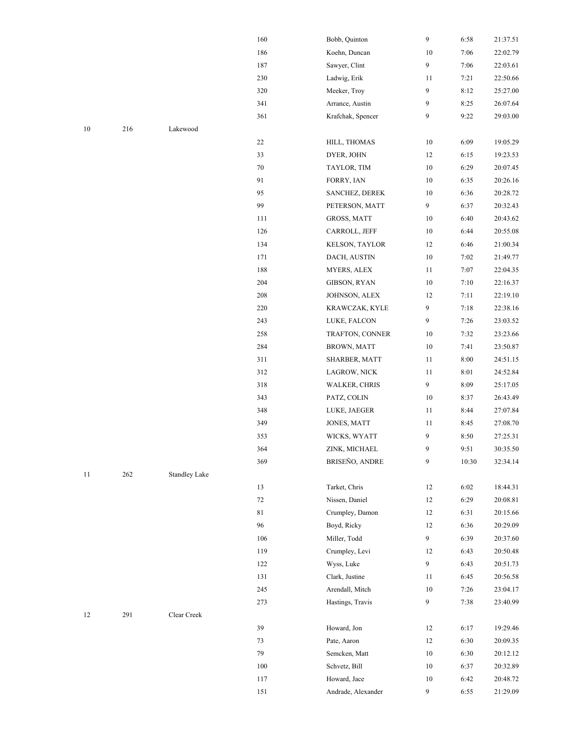|    |     |                      | 160    | Bobb, Quinton        | 9                | 6:58  | 21:37.51 |
|----|-----|----------------------|--------|----------------------|------------------|-------|----------|
|    |     |                      | 186    | Koehn, Duncan        | 10               | 7:06  | 22:02.79 |
|    |     |                      | 187    | Sawyer, Clint        | $\boldsymbol{9}$ | 7:06  | 22:03.61 |
|    |     |                      | 230    | Ladwig, Erik         | 11               | 7:21  | 22:50.66 |
|    |     |                      | 320    | Meeker, Troy         | 9                | 8:12  | 25:27.00 |
|    |     |                      | 341    | Arrance, Austin      | 9                | 8:25  | 26:07.64 |
|    |     |                      | 361    | Krafchak, Spencer    | 9                | 9:22  | 29:03.00 |
| 10 | 216 | Lakewood             |        |                      |                  |       |          |
|    |     |                      | $22\,$ | HILL, THOMAS         | $10\,$           | 6:09  | 19:05.29 |
|    |     |                      | 33     | DYER, JOHN           | 12               | 6:15  | 19:23.53 |
|    |     |                      | 70     | TAYLOR, TIM          | $10\,$           | 6:29  | 20:07.45 |
|    |     |                      | 91     | FORRY, IAN           | 10               | 6:35  | 20:26.16 |
|    |     |                      | 95     | SANCHEZ, DEREK       | $10\,$           | 6:36  | 20:28.72 |
|    |     |                      | 99     | PETERSON, MATT       | 9                | 6:37  | 20:32.43 |
|    |     |                      | 111    | GROSS, MATT          | $10\,$           | 6:40  | 20:43.62 |
|    |     |                      | 126    | CARROLL, JEFF        | $10\,$           | 6:44  | 20:55.08 |
|    |     |                      | 134    | KELSON, TAYLOR       | 12               | 6:46  | 21:00.34 |
|    |     |                      | 171    | DACH, AUSTIN         | $10\,$           | 7:02  | 21:49.77 |
|    |     |                      | 188    | MYERS, ALEX          | 11               | 7:07  | 22:04.35 |
|    |     |                      | 204    | GIBSON, RYAN         | $10\,$           | 7:10  | 22:16.37 |
|    |     |                      | 208    | JOHNSON, ALEX        | 12               | 7:11  | 22:19.10 |
|    |     |                      | 220    | KRAWCZAK, KYLE       | 9                | 7:18  | 22:38.16 |
|    |     |                      | 243    | LUKE, FALCON         | $\boldsymbol{9}$ | 7:26  | 23:03.52 |
|    |     |                      | 258    | TRAFTON, CONNER      | $10\,$           | 7:32  | 23:23.66 |
|    |     |                      | 284    | <b>BROWN, MATT</b>   | $10\,$           | 7:41  | 23:50.87 |
|    |     |                      | 311    | SHARBER, MATT        | 11               | 8:00  | 24:51.15 |
|    |     |                      | 312    | LAGROW, NICK         | 11               | 8:01  | 24:52.84 |
|    |     |                      | 318    | <b>WALKER, CHRIS</b> | $\boldsymbol{9}$ | 8:09  | 25:17.05 |
|    |     |                      | 343    | PATZ, COLIN          | $10\,$           | 8:37  | 26:43.49 |
|    |     |                      | 348    | LUKE, JAEGER         | 11               | 8:44  | 27:07.84 |
|    |     |                      | 349    | JONES, MATT          | 11               | 8:45  | 27:08.70 |
|    |     |                      | 353    | WICKS, WYATT         | 9                | 8:50  | 27:25.31 |
|    |     |                      | 364    | ZINK, MICHAEL        | 9                | 9:51  | 30:35.50 |
|    |     |                      | 369    | BRISEÑO, ANDRE       | 9                | 10:30 | 32:34.14 |
| 11 | 262 | <b>Standley Lake</b> |        |                      |                  |       |          |
|    |     |                      | 13     | Tarket, Chris        | 12               | 6:02  | 18:44.31 |
|    |     |                      | 72     | Nissen, Daniel       | 12               | 6:29  | 20:08.81 |
|    |     |                      | 81     | Crumpley, Damon      | 12               | 6:31  | 20:15.66 |
|    |     |                      | 96     | Boyd, Ricky          | 12               | 6:36  | 20:29.09 |
|    |     |                      | 106    | Miller, Todd         | $\overline{9}$   | 6:39  | 20:37.60 |
|    |     |                      | 119    | Crumpley, Levi       | 12               | 6:43  | 20:50.48 |
|    |     |                      | 122    | Wyss, Luke           | 9                | 6:43  | 20:51.73 |
|    |     |                      | 131    | Clark, Justine       | 11               | 6:45  | 20:56.58 |
|    |     |                      | 245    | Arendall, Mitch      | $10\,$           | 7:26  | 23:04.17 |
|    |     |                      | 273    | Hastings, Travis     | $\overline{9}$   | 7:38  | 23:40.99 |
| 12 | 291 | Clear Creek          |        |                      |                  |       |          |
|    |     |                      | 39     | Howard, Jon          | 12               | 6:17  | 19:29.46 |
|    |     |                      | 73     | Pate, Aaron          | 12               | 6:30  | 20:09.35 |
|    |     |                      | 79     | Semcken, Matt        | $10\,$           | 6:30  | 20:12.12 |
|    |     |                      | 100    | Schvetz, Bill        | $10\,$           | 6:37  | 20:32.89 |
|    |     |                      | 117    | Howard, Jace         | $10\,$           | 6:42  | 20:48.72 |
|    |     |                      | 151    | Andrade, Alexander   | 9                | 6:55  | 21:29.09 |
|    |     |                      |        |                      |                  |       |          |

- <sup>216</sup> Lakewood
	-
	-
- KRAWCZAK, KYLE LUKE, FALCON
- WALKER, CHRIS
- WICKS, WYATT ZINK, MICHAEL
- <sup>262</sup> Standley Lake
- Miller, Todd Wyss, Luke
- <sup>291</sup> Clear Creek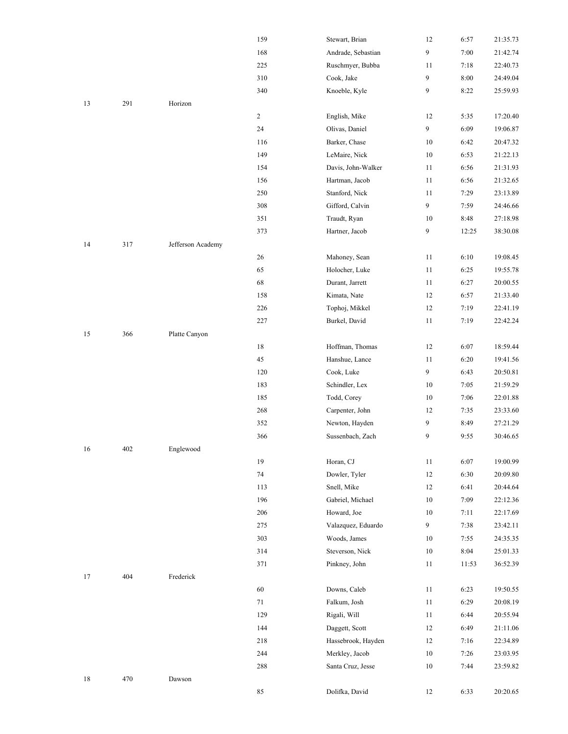|    |     |                   | 159            | Stewart, Brian     | 12     | 6:57  | 21:35.73 |
|----|-----|-------------------|----------------|--------------------|--------|-------|----------|
|    |     |                   | 168            | Andrade, Sebastian | 9      | 7:00  | 21:42.74 |
|    |     |                   | 225            | Ruschmyer, Bubba   | 11     | 7:18  | 22:40.73 |
|    |     |                   | 310            | Cook, Jake         | 9      | 8:00  | 24:49.04 |
|    |     |                   | 340            | Knoeble, Kyle      | 9      | 8:22  | 25:59.93 |
| 13 | 291 | Horizon           |                |                    |        |       |          |
|    |     |                   | $\overline{c}$ | English, Mike      | 12     | 5:35  | 17:20.40 |
|    |     |                   | 24             | Olivas, Daniel     | 9      | 6:09  | 19:06.87 |
|    |     |                   | 116            | Barker, Chase      | 10     | 6:42  | 20:47.32 |
|    |     |                   | 149            | LeMaire, Nick      | $10\,$ | 6:53  | 21:22.13 |
|    |     |                   | 154            | Davis, John-Walker | 11     | 6:56  | 21:31.93 |
|    |     |                   | 156            | Hartman, Jacob     | 11     | 6:56  | 21:32.65 |
|    |     |                   | 250            | Stanford, Nick     | 11     | 7:29  | 23:13.89 |
|    |     |                   | 308            | Gifford, Calvin    | 9      | 7:59  | 24:46.66 |
|    |     |                   | 351            | Traudt, Ryan       | 10     | 8:48  | 27:18.98 |
|    |     |                   | 373            | Hartner, Jacob     | 9      | 12:25 | 38:30.08 |
| 14 | 317 | Jefferson Academy |                |                    |        |       |          |
|    |     |                   | 26             | Mahoney, Sean      | 11     | 6:10  | 19:08.45 |
|    |     |                   | 65             | Holocher, Luke     | 11     | 6:25  | 19:55.78 |
|    |     |                   | 68             | Durant, Jarrett    | 11     | 6:27  | 20:00.55 |
|    |     |                   | 158            | Kimata, Nate       | 12     | 6:57  | 21:33.40 |
|    |     |                   | 226            | Tophoj, Mikkel     | 12     | 7:19  | 22:41.19 |
|    |     |                   | 227            | Burkel, David      | $11\,$ | 7:19  | 22:42.24 |
| 15 | 366 | Platte Canyon     |                |                    |        |       |          |
|    |     |                   | 18             | Hoffman, Thomas    | 12     | 6:07  | 18:59.44 |
|    |     |                   | 45             | Hanshue, Lance     | 11     | 6:20  | 19:41.56 |
|    |     |                   | 120            | Cook, Luke         | 9      | 6:43  | 20:50.81 |
|    |     |                   | 183            | Schindler, Lex     | 10     | 7:05  | 21:59.29 |
|    |     |                   | 185            | Todd, Corey        | 10     | 7:06  | 22:01.88 |
|    |     |                   | 268            | Carpenter, John    | 12     | 7:35  | 23:33.60 |
|    |     |                   | 352            | Newton, Hayden     | 9      | 8:49  | 27:21.29 |
|    |     |                   | 366            | Sussenbach, Zach   | 9      | 9:55  | 30:46.65 |
| 16 | 402 | Englewood         |                |                    |        |       |          |
|    |     |                   | 19             | Horan, CJ          | 11     | 6:07  | 19:00.99 |
|    |     |                   | 74             | Dowler, Tyler      | 12     | 6:30  | 20:09.80 |
|    |     |                   | 113            | Snell, Mike        | 12     | 6:41  | 20:44.64 |
|    |     |                   | 196            | Gabriel, Michael   | $10\,$ | 7:09  | 22:12.36 |
|    |     |                   | 206            | Howard, Joe        | 10     | 7:11  | 22:17.69 |
|    |     |                   | 275            | Valazquez, Eduardo | 9      | 7:38  | 23:42.11 |
|    |     |                   | 303            | Woods, James       | $10\,$ | 7:55  | 24:35.35 |
|    |     |                   | 314            | Steverson, Nick    | 10     | 8:04  | 25:01.33 |
|    |     |                   | 371            | Pinkney, John      | $11\,$ | 11:53 | 36:52.39 |
| 17 | 404 | Frederick         |                |                    |        |       |          |
|    |     |                   | 60             | Downs, Caleb       | 11     | 6:23  | 19:50.55 |
|    |     |                   | 71             | Falkum, Josh       | 11     | 6:29  | 20:08.19 |
|    |     |                   | 129            | Rigali, Will       | 11     | 6:44  | 20:55.94 |
|    |     |                   | 144            | Daggett, Scott     | 12     | 6:49  | 21:11.06 |
|    |     |                   | 218            | Hassebrook, Hayden | 12     | 7:16  | 22:34.89 |
|    |     |                   | 244            | Merkley, Jacob     | $10\,$ | 7:26  | 23:03.95 |
|    |     |                   | 288            | Santa Cruz, Jesse  | $10\,$ | 7:44  | 23:59.82 |
| 18 | 470 | Dawson            |                |                    |        |       |          |
|    |     |                   | 85             | Dolifka, David     | 12     | 6:33  | 20:20.65 |
|    |     |                   |                |                    |        |       |          |

|    |     |                   | $\overline{\mathbf{c}}$      |
|----|-----|-------------------|------------------------------|
|    |     |                   | $\overline{\mathbf{3}}$      |
|    |     |                   | $\overline{\mathbf{3}}$      |
| 13 | 291 | Horizon           |                              |
|    |     |                   | $\overline{\mathbf{c}}$      |
|    |     |                   | $\overline{\mathbf{c}}$      |
|    |     |                   | $\mathbf{1}$                 |
|    |     |                   | $\mathbf{1}$                 |
|    |     |                   | $\mathbf{1}$<br>$\mathbf{1}$ |
|    |     |                   | $\overline{\mathbf{c}}$      |
|    |     |                   | $\overline{\mathbf{3}}$      |
|    |     |                   | $\overline{\mathbf{3}}$      |
|    |     |                   | $\overline{\mathbf{3}}$      |
| 14 | 317 | Jefferson Academy |                              |
|    |     |                   | $\overline{\mathbf{c}}$      |
|    |     |                   | $\epsilon$                   |
|    |     |                   | $\epsilon$                   |
|    |     |                   | $\mathbf{1}$                 |
|    |     |                   | $\overline{\mathbf{c}}$      |
|    |     |                   | $\overline{\mathbf{c}}$      |
| 15 | 366 | Platte Canyon     |                              |
|    |     |                   | $\mathbf{1}$                 |
|    |     |                   | $\overline{\mathcal{L}}$     |
|    |     |                   | $\mathbf{1}$                 |
|    |     |                   | $\mathbf{1}$                 |
|    |     |                   | $\mathbf{1}$                 |
|    |     |                   | $\overline{\mathbf{c}}$      |
|    |     |                   | $\overline{\mathbf{3}}$      |
|    |     |                   | $\overline{3}$               |
| 16 | 402 | Englewood         |                              |
|    |     |                   | $\mathbf{1}$                 |
|    |     |                   | 7<br>$\mathbf{1}$            |
|    |     |                   | $\mathbf{1}$                 |
|    |     |                   | $\overline{\mathbf{c}}$      |
|    |     |                   | $\overline{\mathbf{c}}$      |
|    |     |                   | $\overline{\mathbf{3}}$      |
|    |     |                   | $\overline{\mathbf{3}}$      |
|    |     |                   | $\overline{\mathbf{3}}$      |
| 17 | 404 | Frederick         |                              |
|    |     |                   | $\epsilon$                   |
|    |     |                   | $\overline{\phantom{a}}$     |
|    |     |                   | $\mathbf{1}$                 |
|    |     |                   | $\mathbf{1}$                 |
|    |     |                   | $\overline{\mathbf{c}}$      |
|    |     |                   | $\overline{c}$               |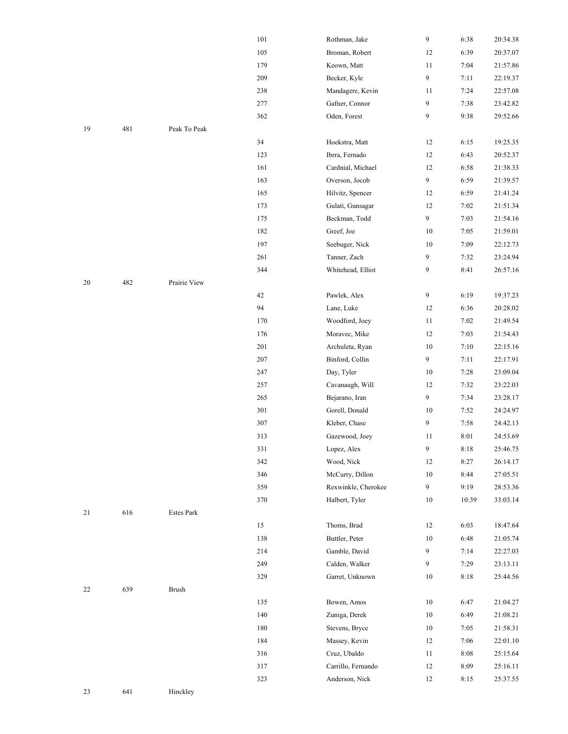|    |     |                   | 101     | Rothman, Jake       | 9              | 6:38   | 20:34.38 |
|----|-----|-------------------|---------|---------------------|----------------|--------|----------|
|    |     |                   | 105     |                     |                |        |          |
|    |     |                   |         | Broman, Robert      | 12             | 6:39   | 20:37.07 |
|    |     |                   | 179     | Keown, Matt         | 11             | 7:04   | 21:57.86 |
|    |     |                   | 209     | Becker, Kyle        | 9              | 7:11   | 22:19.37 |
|    |     |                   | 238     | Mandagere, Kevin    | 11             | 7:24   | 22:57.08 |
|    |     |                   | 277     | Gafner, Connor      | 9              | 7:38   | 23:42.82 |
|    |     |                   | 362     | Oden, Forest        | 9              | 9:38   | 29:52.66 |
| 19 | 481 | Peak To Peak      |         |                     |                |        |          |
|    |     |                   | 34      | Hoekstra, Matt      | 12             | 6:15   | 19:25.35 |
|    |     |                   | 123     | Ibrra, Fernado      | 12             | 6:43   | 20:52.37 |
|    |     |                   | 161     | Cardnial, Michael   | 12             | 6:58   | 21:38.33 |
|    |     |                   | 163     | Overson, Jocob      | 9              | 6:59   | 21:39.57 |
|    |     |                   | 165     | Hilvitz, Spencer    | 12             | 6:59   | 21:41.24 |
|    |     |                   | 173     | Gulati, Gunsagar    | 12             | 7:02   | 21:51.34 |
|    |     |                   | 175     | Beckman, Todd       | 9              | 7:03   | 21:54.16 |
|    |     |                   | 182     | Greef, Joe          | 10             | 7:05   | 21:59.01 |
|    |     |                   | 197     | Seebuger, Nick      | 10             | 7:09   | 22:12.73 |
|    |     |                   | 261     | Tanner, Zach        | 9              | 7:32   | 23:24.94 |
|    |     |                   | 344     | Whitehead, Elliot   | 9              | 8:41   | 26:57.16 |
| 20 | 482 | Prairie View      |         |                     |                |        |          |
|    |     |                   | 42      | Pawlek, Alex        | $\overline{9}$ | 6:19   | 19:37.23 |
|    |     |                   | 94      | Lane, Luke          | 12             | 6:36   | 20:28.02 |
|    |     |                   | 170     | Woodford, Joey      | 11             | 7:02   | 21:49.54 |
|    |     |                   | 176     | Moravec, Mike       | 12             | 7:03   | 21:54.43 |
|    |     |                   | 201     | Archuleta, Ryan     | $10\,$         | 7:10   | 22:15.16 |
|    |     |                   | $207\,$ | Binford, Collin     | 9              | 7:11   | 22:17.91 |
|    |     |                   | 247     | Day, Tyler          | $10\,$         | 7:28   | 23:09.04 |
|    |     |                   | 257     | Cavanaugh, Will     | 12             | 7:32   | 23:22.03 |
|    |     |                   | 265     | Bejarano, Iran      | 9              | 7:34   | 23:28.17 |
|    |     |                   | 301     | Gorell, Donald      | 10             | 7:52   | 24:24.97 |
|    |     |                   | 307     | Kleber, Chase       | 9              | 7:58   | 24:42.13 |
|    |     |                   | 313     | Gazewood, Joey      | 11             | 8:01   | 24:53.69 |
|    |     |                   | 331     | Lopez, Alex         | 9              | $8:18$ | 25:46.75 |
|    |     |                   | 342     | Wood, Nick          | 12             | 8:27   | 26:14.17 |
|    |     |                   | 346     | McCurry, Dillon     | 10             | 8:44   | 27:05.51 |
|    |     |                   | 359     | Rexwinkle, Cherokee | $\overline{9}$ | 9:19   | 28:53.36 |
|    |     |                   | 370     | Halbert, Tyler      | $10\,$         | 10:39  | 33:03.14 |
| 21 | 616 | <b>Estes Park</b> |         |                     |                |        |          |
|    |     |                   | 15      | Thoms, Brad         | 12             | 6:03   | 18:47.64 |
|    |     |                   | 138     | Buttler, Peter      | $10\,$         | 6:48   | 21:05.74 |
|    |     |                   | 214     | Gamble, David       | 9              | 7:14   | 22:27.03 |
|    |     |                   | 249     | Calden, Walker      | 9              | 7:29   | 23:13.11 |
|    |     |                   | 329     | Garret, Unknown     | 10             | 8:18   | 25:44.56 |
|    |     |                   |         |                     |                |        |          |
| 22 | 639 | Brush             |         |                     |                |        |          |
|    |     |                   | 135     | Bowen, Amos         | $10\,$         | 6:47   | 21:04.27 |
|    |     |                   | 140     | Zuniga, Derek       | $10\,$         | 6:49   | 21:08.21 |
|    |     |                   | 180     | Stevens, Bryce      | $10\,$         | 7:05   | 21:58.31 |
|    |     |                   | 184     | Massey, Kevin       | 12             | 7:06   | 22:01.10 |
|    |     |                   | 316     | Cruz, Ubaldo        | 11             | 8:08   | 25:15.64 |
|    |     |                   | 317     | Carrillo, Fernando  | 12             | 8:09   | 25:16.11 |
|    |     |                   | 323     | Anderson, Nick      | 12             | 8:15   | 25:37.55 |
|    |     |                   |         |                     |                |        |          |

|    |     |                   | 102        | Droman, <i>r</i> obert          |
|----|-----|-------------------|------------|---------------------------------|
|    |     |                   | 179        | Keown, Matt                     |
|    |     |                   | 209        | Becker, Kyle                    |
|    |     |                   | 238        | Mandagere, Kevi:                |
|    |     |                   | 277        | Gafner, Connor                  |
|    |     |                   | 362        | Oden, Forest                    |
| 19 | 481 | Peak To Peak      |            |                                 |
|    |     |                   | 34         | Hoekstra, Matt                  |
|    |     |                   | 123        | Ibrra, Fernado                  |
|    |     |                   | 161        | Cardnial, Michael               |
|    |     |                   | 163        | Overson, Jocob                  |
|    |     |                   | 165        | Hilvitz, Spencer                |
|    |     |                   | 173        | Gulati, Gunsagar                |
|    |     |                   | 175        | Beckman, Todd                   |
|    |     |                   | 182        | Greef, Joe                      |
|    |     |                   | 197        | Seebuger, Nick                  |
|    |     |                   | 261        | Tanner, Zach                    |
|    |     |                   | 344        | Whitehead, Elliot               |
| 20 | 482 | Prairie View      |            |                                 |
|    |     |                   | 42         | Pawlek, Alex                    |
|    |     |                   | 94         | Lane, Luke                      |
|    |     |                   | 170        | Woodford, Joey                  |
|    |     |                   | 176        | Moravec, Mike                   |
|    |     |                   | 201        | Archuleta, Ryan                 |
|    |     |                   | 207        | Binford, Collin                 |
|    |     |                   | 247        | Day, Tyler                      |
|    |     |                   | 257        | Cavanaugh, Will                 |
|    |     |                   | 265        | Bejarano, Iran                  |
|    |     |                   | 301        | Gorell, Donald                  |
|    |     |                   | 307        | Kleber, Chase                   |
|    |     |                   | 313        | Gazewood, Joey                  |
|    |     |                   | 331        | Lopez, Alex                     |
|    |     |                   | 342        | Wood, Nick                      |
|    |     |                   | 346        | McCurry, Dillon                 |
|    |     |                   | 359        | Rexwinkle, Chero                |
|    |     |                   | 370        | Halbert, Tyler                  |
| 21 | 616 | <b>Estes Park</b> |            |                                 |
|    |     |                   | 15         | Thoms, Brad                     |
|    |     |                   | 138        | Buttler, Peter                  |
|    |     |                   | 214        | Gamble, David                   |
|    |     |                   | 249        | Calden, Walker                  |
|    |     |                   | 329        | Garret, Unknown                 |
| 22 | 639 | <b>Brush</b>      |            |                                 |
|    |     |                   | 135        | Bowen, Amos                     |
|    |     |                   | 140        | Zuniga, Derek                   |
|    |     |                   |            |                                 |
|    |     |                   | 180<br>184 | Stevens, Bryce<br>Massey, Kevin |
|    |     |                   | 316        | Cruz, Ubaldo                    |
|    |     |                   | 317        | Carrillo, Fernando              |
|    |     |                   |            |                                 |
| 23 | 641 |                   | 323        | Anderson, Nick                  |
|    |     | Hinckley          |            |                                 |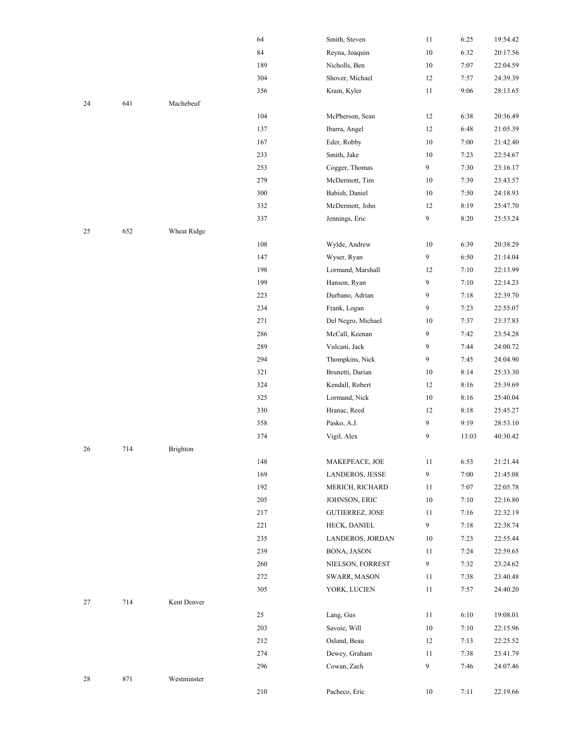|    |     |             | 64  | Smith, Steven          | 11     | 6:25  | 19:54.42 |
|----|-----|-------------|-----|------------------------|--------|-------|----------|
|    |     |             | 84  | Reyna, Joaquin         | $10\,$ | 6:32  | 20:17.56 |
|    |     |             | 189 | Nicholls, Ben          | $10\,$ | 7:07  | 22:04.59 |
|    |     |             | 304 | Shover, Michael        | 12     | 7:57  | 24:39.39 |
|    |     |             | 356 | Kram, Kyler            | 11     | 9:06  | 28:13.65 |
| 24 | 641 | Machebeuf   |     |                        |        |       |          |
|    |     |             | 104 | McPherson, Sean        | 12     | 6:38  | 20:36.49 |
|    |     |             | 137 | Ibarra, Angel          | 12     | 6:48  | 21:05.39 |
|    |     |             | 167 | Eder, Robby            | $10\,$ | 7:00  | 21:42.40 |
|    |     |             | 233 | Smith, Jake            | 10     | 7:23  | 22:54.67 |
|    |     |             | 253 | Cogger, Thomas         | 9      | 7:30  | 23:16.17 |
|    |     |             | 279 | McDermott, Tim         | 10     | 7:39  | 23:43.57 |
|    |     |             | 300 | Babish, Daniel         | $10\,$ | 7:50  | 24:18.93 |
|    |     |             | 332 | McDermott, John        | 12     | 8:19  | 25:47.70 |
|    |     |             | 337 | Jennings, Eric         | 9      | 8:20  | 25:53.24 |
| 25 | 652 | Wheat Ridge |     |                        |        |       |          |
|    |     |             | 108 | Wylde, Andrew          | $10\,$ | 6:39  | 20:38.29 |
|    |     |             | 147 | Wyser, Ryan            | 9      | 6:50  | 21:14.04 |
|    |     |             | 198 | Lormand, Marshall      | 12     | 7:10  | 22:13.99 |
|    |     |             | 199 | Hanson, Ryan           | 9      | 7:10  | 22:14.23 |
|    |     |             | 223 | Durbano, Adrian        | 9      | 7:18  | 22:39.70 |
|    |     |             | 234 | Frank, Logan           | 9      | 7:23  | 22:55.07 |
|    |     |             | 271 | Del Negro, Michael     | 10     | 7:37  | 23:37.83 |
|    |     |             | 286 | McCall, Keenan         | 9      | 7:42  | 23:54.28 |
|    |     |             | 289 | Vulcani, Jack          | 9      | 7:44  | 24:00.72 |
|    |     |             | 294 | Thompkins, Nick        | 9      | 7:45  | 24:04.90 |
|    |     |             | 321 | Brunetti, Darian       | 10     | 8:14  | 25:33.30 |
|    |     |             | 324 | Kendall, Robert        | 12     | 8:16  | 25:39.69 |
|    |     |             | 325 | Lormand, Nick          | $10\,$ | 8:16  | 25:40.04 |
|    |     |             | 330 | Hranac, Reed           | 12     | 8:18  | 25:45.27 |
|    |     |             | 358 | Pasko, A.J.            | 9      | 9:19  | 28:53.10 |
|    |     |             | 374 | Vigil, Alex            | 9      | 13:03 | 40:30.42 |
| 26 | 714 | Brighton    |     |                        |        |       |          |
|    |     |             | 148 | MAKEPEACE, JOE         | 11     | 6:53  | 21:21.44 |
|    |     |             | 169 | <b>LANDEROS, JESSE</b> | 9      | 7:00  | 21:45.08 |
|    |     |             | 192 | MERICH, RICHARD        | 11     | 7:07  | 22:05.78 |
|    |     |             | 205 | JOHNSON, ERIC          | $10\,$ | 7:10  | 22:16.80 |
|    |     |             | 217 | <b>GUTIERREZ, JOSE</b> | 11     | 7:16  | 22:32.19 |
|    |     |             | 221 | HECK, DANIEL           | 9      | 7:18  | 22:38.74 |
|    |     |             | 235 | LANDEROS, JORDAN       | 10     | 7:23  | 22:55.44 |
|    |     |             | 239 | <b>BONA, JASON</b>     | 11     | 7:24  | 22:59.65 |
|    |     |             | 260 | NIELSON, FORREST       | 9      | 7:32  | 23:24.62 |
|    |     |             | 272 | SWARR, MASON           | 11     | 7:38  | 23:40.48 |
|    |     |             | 305 | YORK, LUCIEN           | 11     | 7:57  | 24:40.20 |
| 27 | 714 | Kent Denver |     |                        |        |       |          |
|    |     |             | 25  | Lang, Gus              | 11     | 6:10  | 19:08.01 |
|    |     |             | 203 | Savoie, Will           | 10     | 7:10  | 22:15.96 |
|    |     |             | 212 | Osland, Beau           | 12     | 7:13  | 22:25.52 |
|    |     |             | 274 | Dewey, Graham          | 11     | 7:38  | 23:41.79 |
|    |     |             | 296 | Cowan, Zach            | 9      | 7:46  | 24:07.46 |
| 28 | 871 | Westminster |     |                        |        |       |          |
|    |     |             | 210 | Pacheco, Eric          | 10     | 7:11  | 22:19.66 |
|    |     |             |     |                        |        |       |          |

|        |     |             | ٢                       |
|--------|-----|-------------|-------------------------|
|        |     |             | $\overline{\mathbf{3}}$ |
| 24     | 641 | Machebeuf   |                         |
|        |     |             | $\mathbf{1}$            |
|        |     |             |                         |
|        |     |             | $\mathbf{1}$            |
|        |     |             | $\mathbf{1}$            |
|        |     |             | $\overline{\mathbf{c}}$ |
|        |     |             | $\overline{\mathbf{c}}$ |
|        |     |             | $\overline{\mathbf{c}}$ |
|        |     |             | $\overline{\mathbf{3}}$ |
|        |     |             |                         |
|        |     |             | $\overline{\mathbf{3}}$ |
|        |     |             | $\overline{\mathbf{3}}$ |
| 25     | 652 | Wheat Ridge |                         |
|        |     |             | $\mathbf{1}$            |
|        |     |             | $\mathbf{1}$            |
|        |     |             | $\mathbf{1}$            |
|        |     |             |                         |
|        |     |             | $\mathbf{1}$            |
|        |     |             | $\overline{\mathbf{c}}$ |
|        |     |             | $\overline{\mathbf{c}}$ |
|        |     |             | $\overline{\mathbf{c}}$ |
|        |     |             | $\overline{\mathbf{c}}$ |
|        |     |             | $\overline{c}$          |
|        |     |             |                         |
|        |     |             | $\overline{\mathbf{c}}$ |
|        |     |             | $\overline{\mathbf{3}}$ |
|        |     |             | $\overline{\mathbf{3}}$ |
|        |     |             | $\overline{\mathbf{3}}$ |
|        |     |             | $\overline{\mathbf{3}}$ |
|        |     |             | $\overline{3}$          |
|        |     |             | $\overline{\mathbf{3}}$ |
|        |     |             |                         |
| 26     | 714 | Brighton    |                         |
|        |     |             | $\mathbf{1}$            |
|        |     |             | $\mathbf{1}$            |
|        |     |             | $\mathbf{1}$            |
|        |     |             | $\overline{\mathbf{c}}$ |
|        |     |             | $\overline{\mathbf{c}}$ |
|        |     |             | $\overline{\mathbf{c}}$ |
|        |     |             |                         |
|        |     |             | $\overline{\mathbf{c}}$ |
|        |     |             | $\overline{c}$          |
|        |     |             | $\overline{c}$          |
|        |     |             | $\overline{\mathbf{c}}$ |
|        |     |             | $\overline{\mathbf{3}}$ |
| $27\,$ | 714 | Kent Denver |                         |
|        |     |             |                         |
|        |     |             | $\overline{\mathbf{c}}$ |
|        |     |             | $\overline{c}$          |
|        |     |             | $\overline{\mathbf{c}}$ |
|        |     |             | $\overline{\mathbf{c}}$ |
|        |     |             | $\overline{\mathbf{c}}$ |
| 28     | 871 | Westminster |                         |
|        |     |             | $\overline{2}$          |
|        |     |             |                         |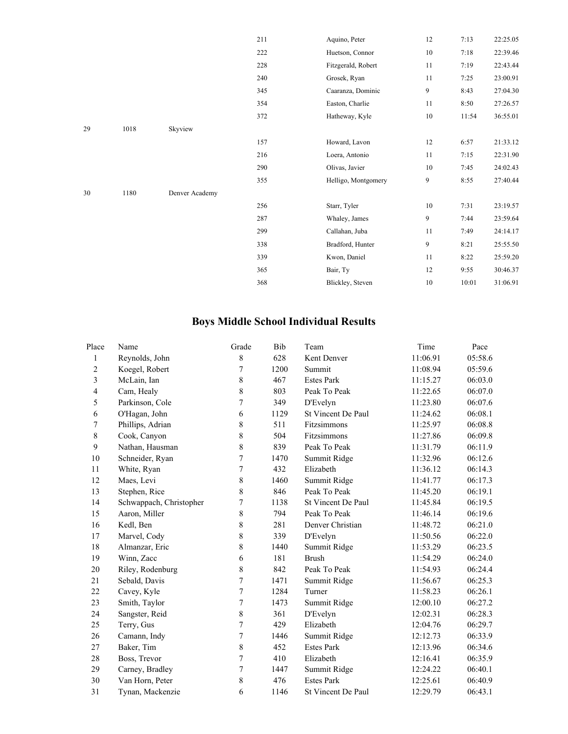|    |      |                | 211 | Aquino, Peter       | 12     | 7:13  | 22:25.05 |
|----|------|----------------|-----|---------------------|--------|-------|----------|
|    |      |                | 222 | Huetson, Connor     | $10\,$ | 7:18  | 22:39.46 |
|    |      |                | 228 | Fitzgerald, Robert  | 11     | 7:19  | 22:43.44 |
|    |      |                | 240 | Grosek, Ryan        | 11     | 7:25  | 23:00.91 |
|    |      |                | 345 | Caaranza, Dominic   | 9      | 8:43  | 27:04.30 |
|    |      |                | 354 | Easton, Charlie     | 11     | 8:50  | 27:26.57 |
|    |      |                | 372 | Hatheway, Kyle      | $10\,$ | 11:54 | 36:55.01 |
| 29 | 1018 | Skyview        |     |                     |        |       |          |
|    |      |                | 157 | Howard, Lavon       | 12     | 6:57  | 21:33.12 |
|    |      |                | 216 | Loera, Antonio      | 11     | 7:15  | 22:31.90 |
|    |      |                | 290 | Olivas, Javier      | 10     | 7:45  | 24:02.43 |
|    |      |                | 355 | Helligo, Montgomery | 9      | 8:55  | 27:40.44 |
| 30 | 1180 | Denver Academy |     |                     |        |       |          |
|    |      |                | 256 | Starr, Tyler        | 10     | 7:31  | 23:19.57 |
|    |      |                | 287 | Whaley, James       | 9      | 7:44  | 23:59.64 |
|    |      |                | 299 | Callahan, Juba      | 11     | 7:49  | 24:14.17 |
|    |      |                | 338 | Bradford, Hunter    | 9      | 8:21  | 25:55.50 |
|    |      |                | 339 | Kwon, Daniel        | 11     | 8:22  | 25:59.20 |
|    |      |                | 365 | Bair, Ty            | 12     | 9:55  | 30:46.37 |
|    |      |                | 368 | Blickley, Steven    | 10     | 10:01 | 31:06.91 |
|    |      |                |     |                     |        |       |          |

## **Boys Middle School Individual Results**

| Place          | Name                    | Grade | Bib  | Team               | Time     | Pace    |
|----------------|-------------------------|-------|------|--------------------|----------|---------|
| $\mathbf{1}$   | Reynolds, John          | 8     | 628  | Kent Denver        | 11:06.91 | 05:58.6 |
| $\mathbf{2}$   | Koegel, Robert          | 7     | 1200 | Summit             | 11:08.94 | 05:59.6 |
| 3              | McLain, Ian             | 8     | 467  | <b>Estes Park</b>  | 11:15.27 | 06:03.0 |
| $\overline{4}$ | Cam, Healy              | 8     | 803  | Peak To Peak       | 11:22.65 | 06:07.0 |
| 5              | Parkinson, Cole         | 7     | 349  | D'Evelyn           | 11:23.80 | 06:07.6 |
| 6              | O'Hagan, John           | 6     | 1129 | St Vincent De Paul | 11:24.62 | 06:08.1 |
| 7              | Phillips, Adrian        | 8     | 511  | Fitzsimmons        | 11:25.97 | 06:08.8 |
| $8\,$          | Cook, Canyon            | 8     | 504  | Fitzsimmons        | 11:27.86 | 06:09.8 |
| 9              | Nathan, Hausman         | 8     | 839  | Peak To Peak       | 11:31.79 | 06:11.9 |
| 10             | Schneider, Ryan         | 7     | 1470 | Summit Ridge       | 11:32.96 | 06:12.6 |
| 11             | White, Ryan             | 7     | 432  | Elizabeth          | 11:36.12 | 06:14.3 |
| 12             | Maes, Levi              | 8     | 1460 | Summit Ridge       | 11:41.77 | 06:17.3 |
| 13             | Stephen, Rice           | 8     | 846  | Peak To Peak       | 11:45.20 | 06:19.1 |
| 14             | Schwappach, Christopher | 7     | 1138 | St Vincent De Paul | 11:45.84 | 06:19.5 |
| 15             | Aaron, Miller           | 8     | 794  | Peak To Peak       | 11:46.14 | 06:19.6 |
| 16             | Kedl, Ben               | 8     | 281  | Denver Christian   | 11:48.72 | 06:21.0 |
| 17             | Marvel, Cody            | 8     | 339  | D'Evelyn           | 11:50.56 | 06:22.0 |
| 18             | Almanzar, Eric          | 8     | 1440 | Summit Ridge       | 11:53.29 | 06:23.5 |
| 19             | Winn, Zacc              | 6     | 181  | <b>Brush</b>       | 11:54.29 | 06:24.0 |
| 20             | Riley, Rodenburg        | 8     | 842  | Peak To Peak       | 11:54.93 | 06:24.4 |
| 21             | Sebald, Davis           | 7     | 1471 | Summit Ridge       | 11:56.67 | 06:25.3 |
| 22             | Cavey, Kyle             | 7     | 1284 | Turner             | 11:58.23 | 06:26.1 |
| 23             | Smith, Taylor           | 7     | 1473 | Summit Ridge       | 12:00.10 | 06:27.2 |
| 24             | Sangster, Reid          | 8     | 361  | D'Evelyn           | 12:02.31 | 06:28.3 |
| 25             | Terry, Gus              | 7     | 429  | Elizabeth          | 12:04.76 | 06:29.7 |
| 26             | Camann, Indy            | 7     | 1446 | Summit Ridge       | 12:12.73 | 06:33.9 |
| 27             | Baker, Tim              | 8     | 452  | <b>Estes Park</b>  | 12:13.96 | 06:34.6 |
| 28             | Boss, Trevor            | 7     | 410  | Elizabeth          | 12:16.41 | 06:35.9 |
| 29             | Carney, Bradley         | 7     | 1447 | Summit Ridge       | 12:24.22 | 06:40.1 |
| 30             | Van Horn, Peter         | 8     | 476  | <b>Estes Park</b>  | 12:25.61 | 06:40.9 |
| 31             | Tynan, Mackenzie        | 6     | 1146 | St Vincent De Paul | 12:29.79 | 06:43.1 |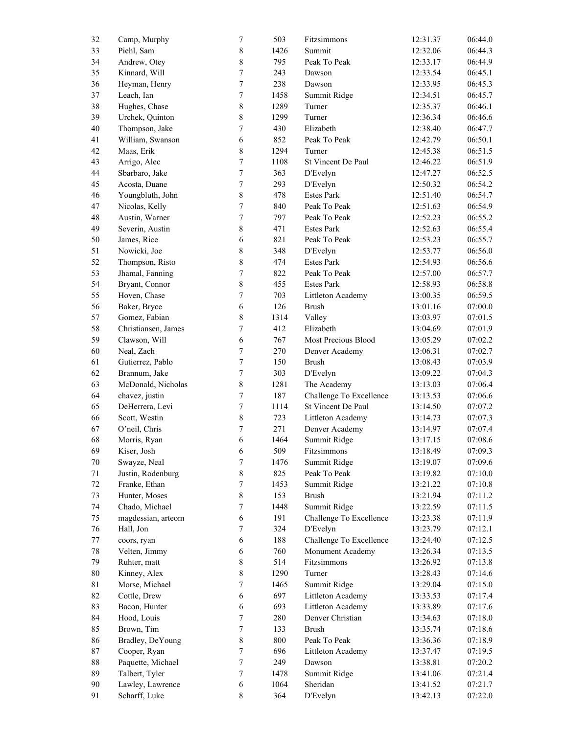| 32     | Camp, Murphy        | $\boldsymbol{7}$ | 503  | Fitzsimmons             | 12:31.37 | 06:44.0 |
|--------|---------------------|------------------|------|-------------------------|----------|---------|
| 33     | Piehl, Sam          | $\,$ 8 $\,$      | 1426 | Summit                  | 12:32.06 | 06:44.3 |
| 34     | Andrew, Otey        | $\,$ 8 $\,$      | 795  | Peak To Peak            | 12:33.17 | 06:44.9 |
| 35     | Kinnard, Will       | $\overline{7}$   | 243  | Dawson                  | 12:33.54 | 06:45.1 |
| $36\,$ | Heyman, Henry       | $\boldsymbol{7}$ | 238  | Dawson                  | 12:33.95 | 06:45.3 |
| $37\,$ | Leach, Ian          | $\boldsymbol{7}$ | 1458 | Summit Ridge            | 12:34.51 | 06:45.7 |
| 38     | Hughes, Chase       | $\,$ 8 $\,$      | 1289 | Turner                  | 12:35.37 | 06:46.1 |
| 39     | Urchek, Quinton     | $\,$ 8 $\,$      | 1299 | Turner                  | 12:36.34 | 06:46.6 |
| $40\,$ | Thompson, Jake      | $\boldsymbol{7}$ | 430  | Elizabeth               | 12:38.40 | 06:47.7 |
| 41     | William, Swanson    | 6                | 852  | Peak To Peak            | 12:42.79 | 06:50.1 |
| 42     | Maas, Erik          | $\,$ 8 $\,$      | 1294 | Turner                  | 12:45.38 | 06:51.5 |
| 43     | Arrigo, Alec        | $\boldsymbol{7}$ | 1108 | St Vincent De Paul      | 12:46.22 | 06:51.9 |
| $44\,$ | Sbarbaro, Jake      | $\boldsymbol{7}$ | 363  | D'Evelyn                | 12:47.27 | 06:52.5 |
| $45\,$ | Acosta, Duane       | $\boldsymbol{7}$ | 293  | D'Evelyn                | 12:50.32 | 06:54.2 |
| 46     | Youngbluth, John    | $\,$ 8 $\,$      | 478  | <b>Estes Park</b>       | 12:51.40 | 06:54.7 |
| $47\,$ | Nicolas, Kelly      | $\boldsymbol{7}$ | 840  | Peak To Peak            | 12:51.63 | 06:54.9 |
| $48\,$ | Austin, Warner      | $\boldsymbol{7}$ | 797  | Peak To Peak            | 12:52.23 | 06:55.2 |
|        |                     |                  |      | <b>Estes Park</b>       | 12:52.63 |         |
| 49     | Severin, Austin     | $\,$ 8 $\,$      | 471  |                         |          | 06:55.4 |
| $50\,$ | James, Rice         | 6                | 821  | Peak To Peak            | 12:53.23 | 06:55.7 |
| 51     | Nowicki, Joe        | $\,$ $\,$        | 348  | D'Evelyn                | 12:53.77 | 06:56.0 |
| 52     | Thompson, Risto     | 8                | 474  | <b>Estes Park</b>       | 12:54.93 | 06:56.6 |
| 53     | Jhamal, Fanning     | $\boldsymbol{7}$ | 822  | Peak To Peak            | 12:57.00 | 06:57.7 |
| 54     | Bryant, Connor      | $\,$ 8 $\,$      | 455  | <b>Estes Park</b>       | 12:58.93 | 06:58.8 |
| 55     | Hoven, Chase        | $\boldsymbol{7}$ | 703  | Littleton Academy       | 13:00.35 | 06:59.5 |
| 56     | Baker, Bryce        | $\sqrt{6}$       | 126  | <b>Brush</b>            | 13:01.16 | 07:00.0 |
| 57     | Gomez, Fabian       | 8                | 1314 | Valley                  | 13:03.97 | 07:01.5 |
| 58     | Christiansen, James | $\boldsymbol{7}$ | 412  | Elizabeth               | 13:04.69 | 07:01.9 |
| 59     | Clawson, Will       | 6                | 767  | Most Precious Blood     | 13:05.29 | 07:02.2 |
| 60     | Neal, Zach          | $\boldsymbol{7}$ | 270  | Denver Academy          | 13:06.31 | 07:02.7 |
| 61     | Gutierrez, Pablo    | $\boldsymbol{7}$ | 150  | <b>Brush</b>            | 13:08.43 | 07:03.9 |
| 62     | Brannum, Jake       | $\boldsymbol{7}$ | 303  | D'Evelyn                | 13:09.22 | 07:04.3 |
| 63     | McDonald, Nicholas  | $\,$ 8 $\,$      | 1281 | The Academy             | 13:13.03 | 07:06.4 |
| 64     | chavez, justin      | $\boldsymbol{7}$ | 187  | Challenge To Excellence | 13:13.53 | 07:06.6 |
| 65     | DeHerrera, Levi     | $\boldsymbol{7}$ | 1114 | St Vincent De Paul      | 13:14.50 | 07:07.2 |
| 66     | Scott, Westin       | $\,$ 8 $\,$      | 723  | Littleton Academy       | 13:14.73 | 07:07.3 |
| 67     | O'neil, Chris       | $\overline{7}$   | 271  | Denver Academy          | 13:14.97 | 07:07.4 |
| 68     | Morris, Ryan        | $\epsilon$       | 1464 | Summit Ridge            | 13:17.15 | 07:08.6 |
| 69     | Kiser, Josh         | $\boldsymbol{6}$ | 509  | Fitzsimmons             | 13:18.49 | 07:09.3 |
| 70     | Swayze, Neal        | $\boldsymbol{7}$ | 1476 | Summit Ridge            | 13:19.07 | 07:09.6 |
| 71     | Justin, Rodenburg   | $\,$ 8 $\,$      | 825  | Peak To Peak            | 13:19.82 | 07:10.0 |
| $72\,$ | Franke, Ethan       | 7                | 1453 | Summit Ridge            | 13:21.22 | 07:10.8 |
| 73     | Hunter, Moses       | $\,$ 8 $\,$      | 153  | <b>Brush</b>            | 13:21.94 | 07:11.2 |
| 74     | Chado, Michael      | $\boldsymbol{7}$ | 1448 | Summit Ridge            | 13:22.59 | 07:11.5 |
| 75     | magdessian, arteom  | 6                | 191  | Challenge To Excellence | 13:23.38 | 07:11.9 |
| 76     | Hall, Jon           | 7                | 324  | D'Evelyn                | 13:23.79 | 07:12.1 |
| $77\,$ | coors, ryan         | 6                | 188  | Challenge To Excellence | 13:24.40 | 07:12.5 |
| 78     | Velten, Jimmy       | 6                | 760  | Monument Academy        | 13:26.34 | 07:13.5 |
| 79     | Ruhter, matt        | $\,$ 8 $\,$      | 514  | Fitzsimmons             | 13:26.92 | 07:13.8 |
| $80\,$ |                     | $\,$ 8 $\,$      | 1290 |                         |          |         |
|        | Kinney, Alex        |                  |      | Turner                  | 13:28.43 | 07:14.6 |
| 81     | Morse, Michael      | $\boldsymbol{7}$ | 1465 | Summit Ridge            | 13:29.04 | 07:15.0 |
| 82     | Cottle, Drew        | 6                | 697  | Littleton Academy       | 13:33.53 | 07:17.4 |
| 83     | Bacon, Hunter       | 6                | 693  | Littleton Academy       | 13:33.89 | 07:17.6 |
| 84     | Hood, Louis         | 7                | 280  | Denver Christian        | 13:34.63 | 07:18.0 |
| 85     | Brown, Tim          | $\boldsymbol{7}$ | 133  | <b>Brush</b>            | 13:35.74 | 07:18.6 |
| 86     | Bradley, DeYoung    | $\,$ 8 $\,$      | 800  | Peak To Peak            | 13:36.36 | 07:18.9 |
| $87\,$ | Cooper, Ryan        | $\boldsymbol{7}$ | 696  | Littleton Academy       | 13:37.47 | 07:19.5 |
| $88\,$ | Paquette, Michael   | $\boldsymbol{7}$ | 249  | Dawson                  | 13:38.81 | 07:20.2 |
| 89     | Talbert, Tyler      | $\boldsymbol{7}$ | 1478 | Summit Ridge            | 13:41.06 | 07:21.4 |
| 90     | Lawley, Lawrence    | 6                | 1064 | Sheridan                | 13:41.52 | 07:21.7 |
| 91     | Scharff, Luke       | 8                | 364  | D'Evelyn                | 13:42.13 | 07:22.0 |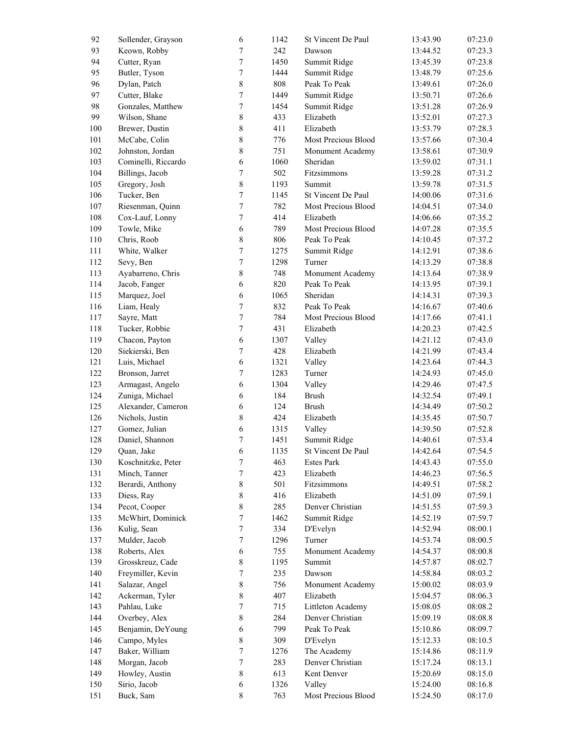| 92      | Sollender, Grayson  | $\sqrt{6}$       | 1142 | St Vincent De Paul  | 13:43.90 | 07:23.0 |
|---------|---------------------|------------------|------|---------------------|----------|---------|
| 93      | Keown, Robby        | $\boldsymbol{7}$ | 242  | Dawson              | 13:44.52 | 07:23.3 |
| 94      | Cutter, Ryan        | $\overline{7}$   | 1450 | Summit Ridge        | 13:45.39 | 07:23.8 |
| 95      | Butler, Tyson       | $\overline{7}$   | 1444 | Summit Ridge        | 13:48.79 | 07:25.6 |
| 96      | Dylan, Patch        | $\,$ $\,$        | 808  | Peak To Peak        | 13:49.61 | 07:26.0 |
| 97      | Cutter, Blake       | $\overline{7}$   | 1449 | Summit Ridge        | 13:50.71 | 07:26.6 |
| 98      | Gonzales, Matthew   | $\overline{7}$   | 1454 | Summit Ridge        | 13:51.28 | 07:26.9 |
| 99      | Wilson, Shane       | 8                | 433  | Elizabeth           | 13:52.01 | 07:27.3 |
| $100\,$ | Brewer, Dustin      | $\,$ 8 $\,$      | 411  | Elizabeth           | 13:53.79 | 07:28.3 |
| 101     | McCabe, Colin       | $\,$ $\,$        | 776  | Most Precious Blood | 13:57.66 | 07:30.4 |
| 102     | Johnston, Jordan    | $\,$ 8 $\,$      | 751  | Monument Academy    | 13:58.61 | 07:30.9 |
|         |                     |                  |      |                     |          |         |
| 103     | Cominelli, Riccardo | $\sqrt{6}$       | 1060 | Sheridan            | 13:59.02 | 07:31.1 |
| 104     | Billings, Jacob     | $\boldsymbol{7}$ | 502  | Fitzsimmons         | 13:59.28 | 07:31.2 |
| 105     | Gregory, Josh       | $\,$ $\,$        | 1193 | Summit              | 13:59.78 | 07:31.5 |
| 106     | Tucker, Ben         | $\overline{7}$   | 1145 | St Vincent De Paul  | 14:00.06 | 07:31.6 |
| 107     | Riesenman, Quinn    | $\overline{7}$   | 782  | Most Precious Blood | 14:04.51 | 07:34.0 |
| 108     | Cox-Lauf, Lonny     | $\boldsymbol{7}$ | 414  | Elizabeth           | 14:06.66 | 07:35.2 |
| 109     | Towle, Mike         | $\sqrt{6}$       | 789  | Most Precious Blood | 14:07.28 | 07:35.5 |
| 110     | Chris, Roob         | $\,$ 8 $\,$      | 806  | Peak To Peak        | 14:10.45 | 07:37.2 |
| 111     | White, Walker       | $\overline{7}$   | 1275 | Summit Ridge        | 14:12.91 | 07:38.6 |
| 112     | Sevy, Ben           | $\overline{7}$   | 1298 | Turner              | 14:13.29 | 07:38.8 |
| 113     | Ayabarreno, Chris   | 8                | 748  | Monument Academy    | 14:13.64 | 07:38.9 |
| 114     | Jacob, Fanger       | $\sqrt{6}$       | 820  | Peak To Peak        | 14:13.95 | 07:39.1 |
| 115     | Marquez, Joel       | $\sqrt{6}$       | 1065 | Sheridan            | 14:14.31 | 07:39.3 |
| 116     | Liam, Healy         | $\boldsymbol{7}$ | 832  | Peak To Peak        | 14:16.67 | 07:40.6 |
| 117     | Sayre, Matt         | $\overline{7}$   | 784  | Most Precious Blood | 14:17.66 | 07:41.1 |
| 118     | Tucker, Robbie      | $\overline{7}$   | 431  | Elizabeth           | 14:20.23 | 07:42.5 |
| 119     | Chacon, Payton      | $\sqrt{6}$       | 1307 | Valley              | 14:21.12 | 07:43.0 |
| 120     | Siekierski, Ben     | $\boldsymbol{7}$ | 428  | Elizabeth           | 14:21.99 | 07:43.4 |
| 121     | Luis, Michael       | $\sqrt{6}$       | 1321 | Valley              | 14:23.64 | 07:44.3 |
| 122     | Bronson, Jarret     | $\boldsymbol{7}$ | 1283 | Turner              | 14:24.93 | 07:45.0 |
| 123     | Armagast, Angelo    | $\sqrt{6}$       | 1304 | Valley              | 14:29.46 | 07:47.5 |
| 124     |                     | $\epsilon$       | 184  | <b>Brush</b>        |          |         |
|         | Zuniga, Michael     |                  |      |                     | 14:32.54 | 07:49.1 |
| 125     | Alexander, Cameron  | $\sqrt{6}$       | 124  | <b>Brush</b>        | 14:34.49 | 07:50.2 |
| 126     | Nichols, Justin     | 8                | 424  | Elizabeth           | 14:35.45 | 07:50.7 |
| 127     | Gomez, Julian       | $\sqrt{6}$       | 1315 | Valley              | 14:39.50 | 07:52.8 |
| 128     | Daniel, Shannon     | 7                | 1451 | Summit Ridge        | 14:40.61 | 07:53.4 |
| 129     | Quan, Jake          | 6                | 1135 | St Vincent De Paul  | 14:42.64 | 07:54.5 |
| 130     | Koschnitzke, Peter  | $\overline{7}$   | 463  | <b>Estes Park</b>   | 14:43.43 | 07:55.0 |
| 131     | Minch, Tanner       | 7                | 423  | Elizabeth           | 14:46.23 | 07:56.5 |
| 132     | Berardi, Anthony    | 8                | 501  | Fitzsimmons         | 14:49.51 | 07:58.2 |
| 133     | Diess, Ray          | 8                | 416  | Elizabeth           | 14:51.09 | 07:59.1 |
| 134     | Pecot, Cooper       | 8                | 285  | Denver Christian    | 14:51.55 | 07:59.3 |
| 135     | McWhirt, Dominick   | $\boldsymbol{7}$ | 1462 | Summit Ridge        | 14:52.19 | 07:59.7 |
| 136     | Kulig, Sean         | $\boldsymbol{7}$ | 334  | D'Evelyn            | 14:52.94 | 08:00.1 |
| 137     | Mulder, Jacob       | $\boldsymbol{7}$ | 1296 | Turner              | 14:53.74 | 08:00.5 |
| 138     | Roberts, Alex       | $\epsilon$       | 755  | Monument Academy    | 14:54.37 | 08:00.8 |
| 139     | Grosskreuz, Cade    | 8                | 1195 | Summit              | 14:57.87 | 08:02.7 |
| 140     | Freymiller, Kevin   | 7                | 235  | Dawson              | 14:58.84 | 08:03.2 |
| 141     | Salazar, Angel      | 8                | 756  | Monument Academy    | 15:00.02 | 08:03.9 |
| 142     | Ackerman, Tyler     | 8                | 407  | Elizabeth           | 15:04.57 | 08:06.3 |
| 143     | Pahlau, Luke        | 7                | 715  | Littleton Academy   | 15:08.05 | 08:08.2 |
| 144     | Overbey, Alex       | 8                | 284  | Denver Christian    | 15:09.19 | 08:08.8 |
| 145     | Benjamin, DeYoung   | $\epsilon$       | 799  | Peak To Peak        | 15:10.86 | 08:09.7 |
| 146     | Campo, Myles        | 8                | 309  | D'Evelyn            |          |         |
|         |                     |                  |      |                     | 15:12.33 | 08:10.5 |
| 147     | Baker, William      | $\boldsymbol{7}$ | 1276 | The Academy         | 15:14.86 | 08:11.9 |
| 148     | Morgan, Jacob       | $\boldsymbol{7}$ | 283  | Denver Christian    | 15:17.24 | 08:13.1 |
| 149     | Howley, Austin      | 8                | 613  | Kent Denver         | 15:20.69 | 08:15.0 |
| 150     | Sirio, Jacob        | $\epsilon$       | 1326 | Valley              | 15:24.00 | 08:16.8 |
| 151     | Buck, Sam           | $\,$ $\,$        | 763  | Most Precious Blood | 15:24.50 | 08:17.0 |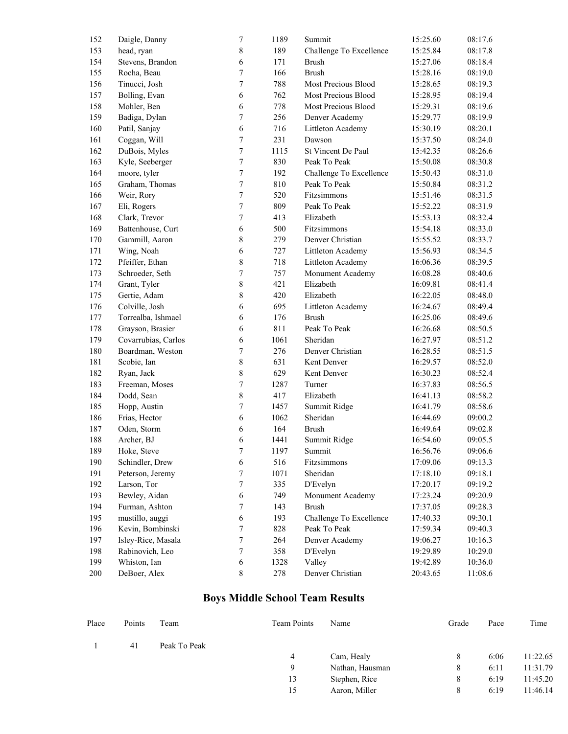| 152 | Daigle, Danny       | $\boldsymbol{7}$ | 1189 | Summit                  | 15:25.60 | 08:17.6 |
|-----|---------------------|------------------|------|-------------------------|----------|---------|
| 153 | head, ryan          | $\,$ $\,$        | 189  | Challenge To Excellence | 15:25.84 | 08:17.8 |
| 154 | Stevens, Brandon    | 6                | 171  | <b>Brush</b>            | 15:27.06 | 08:18.4 |
| 155 | Rocha, Beau         | 7                | 166  | <b>Brush</b>            | 15:28.16 | 08:19.0 |
| 156 | Tinucci, Josh       | $\boldsymbol{7}$ | 788  | Most Precious Blood     | 15:28.65 | 08:19.3 |
| 157 | Bolling, Evan       | 6                | 762  | Most Precious Blood     | 15:28.95 | 08:19.4 |
| 158 | Mohler, Ben         | 6                | 778  | Most Precious Blood     | 15:29.31 | 08:19.6 |
| 159 | Badiga, Dylan       | $\boldsymbol{7}$ | 256  | Denver Academy          | 15:29.77 | 08:19.9 |
| 160 | Patil, Sanjay       | 6                | 716  | Littleton Academy       | 15:30.19 | 08:20.1 |
| 161 | Coggan, Will        | $\boldsymbol{7}$ | 231  | Dawson                  | 15:37.50 | 08:24.0 |
| 162 | DuBois, Myles       | $\boldsymbol{7}$ | 1115 | St Vincent De Paul      | 15:42.35 | 08:26.6 |
| 163 | Kyle, Seeberger     | $\boldsymbol{7}$ | 830  | Peak To Peak            | 15:50.08 | 08:30.8 |
| 164 | moore, tyler        | $\boldsymbol{7}$ | 192  | Challenge To Excellence | 15:50.43 | 08:31.0 |
| 165 | Graham, Thomas      | $\boldsymbol{7}$ | 810  | Peak To Peak            | 15:50.84 | 08:31.2 |
| 166 | Weir, Rory          | $\boldsymbol{7}$ | 520  | Fitzsimmons             | 15:51.46 | 08:31.5 |
| 167 | Eli, Rogers         | $\boldsymbol{7}$ | 809  | Peak To Peak            | 15:52.22 | 08:31.9 |
| 168 | Clark, Trevor       | 7                | 413  | Elizabeth               | 15:53.13 | 08:32.4 |
| 169 | Battenhouse, Curt   | 6                | 500  | Fitzsimmons             | 15:54.18 | 08:33.0 |
| 170 | Gammill, Aaron      | 8                | 279  | Denver Christian        | 15:55.52 | 08:33.7 |
| 171 | Wing, Noah          | 6                | 727  | Littleton Academy       | 15:56.93 | 08:34.5 |
| 172 | Pfeiffer, Ethan     | $\,$ 8 $\,$      | 718  | Littleton Academy       | 16:06.36 | 08:39.5 |
| 173 | Schroeder, Seth     | $\boldsymbol{7}$ | 757  | Monument Academy        | 16:08.28 | 08:40.6 |
| 174 | Grant, Tyler        | 8                | 421  | Elizabeth               | 16:09.81 | 08:41.4 |
| 175 | Gertie, Adam        | $\,8\,$          | 420  | Elizabeth               | 16:22.05 | 08:48.0 |
| 176 | Colville, Josh      | 6                | 695  | Littleton Academy       | 16:24.67 | 08:49.4 |
| 177 | Torrealba, Ishmael  | 6                | 176  | <b>Brush</b>            | 16:25.06 | 08:49.6 |
| 178 | Grayson, Brasier    | 6                | 811  | Peak To Peak            | 16:26.68 | 08:50.5 |
| 179 | Covarrubias, Carlos | 6                | 1061 | Sheridan                | 16:27.97 | 08:51.2 |
| 180 | Boardman, Weston    | $\boldsymbol{7}$ | 276  | Denver Christian        | 16:28.55 | 08:51.5 |
| 181 | Scobie, Ian         | 8                | 631  | Kent Denver             | 16:29.57 | 08:52.0 |
| 182 | Ryan, Jack          | 8                | 629  | Kent Denver             | 16:30.23 | 08:52.4 |
| 183 | Freeman, Moses      | $\boldsymbol{7}$ | 1287 | Turner                  | 16:37.83 | 08:56.5 |
| 184 | Dodd, Sean          | $8\,$            | 417  | Elizabeth               | 16:41.13 | 08:58.2 |
| 185 | Hopp, Austin        | $\boldsymbol{7}$ | 1457 | Summit Ridge            | 16:41.79 | 08:58.6 |
| 186 | Frias, Hector       | 6                | 1062 | Sheridan                | 16:44.69 | 09:00.2 |
| 187 | Oden, Storm         | 6                | 164  | <b>Brush</b>            | 16:49.64 | 09:02.8 |
| 188 | Archer, BJ          | 6                | 1441 | Summit Ridge            | 16:54.60 | 09:05.5 |
| 189 | Hoke, Steve         | 7                | 1197 | Summit                  | 16:56.76 | 09:06.6 |
| 190 | Schindler, Drew     | 6                | 516  | Fitzsimmons             | 17:09.06 | 09:13.3 |
| 191 | Peterson, Jeremy    | $\boldsymbol{7}$ | 1071 | Sheridan                | 17:18.10 | 09:18.1 |
| 192 | Larson, Tor         | $\boldsymbol{7}$ | 335  | D'Evelyn                | 17:20.17 | 09:19.2 |
| 193 | Bewley, Aidan       | $\epsilon$       | 749  | Monument Academy        | 17:23.24 | 09:20.9 |
| 194 | Furman, Ashton      | $\boldsymbol{7}$ | 143  | <b>Brush</b>            | 17:37.05 | 09:28.3 |
| 195 | mustillo, auggi     | $\epsilon$       | 193  | Challenge To Excellence | 17:40.33 | 09:30.1 |
| 196 | Kevin, Bombinski    | $\boldsymbol{7}$ | 828  | Peak To Peak            | 17:59.34 | 09:40.3 |
| 197 | Isley-Rice, Masala  | $\boldsymbol{7}$ | 264  | Denver Academy          | 19:06.27 | 10:16.3 |
| 198 | Rabinovich, Leo     | $\boldsymbol{7}$ | 358  | D'Evelyn                | 19:29.89 | 10:29.0 |
| 199 | Whiston, Ian        | $\epsilon$       | 1328 | Valley                  | 19:42.89 | 10:36.0 |
| 200 | DeBoer, Alex        | $8\,$            | 278  | Denver Christian        | 20:43.65 | 11:08.6 |

## **Boys Middle School Team Results**

| Place | Points | Team         | <b>Team Points</b> | Name            | Grade | Pace | Time     |
|-------|--------|--------------|--------------------|-----------------|-------|------|----------|
|       | 41     | Peak To Peak |                    |                 |       |      |          |
|       |        |              | 4                  | Cam, Healy      | 8     | 6:06 | 11:22.65 |
|       |        |              | Q                  | Nathan, Hausman | 8     | 6:11 | 11:31.79 |
|       |        |              | 13                 | Stephen, Rice   | 8     | 6:19 | 11:45.20 |
|       |        |              | 15                 | Aaron, Miller   | 8     | 6:19 | 11:46.14 |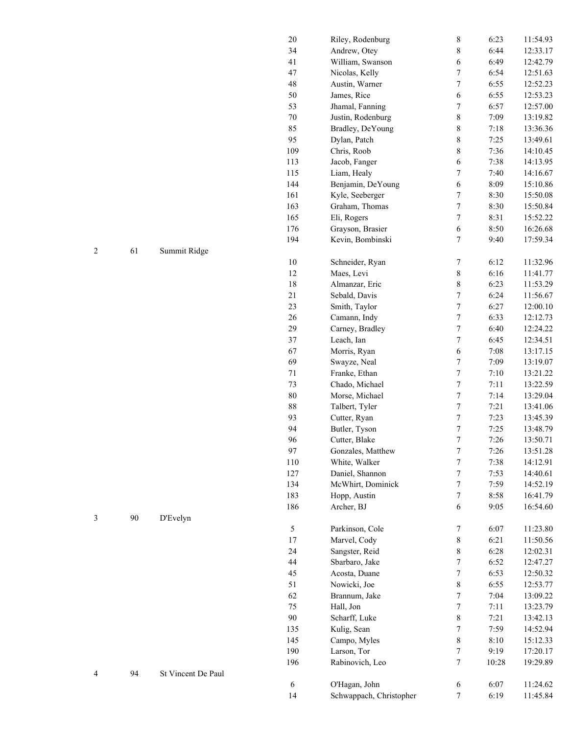|    |                    | $20\,$      | Riley, Rodenburg        | $\,$ 8 $\,$      | 6:23  | 11:54.93 |
|----|--------------------|-------------|-------------------------|------------------|-------|----------|
|    |                    | 34          | Andrew, Otey            | 8                | 6:44  | 12:33.17 |
|    |                    | 41          | William, Swanson        | 6                | 6:49  | 12:42.79 |
|    |                    | 47          | Nicolas, Kelly          | $\overline{7}$   | 6:54  | 12:51.63 |
|    |                    | $\sqrt{48}$ | Austin, Warner          | $\overline{7}$   | 6:55  | 12:52.23 |
|    |                    | 50          | James, Rice             | 6                | 6:55  | 12:53.23 |
|    |                    | 53          | Jhamal, Fanning         | $\overline{7}$   | 6:57  | 12:57.00 |
|    |                    | $70\,$      | Justin, Rodenburg       | $\,8$            | 7:09  | 13:19.82 |
|    |                    | 85          | Bradley, DeYoung        | 8                | 7:18  | 13:36.36 |
|    |                    | 95          | Dylan, Patch            | 8                | 7:25  | 13:49.61 |
|    |                    | 109         | Chris, Roob             | 8                | 7:36  | 14:10.45 |
|    |                    | 113         | Jacob, Fanger           | 6                | 7:38  | 14:13.95 |
|    |                    | 115         | Liam, Healy             | 7                | 7:40  | 14:16.67 |
|    |                    | 144         | Benjamin, DeYoung       | 6                | 8:09  | 15:10.86 |
|    |                    | 161         | Kyle, Seeberger         | $\overline{7}$   | 8:30  | 15:50.08 |
|    |                    | 163         | Graham, Thomas          | $\overline{7}$   | 8:30  | 15:50.84 |
|    |                    | 165         | Eli, Rogers             | $\overline{7}$   | 8:31  | 15:52.22 |
|    |                    | 176         | Grayson, Brasier        | 6                | 8:50  | 16:26.68 |
|    |                    | 194         | Kevin, Bombinski        | 7                | 9:40  | 17:59.34 |
| 61 | Summit Ridge       |             |                         |                  |       |          |
|    |                    | $10\,$      | Schneider, Ryan         | 7                | 6:12  | 11:32.96 |
|    |                    | $12\,$      | Maes, Levi              | $\,$ 8 $\,$      | 6:16  | 11:41.77 |
|    |                    | 18          | Almanzar, Eric          | $\,$ $\,$        | 6:23  | 11:53.29 |
|    |                    | 21          | Sebald, Davis           | 7                | 6:24  | 11:56.67 |
|    |                    | 23          | Smith, Taylor           | $\sqrt{ }$       | 6:27  | 12:00.10 |
|    |                    | 26          | Camann, Indy            | $\sqrt{ }$       | 6:33  | 12:12.73 |
|    |                    | 29          | Carney, Bradley         | $\sqrt{ }$       | 6:40  | 12:24.22 |
|    |                    | 37          | Leach, Ian              | $\sqrt{ }$       | 6:45  | 12:34.51 |
|    |                    | 67          | Morris, Ryan            | 6                | 7:08  | 13:17.15 |
|    |                    | 69          | Swayze, Neal            | $\overline{7}$   | 7:09  | 13:19.07 |
|    |                    | $71\,$      | Franke, Ethan           | $\overline{7}$   | 7:10  | 13:21.22 |
|    |                    | 73          | Chado, Michael          | $\boldsymbol{7}$ | 7:11  | 13:22.59 |
|    |                    | $80\,$      | Morse, Michael          | $\boldsymbol{7}$ | 7:14  | 13:29.04 |
|    |                    | $88\,$      | Talbert, Tyler          | $\boldsymbol{7}$ | 7:21  | 13:41.06 |
|    |                    | 93          | Cutter, Ryan            | $\boldsymbol{7}$ | 7:23  |          |
|    |                    | 94          | Butler, Tyson           |                  |       | 13:45.39 |
|    |                    |             |                         | $\boldsymbol{7}$ | 7:25  | 13:48.79 |
|    |                    | 96          | Cutter, Blake           | $\sqrt{ }$       | 7:26  | 13:50.71 |
|    |                    | 97          | Gonzales, Matthew       | $\sqrt{ }$       | 7:26  | 13:51.28 |
|    |                    | 110         | White, Walker           | $\boldsymbol{7}$ | 7:38  | 14:12.91 |
|    |                    | 127         | Daniel, Shannon         | $\boldsymbol{7}$ | 7:53  | 14:40.61 |
|    |                    | 134         | McWhirt, Dominick       | 7                | 7:59  | 14:52.19 |
|    |                    | 183         | Hopp, Austin            | 7                | 8:58  | 16:41.79 |
|    |                    | 186         | Archer, BJ              | 6                | 9:05  | 16:54.60 |
| 90 | D'Evelyn           |             |                         |                  |       |          |
|    |                    | 5           | Parkinson, Cole         | 7                | 6:07  | 11:23.80 |
|    |                    | $17\,$      | Marvel, Cody            | 8                | 6:21  | 11:50.56 |
|    |                    | 24          | Sangster, Reid          | 8                | 6:28  | 12:02.31 |
|    |                    | 44          | Sbarbaro, Jake          | $\boldsymbol{7}$ | 6:52  | 12:47.27 |
|    |                    | 45          | Acosta, Duane           | 7                | 6:53  | 12:50.32 |
|    |                    | 51          | Nowicki, Joe            | 8                | 6:55  | 12:53.77 |
|    |                    | 62          | Brannum, Jake           | $\overline{7}$   | 7:04  | 13:09.22 |
|    |                    | 75          | Hall, Jon               | $\boldsymbol{7}$ | 7:11  | 13:23.79 |
|    |                    | 90          | Scharff, Luke           | $\,$ 8 $\,$      | 7:21  | 13:42.13 |
|    |                    | 135         | Kulig, Sean             | $\boldsymbol{7}$ | 7:59  | 14:52.94 |
|    |                    | 145         | Campo, Myles            | 8                | 8:10  | 15:12.33 |
|    |                    | 190         | Larson, Tor             | $\boldsymbol{7}$ | 9:19  | 17:20.17 |
|    |                    | 196         | Rabinovich, Leo         | 7                | 10:28 | 19:29.89 |
| 94 | St Vincent De Paul |             |                         |                  |       |          |
|    |                    | 6           | O'Hagan, John           | 6                | 6:07  | 11:24.62 |
|    |                    | 14          | Schwappach, Christopher | 7                | 6:19  | 11:45.84 |

3 90 D'Evelyn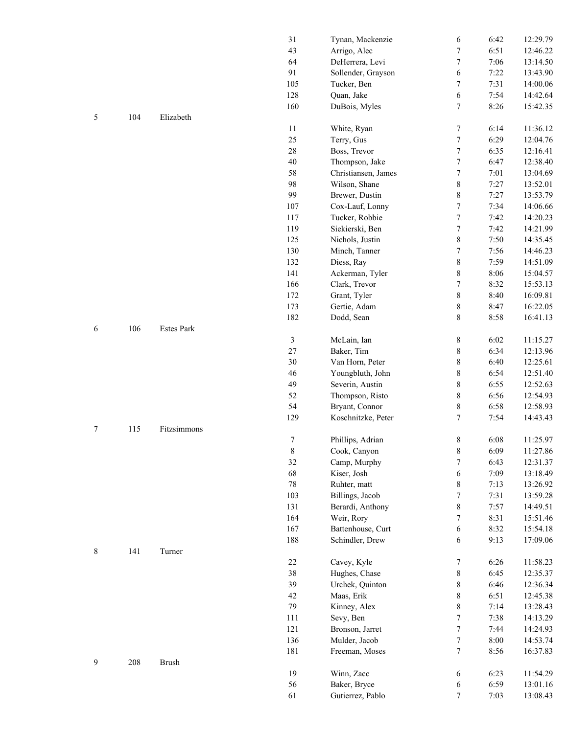| 43<br>Arrigo, Alec<br>64<br>DeHerrera, Levi<br>91<br>Sollender, Grayson<br>105<br>Tucker, Ben<br>128<br>Quan, Jake<br>160<br>DuBois, Myles<br>104<br>Elizabeth<br>5<br>11<br>White, Ryan<br>25<br>Terry, Gus<br>28<br>Boss, Trevor<br>40<br>Thompson, Jake<br>58<br>Christiansen, James | 7<br>7<br>6<br>7<br>6<br>7<br>7<br>7<br>$\tau$ | 6:51<br>7:06<br>7:22<br>7:31<br>7:54<br>8:26<br>6:14<br>6:29 | 12:46.22<br>13:14.50<br>13:43.90<br>14:00.06<br>14:42.64<br>15:42.35 |
|-----------------------------------------------------------------------------------------------------------------------------------------------------------------------------------------------------------------------------------------------------------------------------------------|------------------------------------------------|--------------------------------------------------------------|----------------------------------------------------------------------|
|                                                                                                                                                                                                                                                                                         |                                                |                                                              |                                                                      |
|                                                                                                                                                                                                                                                                                         |                                                |                                                              |                                                                      |
|                                                                                                                                                                                                                                                                                         |                                                |                                                              |                                                                      |
|                                                                                                                                                                                                                                                                                         |                                                |                                                              |                                                                      |
|                                                                                                                                                                                                                                                                                         |                                                |                                                              |                                                                      |
|                                                                                                                                                                                                                                                                                         |                                                |                                                              |                                                                      |
|                                                                                                                                                                                                                                                                                         |                                                |                                                              |                                                                      |
|                                                                                                                                                                                                                                                                                         |                                                |                                                              | 11:36.12                                                             |
|                                                                                                                                                                                                                                                                                         |                                                |                                                              | 12:04.76                                                             |
|                                                                                                                                                                                                                                                                                         |                                                | 6:35                                                         | 12:16.41                                                             |
|                                                                                                                                                                                                                                                                                         | $\tau$                                         | 6:47                                                         | 12:38.40                                                             |
|                                                                                                                                                                                                                                                                                         | $\tau$                                         | 7:01                                                         | 13:04.69                                                             |
| 98<br>Wilson, Shane                                                                                                                                                                                                                                                                     | 8                                              | 7:27                                                         | 13:52.01                                                             |
| 99<br>Brewer, Dustin                                                                                                                                                                                                                                                                    | $\,8\,$                                        | 7:27                                                         | 13:53.79                                                             |
|                                                                                                                                                                                                                                                                                         |                                                |                                                              |                                                                      |
| 107<br>Cox-Lauf, Lonny                                                                                                                                                                                                                                                                  | $\boldsymbol{7}$                               | 7:34                                                         | 14:06.66                                                             |
| 117<br>Tucker, Robbie                                                                                                                                                                                                                                                                   | $\tau$                                         | 7:42                                                         | 14:20.23                                                             |
| 119<br>Siekierski, Ben                                                                                                                                                                                                                                                                  | $\tau$                                         | 7:42                                                         | 14:21.99                                                             |
| 125<br>Nichols, Justin                                                                                                                                                                                                                                                                  | $\,8\,$                                        | 7:50                                                         | 14:35.45                                                             |
| 130<br>Minch, Tanner                                                                                                                                                                                                                                                                    | $\boldsymbol{7}$                               | 7:56                                                         | 14:46.23                                                             |
| 132<br>Diess, Ray                                                                                                                                                                                                                                                                       | $\,8\,$                                        | 7:59                                                         | 14:51.09                                                             |
| Ackerman, Tyler<br>141                                                                                                                                                                                                                                                                  | $\,8\,$                                        | 8:06                                                         | 15:04.57                                                             |
| 166<br>Clark, Trevor                                                                                                                                                                                                                                                                    | 7                                              | 8:32                                                         | 15:53.13                                                             |
| 172<br>Grant, Tyler                                                                                                                                                                                                                                                                     | $8\,$                                          | 8:40                                                         | 16:09.81                                                             |
| 173<br>Gertie, Adam                                                                                                                                                                                                                                                                     | 8                                              | 8:47                                                         | 16:22.05                                                             |
| 182<br>Dodd, Sean                                                                                                                                                                                                                                                                       | 8                                              | 8:58                                                         | 16:41.13                                                             |
| 106<br><b>Estes Park</b><br>6                                                                                                                                                                                                                                                           |                                                |                                                              |                                                                      |
| $\mathfrak z$<br>McLain, Ian                                                                                                                                                                                                                                                            | $8\,$                                          | 6:02                                                         | 11:15.27                                                             |
| 27<br>Baker, Tim                                                                                                                                                                                                                                                                        | $\,$ 8 $\,$                                    | 6:34                                                         | 12:13.96                                                             |
| 30<br>Van Horn, Peter                                                                                                                                                                                                                                                                   | $\,$ 8 $\,$                                    | 6:40                                                         | 12:25.61                                                             |
| 46<br>Youngbluth, John                                                                                                                                                                                                                                                                  | $\,$ $\,$                                      | 6:54                                                         | 12:51.40                                                             |
| 49<br>Severin, Austin                                                                                                                                                                                                                                                                   | $\,$ $\,$                                      | 6:55                                                         | 12:52.63                                                             |
| 52<br>Thompson, Risto                                                                                                                                                                                                                                                                   | 8                                              | 6:56                                                         | 12:54.93                                                             |
| 54<br>Bryant, Connor                                                                                                                                                                                                                                                                    | 8                                              | 6:58                                                         | 12:58.93                                                             |
| 129<br>Koschnitzke, Peter                                                                                                                                                                                                                                                               | $\overline{7}$                                 | 7:54                                                         | 14:43.43                                                             |
| 7<br>115<br>Fitzsimmons                                                                                                                                                                                                                                                                 |                                                |                                                              |                                                                      |
| $\overline{7}$<br>Phillips, Adrian                                                                                                                                                                                                                                                      | $\,$ 8 $\,$                                    | 6:08                                                         | 11:25.97                                                             |
| 8<br>Cook, Canyon                                                                                                                                                                                                                                                                       | $\,$ 8 $\,$                                    | 6:09                                                         | 11:27.86                                                             |
| 32<br>Camp, Murphy                                                                                                                                                                                                                                                                      | 7                                              | 6:43                                                         | 12:31.37                                                             |
| 68<br>Kiser, Josh                                                                                                                                                                                                                                                                       |                                                | 7:09                                                         | 13:18.49                                                             |
|                                                                                                                                                                                                                                                                                         | 6                                              |                                                              |                                                                      |
| 78<br>Ruhter, matt                                                                                                                                                                                                                                                                      | 8                                              | 7:13                                                         | 13:26.92                                                             |
| 103<br>Billings, Jacob                                                                                                                                                                                                                                                                  | 7                                              | 7:31                                                         | 13:59.28                                                             |
| 131<br>Berardi, Anthony                                                                                                                                                                                                                                                                 | 8                                              | 7:57                                                         | 14:49.51                                                             |
| 164<br>Weir, Rory                                                                                                                                                                                                                                                                       | 7                                              | 8:31                                                         | 15:51.46                                                             |
| 167<br>Battenhouse, Curt                                                                                                                                                                                                                                                                | 6                                              | 8:32                                                         | 15:54.18                                                             |
| 188<br>Schindler, Drew                                                                                                                                                                                                                                                                  | 6                                              | 9:13                                                         | 17:09.06                                                             |
| 8<br>141<br>Turner                                                                                                                                                                                                                                                                      |                                                |                                                              |                                                                      |
| 22<br>Cavey, Kyle                                                                                                                                                                                                                                                                       | 7                                              | 6:26                                                         | 11:58.23                                                             |
|                                                                                                                                                                                                                                                                                         | 8                                              | 6:45                                                         | 12:35.37                                                             |
| 38<br>Hughes, Chase                                                                                                                                                                                                                                                                     |                                                | 6:46                                                         | 12:36.34                                                             |
| 39<br>Urchek, Quinton                                                                                                                                                                                                                                                                   | 8                                              |                                                              | 12:45.38                                                             |
| 42<br>Maas, Erik                                                                                                                                                                                                                                                                        | 8                                              | 6:51                                                         |                                                                      |
| 79<br>Kinney, Alex                                                                                                                                                                                                                                                                      | 8                                              | 7:14                                                         | 13:28.43                                                             |
| 111<br>Sevy, Ben                                                                                                                                                                                                                                                                        | 7                                              | 7:38                                                         | 14:13.29                                                             |
| 121                                                                                                                                                                                                                                                                                     | 7                                              | 7:44                                                         |                                                                      |
| Bronson, Jarret                                                                                                                                                                                                                                                                         |                                                |                                                              | 14:24.93                                                             |
| 136<br>Mulder, Jacob                                                                                                                                                                                                                                                                    | 7                                              | 8:00                                                         | 14:53.74                                                             |
| 181<br>Freeman, Moses                                                                                                                                                                                                                                                                   | 7                                              | 8:56                                                         | 16:37.83                                                             |
| 9<br>208<br><b>Brush</b>                                                                                                                                                                                                                                                                |                                                |                                                              |                                                                      |
| 19<br>Winn, Zacc                                                                                                                                                                                                                                                                        | 6                                              | 6:23                                                         | 11:54.29                                                             |
| 56<br>Baker, Bryce<br>61<br>Gutierrez, Pablo                                                                                                                                                                                                                                            | 6<br>7                                         | 6:59<br>7:03                                                 | 13:01.16<br>13:08.43                                                 |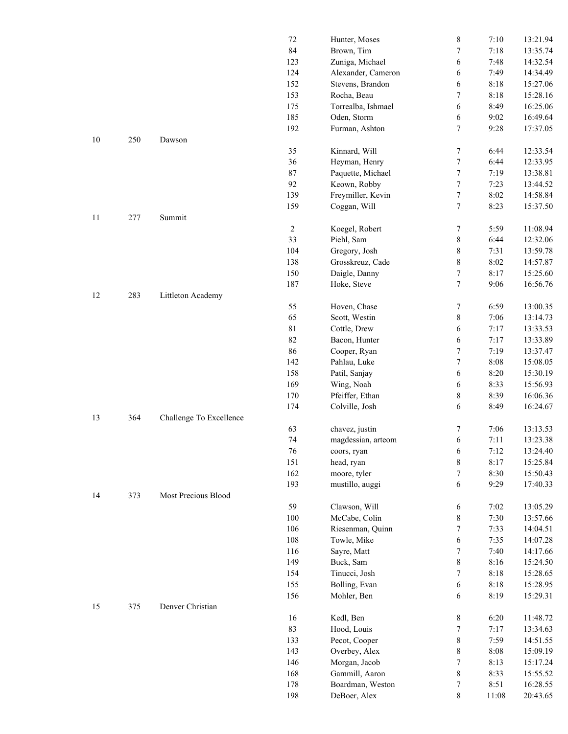|        |     |                         | 72             | Hunter, Moses             | 8                | 7:10  | 13:21.94 |
|--------|-----|-------------------------|----------------|---------------------------|------------------|-------|----------|
|        |     |                         | 84             | Brown, Tim                | $\boldsymbol{7}$ | 7:18  | 13:35.74 |
|        |     |                         | 123            | Zuniga, Michael           | 6                | 7:48  | 14:32.54 |
|        |     |                         | 124            | Alexander, Cameron        | 6                | 7:49  | 14:34.49 |
|        |     |                         | 152            | Stevens, Brandon          | 6                | 8:18  | 15:27.06 |
|        |     |                         | 153            | Rocha, Beau               | 7                | 8:18  | 15:28.16 |
|        |     |                         | 175            | Torrealba, Ishmael        | 6                | 8:49  | 16:25.06 |
|        |     |                         | 185            | Oden, Storm               | 6                | 9:02  | 16:49.64 |
|        |     |                         | 192            | Furman, Ashton            | $\tau$           | 9:28  | 17:37.05 |
| $10\,$ | 250 | Dawson                  |                |                           |                  |       |          |
|        |     |                         | 35             | Kinnard, Will             | 7                | 6:44  | 12:33.54 |
|        |     |                         | 36             | Heyman, Henry             | $\tau$           | 6:44  | 12:33.95 |
|        |     |                         | 87             | Paquette, Michael         | $\tau$           | 7:19  | 13:38.81 |
|        |     |                         | 92             |                           | $\tau$           |       |          |
|        |     |                         |                | Keown, Robby              |                  | 7:23  | 13:44.52 |
|        |     |                         | 139            | Freymiller, Kevin         | $\tau$           | 8:02  | 14:58.84 |
|        |     |                         | 159            | Coggan, Will              | $\tau$           | 8:23  | 15:37.50 |
| 11     | 277 | Summit                  |                |                           |                  |       |          |
|        |     |                         | $\overline{c}$ | Koegel, Robert            | 7                | 5:59  | 11:08.94 |
|        |     |                         | 33             | Piehl, Sam                | $\,8\,$          | 6:44  | 12:32.06 |
|        |     |                         | 104            | Gregory, Josh             | $\,$ 8 $\,$      | 7:31  | 13:59.78 |
|        |     |                         | 138            | Grosskreuz, Cade          | $\,$ 8 $\,$      | 8:02  | 14:57.87 |
|        |     |                         | 150            | Daigle, Danny             | 7                | 8:17  | 15:25.60 |
|        |     |                         | 187            | Hoke, Steve               | $\overline{7}$   | 9:06  | 16:56.76 |
| 12     | 283 | Littleton Academy       |                |                           |                  |       |          |
|        |     |                         | 55             | Hoven, Chase              | 7                | 6:59  | 13:00.35 |
|        |     |                         | 65             | Scott, Westin             | $\,$ 8 $\,$      | 7:06  | 13:14.73 |
|        |     |                         | 81             | Cottle, Drew              | 6                | 7:17  | 13:33.53 |
|        |     |                         | 82             | Bacon, Hunter             | 6                | 7:17  | 13:33.89 |
|        |     |                         | 86             | Cooper, Ryan              | 7                | 7:19  | 13:37.47 |
|        |     |                         | 142            | Pahlau, Luke              | $\tau$           | 8:08  | 15:08.05 |
|        |     |                         | 158            | Patil, Sanjay             | 6                | 8:20  | 15:30.19 |
|        |     |                         | 169            | Wing, Noah                | 6                | 8:33  | 15:56.93 |
|        |     |                         | 170            | Pfeiffer, Ethan           | 8                | 8:39  | 16:06.36 |
|        |     |                         | 174            | Colville, Josh            | 6                | 8:49  | 16:24.67 |
| 13     | 364 | Challenge To Excellence |                |                           |                  |       |          |
|        |     |                         | 63             | chavez, justin            | 7                | 7:06  | 13:13.53 |
|        |     |                         | 74             | magdessian, arteom        | 6                | 7:11  | 13:23.38 |
|        |     |                         | 76             |                           | 6                | 7:12  | 13:24.40 |
|        |     |                         | 151            | coors, ryan<br>head, ryan | $\,$ 8 $\,$      | 8:17  | 15:25.84 |
|        |     |                         | 162            | moore, tyler              | 7                | 8:30  | 15:50.43 |
|        |     |                         |                |                           |                  |       |          |
|        |     |                         | 193            | mustillo, auggi           | 6                | 9:29  | 17:40.33 |
| 14     | 373 | Most Precious Blood     |                |                           |                  |       |          |
|        |     |                         | 59             | Clawson, Will             | 6                | 7:02  | 13:05.29 |
|        |     |                         | 100            | McCabe, Colin             | $8\,$            | 7:30  | 13:57.66 |
|        |     |                         | 106            | Riesenman, Quinn          | 7                | 7:33  | 14:04.51 |
|        |     |                         | 108            | Towle, Mike               | 6                | 7:35  | 14:07.28 |
|        |     |                         | 116            | Sayre, Matt               | 7                | 7:40  | 14:17.66 |
|        |     |                         | 149            | Buck, Sam                 | 8                | 8:16  | 15:24.50 |
|        |     |                         | 154            | Tinucci, Josh             | 7                | 8:18  | 15:28.65 |
|        |     |                         | 155            | Bolling, Evan             | 6                | 8:18  | 15:28.95 |
|        |     |                         | 156            | Mohler, Ben               | 6                | 8:19  | 15:29.31 |
| 15     | 375 | Denver Christian        |                |                           |                  |       |          |
|        |     |                         | 16             | Kedl, Ben                 | 8                | 6:20  | 11:48.72 |
|        |     |                         | 83             | Hood, Louis               | 7                | 7:17  | 13:34.63 |
|        |     |                         | 133            | Pecot, Cooper             | 8                | 7:59  | 14:51.55 |
|        |     |                         | 143            | Overbey, Alex             | $\,$ 8 $\,$      | 8:08  | 15:09.19 |
|        |     |                         | 146            | Morgan, Jacob             | 7                | 8:13  | 15:17.24 |
|        |     |                         | 168            | Gammill, Aaron            | $8\,$            | 8:33  | 15:55.52 |
|        |     |                         | 178            | Boardman, Weston          | 7                | 8:51  | 16:28.55 |
|        |     |                         | 198            | DeBoer, Alex              | $8\,$            | 11:08 | 20:43.65 |
|        |     |                         |                |                           |                  |       |          |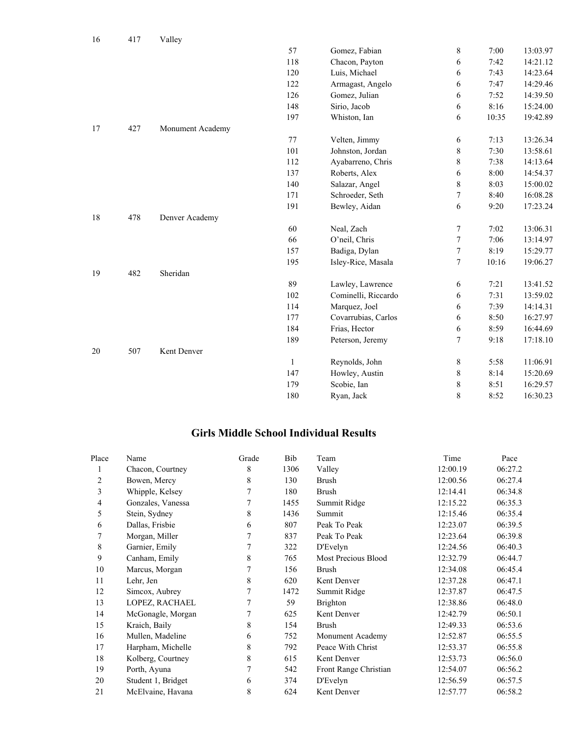| 16 | 417 | Valley           |              |                     |                  |       |          |
|----|-----|------------------|--------------|---------------------|------------------|-------|----------|
|    |     |                  | 57           | Gomez, Fabian       | $\,$ 8 $\,$      | 7:00  | 13:03.97 |
|    |     |                  | 118          | Chacon, Payton      | 6                | 7:42  | 14:21.12 |
|    |     |                  | 120          | Luis, Michael       | 6                | 7:43  | 14:23.64 |
|    |     |                  | 122          | Armagast, Angelo    | 6                | 7:47  | 14:29.46 |
|    |     |                  | 126          | Gomez, Julian       | 6                | 7:52  | 14:39.50 |
|    |     |                  | 148          | Sirio, Jacob        | 6                | 8:16  | 15:24.00 |
|    |     |                  | 197          | Whiston, Ian        | 6                | 10:35 | 19:42.89 |
| 17 | 427 | Monument Academy |              |                     |                  |       |          |
|    |     |                  | 77           | Velten, Jimmy       | $\sqrt{6}$       | 7:13  | 13:26.34 |
|    |     |                  | 101          | Johnston, Jordan    | $\,$ 8 $\,$      | 7:30  | 13:58.61 |
|    |     |                  | 112          | Ayabarreno, Chris   | $\,$ 8 $\,$      | 7:38  | 14:13.64 |
|    |     |                  | 137          | Roberts, Alex       | 6                | 8:00  | 14:54.37 |
|    |     |                  | 140          | Salazar, Angel      | $\,$ 8 $\,$      | 8:03  | 15:00.02 |
|    |     |                  | 171          | Schroeder, Seth     | $\boldsymbol{7}$ | 8:40  | 16:08.28 |
|    |     |                  | 191          | Bewley, Aidan       | 6                | 9:20  | 17:23.24 |
| 18 | 478 | Denver Academy   |              |                     |                  |       |          |
|    |     |                  | 60           | Neal, Zach          | $\boldsymbol{7}$ | 7:02  | 13:06.31 |
|    |     |                  | 66           | O'neil, Chris       | $\boldsymbol{7}$ | 7:06  | 13:14.97 |
|    |     |                  | 157          | Badiga, Dylan       | 7                | 8:19  | 15:29.77 |
|    |     |                  | 195          | Isley-Rice, Masala  | $\boldsymbol{7}$ | 10:16 | 19:06.27 |
| 19 | 482 | Sheridan         |              |                     |                  |       |          |
|    |     |                  | 89           | Lawley, Lawrence    | 6                | 7:21  | 13:41.52 |
|    |     |                  | 102          | Cominelli, Riccardo | 6                | 7:31  | 13:59.02 |
|    |     |                  | 114          | Marquez, Joel       | 6                | 7:39  | 14:14.31 |
|    |     |                  | 177          | Covarrubias, Carlos | 6                | 8:50  | 16:27.97 |
|    |     |                  | 184          | Frias, Hector       | 6                | 8:59  | 16:44.69 |
|    |     |                  | 189          | Peterson, Jeremy    | 7                | 9:18  | 17:18.10 |
| 20 | 507 | Kent Denver      |              |                     |                  |       |          |
|    |     |                  | $\mathbf{1}$ | Reynolds, John      | $\,$ 8 $\,$      | 5:58  | 11:06.91 |
|    |     |                  | 147          | Howley, Austin      | 8                | 8:14  | 15:20.69 |
|    |     |                  | 179          | Scobie, Ian         | $\,$ 8 $\,$      | 8:51  | 16:29.57 |
|    |     |                  | 180          | Ryan, Jack          | 8                | 8:52  | 16:30.23 |

#### **Girls Middle School Individual Results**

| Place | Name               | Grade | Bib  | Team                  | Time     | Pace    |
|-------|--------------------|-------|------|-----------------------|----------|---------|
|       | Chacon, Courtney   | 8     | 1306 | Valley                | 12:00.19 | 06:27.2 |
| 2     | Bowen, Mercy       | 8     | 130  | <b>Brush</b>          | 12:00.56 | 06:27.4 |
| 3     | Whipple, Kelsey    | 7     | 180  | <b>Brush</b>          | 12:14.41 | 06:34.8 |
| 4     | Gonzales, Vanessa  | 7     | 1455 | Summit Ridge          | 12:15.22 | 06:35.3 |
| 5     | Stein, Sydney      | 8     | 1436 | Summit                | 12:15.46 | 06:35.4 |
| 6     | Dallas, Frisbie    | 6     | 807  | Peak To Peak          | 12:23.07 | 06:39.5 |
|       | Morgan, Miller     |       | 837  | Peak To Peak          | 12:23.64 | 06:39.8 |
| 8     | Garnier, Emily     | 7     | 322  | D'Evelyn              | 12:24.56 | 06:40.3 |
| 9     | Canham, Emily      | 8     | 765  | Most Precious Blood   | 12:32.79 | 06:44.7 |
| 10    | Marcus, Morgan     |       | 156  | <b>Brush</b>          | 12:34.08 | 06:45.4 |
| 11    | Lehr, Jen          | 8     | 620  | Kent Denver           | 12:37.28 | 06:47.1 |
| 12    | Simcox, Aubrey     | 7     | 1472 | Summit Ridge          | 12:37.87 | 06:47.5 |
| 13    | LOPEZ, RACHAEL     | 7     | 59   | <b>Brighton</b>       | 12:38.86 | 06:48.0 |
| 14    | McGonagle, Morgan  | 7     | 625  | Kent Denver           | 12:42.79 | 06:50.1 |
| 15    | Kraich, Baily      | 8     | 154  | <b>Brush</b>          | 12:49.33 | 06:53.6 |
| 16    | Mullen, Madeline   | 6     | 752  | Monument Academy      | 12:52.87 | 06:55.5 |
| 17    | Harpham, Michelle  | 8     | 792  | Peace With Christ     | 12:53.37 | 06:55.8 |
| 18    | Kolberg, Courtney  | 8     | 615  | Kent Denver           | 12:53.73 | 06:56.0 |
| 19    | Porth, Ayuna       | 7     | 542  | Front Range Christian | 12:54.07 | 06:56.2 |
| 20    | Student 1, Bridget | 6     | 374  | D'Evelyn              | 12:56.59 | 06:57.5 |
| 21    | McElvaine, Havana  | 8     | 624  | Kent Denver           | 12:57.77 | 06:58.2 |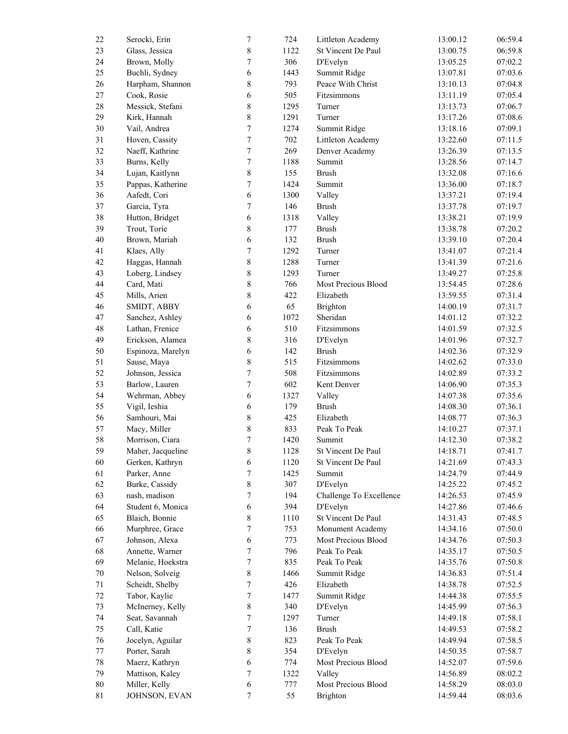| $22\,$ | Serocki, Erin     | $\boldsymbol{7}$ | 724  | Littleton Academy       | 13:00.12 | 06:59.4 |
|--------|-------------------|------------------|------|-------------------------|----------|---------|
| 23     | Glass, Jessica    | $8\,$            | 1122 | St Vincent De Paul      | 13:00.75 | 06:59.8 |
| 24     | Brown, Molly      | $\boldsymbol{7}$ | 306  | D'Evelyn                | 13:05.25 | 07:02.2 |
| 25     | Buchli, Sydney    | $\sqrt{6}$       | 1443 | Summit Ridge            | 13:07.81 | 07:03.6 |
| 26     | Harpham, Shannon  | 8                | 793  | Peace With Christ       | 13:10.13 | 07:04.8 |
| $27\,$ | Cook, Rosie       | $\sqrt{6}$       | 505  | Fitzsimmons             | 13:11.19 | 07:05.4 |
| $28\,$ | Messick, Stefani  | $\,$ 8 $\,$      | 1295 | Turner                  | 13:13.73 | 07:06.7 |
| 29     | Kirk, Hannah      | $\,8\,$          | 1291 | Turner                  | 13:17.26 | 07:08.6 |
| 30     | Vail, Andrea      | $\boldsymbol{7}$ | 1274 | Summit Ridge            | 13:18.16 | 07:09.1 |
| 31     | Hoven, Cassity    | $\tau$           | 702  | Littleton Academy       | 13:22.60 | 07:11.5 |
| 32     | Naeff, Kathrine   | $\tau$           | 269  | Denver Academy          | 13:26.39 | 07:13.5 |
|        |                   | $\boldsymbol{7}$ | 1188 |                         |          | 07:14.7 |
| 33     | Burns, Kelly      |                  |      | Summit                  | 13:28.56 |         |
| 34     | Lujan, Kaitlynn   | $8\,$            | 155  | <b>Brush</b>            | 13:32.08 | 07:16.6 |
| 35     | Pappas, Katherine | $\boldsymbol{7}$ | 1424 | Summit                  | 13:36.00 | 07:18.7 |
| 36     | Aafedt, Cori      | $\sqrt{6}$       | 1300 | Valley                  | 13:37.21 | 07:19.4 |
| 37     | Garcia, Tyra      | 7                | 146  | <b>Brush</b>            | 13:37.78 | 07:19.7 |
| 38     | Hutton, Bridget   | $\sqrt{6}$       | 1318 | Valley                  | 13:38.21 | 07:19.9 |
| 39     | Trout, Torie      | $\,$ 8 $\,$      | 177  | <b>Brush</b>            | 13:38.78 | 07:20.2 |
| 40     | Brown, Mariah     | 6                | 132  | <b>Brush</b>            | 13:39.10 | 07:20.4 |
| 41     | Klaes, Ally       | $\boldsymbol{7}$ | 1292 | Turner                  | 13:41.07 | 07:21.4 |
| 42     | Haggas, Hannah    | $\,8\,$          | 1288 | Turner                  | 13:41.39 | 07:21.6 |
| 43     | Loberg, Lindsey   | $8\,$            | 1293 | Turner                  | 13:49.27 | 07:25.8 |
| $44\,$ | Card, Mati        | $\,$ $\,$        | 766  | Most Precious Blood     | 13:54.45 | 07:28.6 |
| 45     | Mills, Arien      | $\,$ 8 $\,$      | 422  | Elizabeth               | 13:59.55 | 07:31.4 |
| $46\,$ | SMIDT, ABBY       | $\sqrt{6}$       | 65   | Brighton                | 14:00.19 | 07:31.7 |
| 47     | Sanchez, Ashley   | $\sqrt{6}$       | 1072 | Sheridan                | 14:01.12 | 07:32.2 |
| 48     | Lathan, Frenice   | 6                | 510  | Fitzsimmons             | 14:01.59 | 07:32.5 |
| 49     | Erickson, Alamea  | $\,$ 8 $\,$      | 316  | D'Evelyn                | 14:01.96 | 07:32.7 |
| 50     | Espinoza, Marelyn | 6                | 142  | <b>Brush</b>            | 14:02.36 | 07:32.9 |
| 51     |                   | $\,$ $\,$        | 515  |                         |          | 07:33.0 |
|        | Sause, Maya       |                  |      | Fitzsimmons             | 14:02.62 |         |
| 52     | Johnson, Jessica  | $\boldsymbol{7}$ | 508  | Fitzsimmons             | 14:02.89 | 07:33.2 |
| 53     | Barlow, Lauren    | $\tau$           | 602  | Kent Denver             | 14:06.90 | 07:35.3 |
| 54     | Wehrman, Abbey    | $\sqrt{6}$       | 1327 | Valley                  | 14:07.38 | 07:35.6 |
| 55     | Vigil, Ieshia     | $\sqrt{6}$       | 179  | <b>Brush</b>            | 14:08.30 | 07:36.1 |
| 56     | Samhouri, Mai     | $\,$ 8 $\,$      | 425  | Elizabeth               | 14:08.77 | 07:36.3 |
| 57     | Macy, Miller      | 8                | 833  | Peak To Peak            | 14:10.27 | 07:37.1 |
| 58     | Morrison, Ciara   | $\overline{7}$   | 1420 | Summit                  | 14:12.30 | 07:38.2 |
| 59     | Maher, Jacqueline | 8                | 1128 | St Vincent De Paul      | 14:18.71 | 07:41.7 |
| 60     | Gerken, Kathryn   | 6                | 1120 | St Vincent De Paul      | 14:21.69 | 07:43.3 |
| 61     | Parker, Anne      | 7                | 1425 | Summit                  | 14:24.79 | 07:44.9 |
| 62     | Burke, Cassidy    | $\,$ 8 $\,$      | 307  | D'Evelyn                | 14:25.22 | 07:45.2 |
| 63     | nash, madison     | $\boldsymbol{7}$ | 194  | Challenge To Excellence | 14:26.53 | 07:45.9 |
| 64     | Student 6, Monica | 6                | 394  | D'Evelyn                | 14:27.86 | 07:46.6 |
| 65     | Blaich, Bonnie    | 8                | 1110 | St Vincent De Paul      | 14:31.43 | 07:48.5 |
| 66     | Murphree, Grace   | $\boldsymbol{7}$ | 753  | Monument Academy        | 14:34.16 | 07:50.0 |
| 67     | Johnson, Alexa    | 6                | 773  | Most Precious Blood     | 14:34.76 | 07:50.3 |
| 68     | Annette, Warner   | 7                | 796  | Peak To Peak            | 14:35.17 | 07:50.5 |
| 69     | Melanie, Hoekstra | 7                | 835  | Peak To Peak            | 14:35.76 | 07:50.8 |
| $70\,$ |                   | $\,$ 8 $\,$      | 1466 |                         |          | 07:51.4 |
|        | Nelson, Solveig   |                  |      | Summit Ridge            | 14:36.83 |         |
| $71\,$ | Scheidt, Shelby   | 7                | 426  | Elizabeth               | 14:38.78 | 07:52.5 |
| 72     | Tabor, Kaylie     | 7                | 1477 | Summit Ridge            | 14:44.38 | 07:55.5 |
| 73     | McInerney, Kelly  | $8\,$            | 340  | D'Evelyn                | 14:45.99 | 07:56.3 |
| 74     | Seat, Savannah    | 7                | 1297 | Turner                  | 14:49.18 | 07:58.1 |
| 75     | Call, Katie       | 7                | 136  | <b>Brush</b>            | 14:49.53 | 07:58.2 |
| 76     | Jocelyn, Aguilar  | $\,8\,$          | 823  | Peak To Peak            | 14:49.94 | 07:58.5 |
| $77\,$ | Porter, Sarah     | $\,$ 8 $\,$      | 354  | D'Evelyn                | 14:50.35 | 07:58.7 |
| $78\,$ | Maerz, Kathryn    | 6                | 774  | Most Precious Blood     | 14:52.07 | 07:59.6 |
| 79     | Mattison, Kaley   | 7                | 1322 | Valley                  | 14:56.89 | 08:02.2 |
| $80\,$ | Miller, Kelly     | 6                | 777  | Most Precious Blood     | 14:58.29 | 08:03.0 |
| 81     | JOHNSON, EVAN     | 7                | 55   | Brighton                | 14:59.44 | 08:03.6 |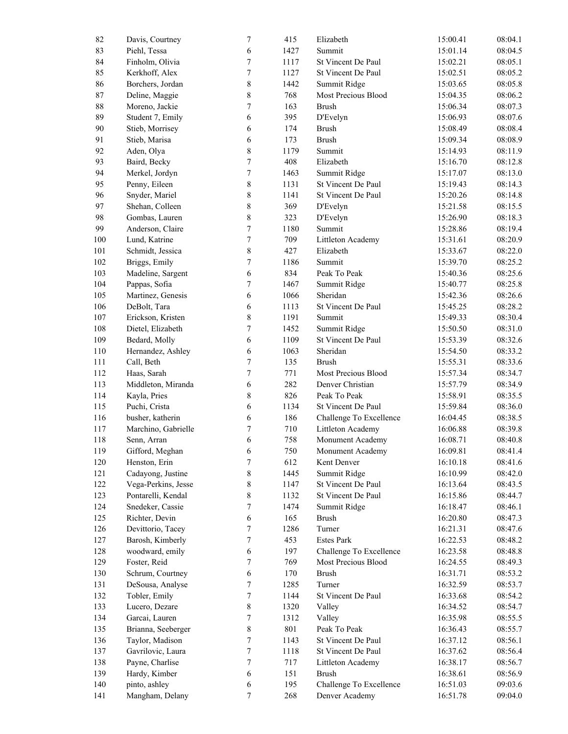| 82      | Davis, Courtney     | $\boldsymbol{7}$ | 415  | Elizabeth               | 15:00.41 | 08:04.1 |
|---------|---------------------|------------------|------|-------------------------|----------|---------|
| 83      | Piehl, Tessa        | 6                | 1427 | Summit                  | 15:01.14 | 08:04.5 |
| 84      | Finholm, Olivia     | $\boldsymbol{7}$ | 1117 | St Vincent De Paul      | 15:02.21 | 08:05.1 |
| 85      | Kerkhoff, Alex      | $\boldsymbol{7}$ | 1127 | St Vincent De Paul      | 15:02.51 | 08:05.2 |
| 86      | Borchers, Jordan    | 8                | 1442 | Summit Ridge            | 15:03.65 | 08:05.8 |
| 87      | Deline, Maggie      | $\,8\,$          | 768  | Most Precious Blood     | 15:04.35 | 08:06.2 |
| 88      | Moreno, Jackie      | $\overline{7}$   | 163  | <b>Brush</b>            | 15:06.34 | 08:07.3 |
| 89      | Student 7, Emily    | 6                | 395  | D'Evelyn                | 15:06.93 | 08:07.6 |
| 90      | Stieb, Morrisey     | 6                | 174  | <b>Brush</b>            | 15:08.49 | 08:08.4 |
| 91      | Stieb, Marisa       | 6                | 173  | <b>Brush</b>            | 15:09.34 | 08:08.9 |
| 92      | Aden, Olya          | 8                | 1179 | Summit                  |          | 08:11.9 |
|         |                     |                  |      |                         | 15:14.93 |         |
| 93      | Baird, Becky        | $\overline{7}$   | 408  | Elizabeth               | 15:16.70 | 08:12.8 |
| 94      | Merkel, Jordyn      | $\boldsymbol{7}$ | 1463 | Summit Ridge            | 15:17.07 | 08:13.0 |
| 95      | Penny, Eileen       | $\,$ $\,$        | 1131 | St Vincent De Paul      | 15:19.43 | 08:14.3 |
| 96      | Snyder, Mariel      | 8                | 1141 | St Vincent De Paul      | 15:20.26 | 08:14.8 |
| 97      | Shehan, Colleen     | $\,8\,$          | 369  | D'Evelyn                | 15:21.58 | 08:15.5 |
| 98      | Gombas, Lauren      | $\,8\,$          | 323  | D'Evelyn                | 15:26.90 | 08:18.3 |
| 99      | Anderson, Claire    | $\boldsymbol{7}$ | 1180 | Summit                  | 15:28.86 | 08:19.4 |
| $100\,$ | Lund, Katrine       | $\boldsymbol{7}$ | 709  | Littleton Academy       | 15:31.61 | 08:20.9 |
| 101     | Schmidt, Jessica    | 8                | 427  | Elizabeth               | 15:33.67 | 08:22.0 |
| 102     | Briggs, Emily       | $\overline{7}$   | 1186 | Summit                  | 15:39.70 | 08:25.2 |
| 103     | Madeline, Sargent   | 6                | 834  | Peak To Peak            | 15:40.36 | 08:25.6 |
| 104     | Pappas, Sofia       | 7                | 1467 | Summit Ridge            | 15:40.77 | 08:25.8 |
| 105     | Martinez, Genesis   | 6                | 1066 | Sheridan                | 15:42.36 | 08:26.6 |
| 106     | DeBolt, Tara        | 6                | 1113 | St Vincent De Paul      | 15:45.25 | 08:28.2 |
| 107     | Erickson, Kristen   | 8                | 1191 | Summit                  | 15:49.33 | 08:30.4 |
|         |                     | $\overline{7}$   |      |                         |          |         |
| $108\,$ | Dietel, Elizabeth   |                  | 1452 | Summit Ridge            | 15:50.50 | 08:31.0 |
| 109     | Bedard, Molly       | 6                | 1109 | St Vincent De Paul      | 15:53.39 | 08:32.6 |
| 110     | Hernandez, Ashley   | 6                | 1063 | Sheridan                | 15:54.50 | 08:33.2 |
| 111     | Call, Beth          | $\overline{7}$   | 135  | <b>Brush</b>            | 15:55.31 | 08:33.6 |
| 112     | Haas, Sarah         | $\overline{7}$   | 771  | Most Precious Blood     | 15:57.34 | 08:34.7 |
| 113     | Middleton, Miranda  | 6                | 282  | Denver Christian        | 15:57.79 | 08:34.9 |
| 114     | Kayla, Pries        | 8                | 826  | Peak To Peak            | 15:58.91 | 08:35.5 |
| 115     | Puchi, Crista       | 6                | 1134 | St Vincent De Paul      | 15:59.84 | 08:36.0 |
| 116     | busher, katherin    | 6                | 186  | Challenge To Excellence | 16:04.45 | 08:38.5 |
| 117     | Marchino, Gabrielle | $\overline{7}$   | 710  | Littleton Academy       | 16:06.88 | 08:39.8 |
| 118     | Senn, Arran         | 6                | 758  | Monument Academy        | 16:08.71 | 08:40.8 |
| 119     | Gifford, Meghan     | 6                | 750  | Monument Academy        | 16:09.81 | 08:41.4 |
| 120     | Henston, Erin       | $\boldsymbol{7}$ | 612  | Kent Denver             | 16:10.18 | 08:41.6 |
| 121     | Cadayong, Justine   | 8                | 1445 | Summit Ridge            | 16:10.99 | 08:42.0 |
| 122     | Vega-Perkins, Jesse | 8                | 1147 | St Vincent De Paul      | 16:13.64 | 08:43.5 |
| 123     | Pontarelli, Kendal  | $\,$ 8 $\,$      | 1132 | St Vincent De Paul      | 16:15.86 | 08:44.7 |
| 124     | Snedeker, Cassie    | 7                | 1474 | Summit Ridge            | 16:18.47 | 08:46.1 |
|         |                     |                  |      |                         |          |         |
| 125     | Richter, Devin      | 6                | 165  | <b>Brush</b>            | 16:20.80 | 08:47.3 |
| 126     | Devittorio, Tacey   | 7                | 1286 | Turner                  | 16:21.31 | 08:47.6 |
| 127     | Barosh, Kimberly    | $\tau$           | 453  | <b>Estes Park</b>       | 16:22.53 | 08:48.2 |
| 128     | woodward, emily     | $\sqrt{6}$       | 197  | Challenge To Excellence | 16:23.58 | 08:48.8 |
| 129     | Foster, Reid        | 7                | 769  | Most Precious Blood     | 16:24.55 | 08:49.3 |
| 130     | Schrum, Courtney    | $\sqrt{6}$       | 170  | <b>Brush</b>            | 16:31.71 | 08:53.2 |
| 131     | DeSousa, Analyse    | $\overline{7}$   | 1285 | Turner                  | 16:32.59 | 08:53.7 |
| 132     | Tobler, Emily       | $\overline{7}$   | 1144 | St Vincent De Paul      | 16:33.68 | 08:54.2 |
| 133     | Lucero, Dezare      | $\,8\,$          | 1320 | Valley                  | 16:34.52 | 08:54.7 |
| 134     | Garcai, Lauren      | 7                | 1312 | Valley                  | 16:35.98 | 08:55.5 |
| 135     | Brianna, Seeberger  | 8                | 801  | Peak To Peak            | 16:36.43 | 08:55.7 |
| 136     | Taylor, Madison     | 7                | 1143 | St Vincent De Paul      | 16:37.12 | 08:56.1 |
| 137     | Gavrilovic, Laura   | $\tau$           | 1118 | St Vincent De Paul      | 16:37.62 | 08:56.4 |
| 138     | Payne, Charlise     | 7                | 717  | Littleton Academy       | 16:38.17 | 08:56.7 |
|         |                     |                  |      |                         |          |         |
| 139     | Hardy, Kimber       | $\sqrt{6}$       | 151  | <b>Brush</b>            | 16:38.61 | 08:56.9 |
| 140     | pinto, ashley       | $\sqrt{6}$       | 195  | Challenge To Excellence | 16:51.03 | 09:03.6 |
| 141     | Mangham, Delany     | $\tau$           | 268  | Denver Academy          | 16:51.78 | 09:04.0 |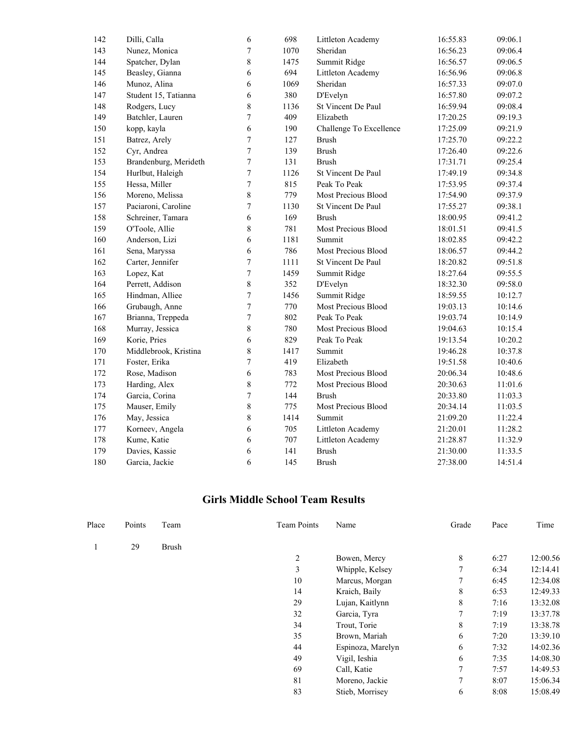| 142 | Dilli, Calla          | 6                | 698  | Littleton Academy       | 16:55.83 | 09:06.1 |
|-----|-----------------------|------------------|------|-------------------------|----------|---------|
| 143 | Nunez, Monica         | 7                | 1070 | Sheridan                | 16:56.23 | 09:06.4 |
| 144 | Spatcher, Dylan       | 8                | 1475 | Summit Ridge            | 16:56.57 | 09:06.5 |
| 145 | Beasley, Gianna       | 6                | 694  | Littleton Academy       | 16:56.96 | 09:06.8 |
| 146 | Munoz, Alina          | 6                | 1069 | Sheridan                | 16:57.33 | 09:07.0 |
| 147 | Student 15, Tatianna  | 6                | 380  | D'Evelyn                | 16:57.80 | 09:07.2 |
| 148 | Rodgers, Lucy         | 8                | 1136 | St Vincent De Paul      | 16:59.94 | 09:08.4 |
| 149 | Batchler, Lauren      | 7                | 409  | Elizabeth               | 17:20.25 | 09:19.3 |
| 150 | kopp, kayla           | 6                | 190  | Challenge To Excellence | 17:25.09 | 09:21.9 |
| 151 | Batrez, Arely         | 7                | 127  | <b>Brush</b>            | 17:25.70 | 09:22.2 |
| 152 | Cyr, Andrea           | 7                | 139  | <b>Brush</b>            | 17:26.40 | 09:22.6 |
| 153 | Brandenburg, Merideth | $\boldsymbol{7}$ | 131  | <b>Brush</b>            | 17:31.71 | 09:25.4 |
| 154 | Hurlbut, Haleigh      | $\overline{7}$   | 1126 | St Vincent De Paul      | 17:49.19 | 09:34.8 |
| 155 | Hessa, Miller         | 7                | 815  | Peak To Peak            | 17:53.95 | 09:37.4 |
| 156 | Moreno, Melissa       | 8                | 779  | Most Precious Blood     | 17:54.90 | 09:37.9 |
| 157 | Paciaroni, Caroline   | 7                | 1130 | St Vincent De Paul      | 17:55.27 | 09:38.1 |
| 158 | Schreiner, Tamara     | 6                | 169  | <b>Brush</b>            | 18:00.95 | 09:41.2 |
| 159 | O'Toole, Allie        | 8                | 781  | Most Precious Blood     | 18:01.51 | 09:41.5 |
| 160 | Anderson, Lizi        | 6                | 1181 | Summit                  | 18:02.85 | 09:42.2 |
| 161 | Sena, Maryssa         | 6                | 786  | Most Precious Blood     | 18:06.57 | 09:44.2 |
| 162 | Carter, Jennifer      | 7                | 1111 | St Vincent De Paul      | 18:20.82 | 09:51.8 |
| 163 | Lopez, Kat            | $\boldsymbol{7}$ | 1459 | Summit Ridge            | 18:27.64 | 09:55.5 |
| 164 | Perrett, Addison      | 8                | 352  | D'Evelyn                | 18:32.30 | 09:58.0 |
| 165 | Hindman, Alliee       | 7                | 1456 | Summit Ridge            | 18:59.55 | 10:12.7 |
| 166 | Grubaugh, Anne        | 7                | 770  | Most Precious Blood     | 19:03.13 | 10:14.6 |
| 167 | Brianna, Treppeda     | 7                | 802  | Peak To Peak            | 19:03.74 | 10:14.9 |
| 168 | Murray, Jessica       | 8                | 780  | Most Precious Blood     | 19:04.63 | 10:15.4 |
| 169 | Korie, Pries          | 6                | 829  | Peak To Peak            | 19:13.54 | 10:20.2 |
| 170 | Middlebrook, Kristina | 8                | 1417 | Summit                  | 19:46.28 | 10:37.8 |
| 171 | Foster, Erika         | 7                | 419  | Elizabeth               | 19:51.58 | 10:40.6 |
| 172 | Rose, Madison         | 6                | 783  | Most Precious Blood     | 20:06.34 | 10:48.6 |
| 173 | Harding, Alex         | 8                | 772  | Most Precious Blood     | 20:30.63 | 11:01.6 |
| 174 | Garcia, Corina        | 7                | 144  | <b>Brush</b>            | 20:33.80 | 11:03.3 |
| 175 | Mauser, Emily         | 8                | 775  | Most Precious Blood     | 20:34.14 | 11:03.5 |
| 176 | May, Jessica          | 8                | 1414 | Summit                  | 21:09.20 | 11:22.4 |
| 177 | Korneev, Angela       | 6                | 705  | Littleton Academy       | 21:20.01 | 11:28.2 |
| 178 | Kume, Katie           | 6                | 707  | Littleton Academy       | 21:28.87 | 11:32.9 |
| 179 | Davies, Kassie        | 6                | 141  | <b>Brush</b>            | 21:30.00 | 11:33.5 |
| 180 | Garcia, Jackie        | 6                | 145  | <b>Brush</b>            | 27:38.00 | 14:51.4 |

#### **Girls Middle School Team Results**

| Place | Points | Team         | <b>Team Points</b> | Name              | Grade | Pace | Time     |
|-------|--------|--------------|--------------------|-------------------|-------|------|----------|
|       | 29     | <b>Brush</b> |                    |                   |       |      |          |
|       |        |              | 2                  | Bowen, Mercy      | 8     | 6:27 | 12:00.56 |
|       |        |              | $\overline{3}$     | Whipple, Kelsey   | 7     | 6:34 | 12:14.41 |
|       |        |              | 10                 | Marcus, Morgan    | 7     | 6:45 | 12:34.08 |
|       |        |              | 14                 | Kraich, Baily     | 8     | 6:53 | 12:49.33 |
|       |        |              | 29                 | Lujan, Kaitlynn   | 8     | 7:16 | 13:32.08 |
|       |        |              | 32                 | Garcia, Tyra      | 7     | 7:19 | 13:37.78 |
|       |        |              | 34                 | Trout, Torie      | 8     | 7:19 | 13:38.78 |
|       |        |              | 35                 | Brown, Mariah     | 6     | 7:20 | 13:39.10 |
|       |        |              | 44                 | Espinoza, Marelyn | 6     | 7:32 | 14:02.36 |
|       |        |              | 49                 | Vigil, Ieshia     | 6     | 7:35 | 14:08.30 |
|       |        |              | 69                 | Call, Katie       | 7     | 7:57 | 14:49.53 |
|       |        |              | 81                 | Moreno, Jackie    | 7     | 8:07 | 15:06.34 |
|       |        |              | 83                 | Stieb, Morrisey   | 6     | 8:08 | 15:08.49 |
|       |        |              |                    |                   |       |      |          |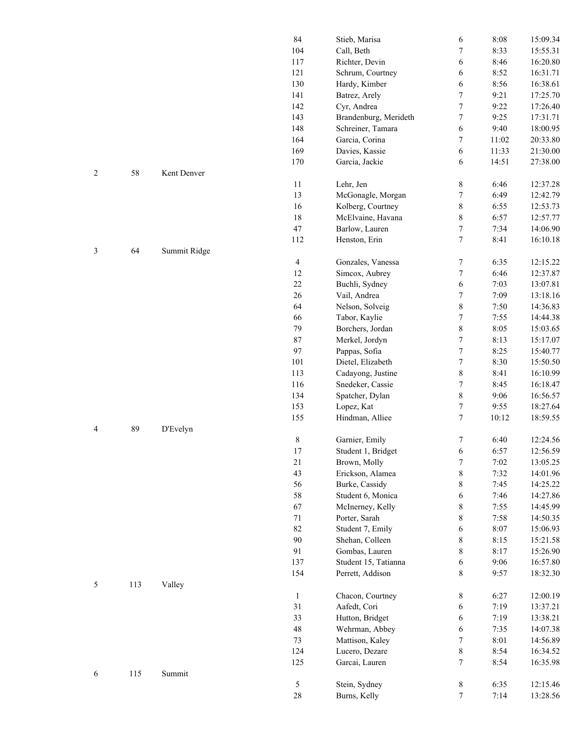|  |     |              | 84             | Stieb, Marisa         | 6                | 8:08  | 15:09.34 |
|--|-----|--------------|----------------|-----------------------|------------------|-------|----------|
|  |     |              |                |                       |                  |       |          |
|  |     |              | 104            | Call, Beth            | $\boldsymbol{7}$ | 8:33  | 15:55.31 |
|  |     |              | 117            | Richter, Devin        | 6                | 8:46  | 16:20.80 |
|  |     |              | 121            | Schrum, Courtney      | 6                | 8:52  | 16:31.71 |
|  |     |              | 130            | Hardy, Kimber         | 6                | 8:56  | 16:38.61 |
|  |     |              | 141            | Batrez, Arely         | $\boldsymbol{7}$ | 9:21  | 17:25.70 |
|  |     |              | 142            | Cyr, Andrea           | $\sqrt{ }$       | 9:22  | 17:26.40 |
|  |     |              | 143            | Brandenburg, Merideth | $\sqrt{ }$       | 9:25  | 17:31.71 |
|  |     |              | 148            | Schreiner, Tamara     |                  | 9:40  |          |
|  |     |              |                |                       | 6                |       | 18:00.95 |
|  |     |              | 164            | Garcia, Corina        | 7                | 11:02 | 20:33.80 |
|  |     |              | 169            | Davies, Kassie        | 6                | 11:33 | 21:30.00 |
|  |     |              | 170            | Garcia, Jackie        | 6                | 14:51 | 27:38.00 |
|  | 58  | Kent Denver  |                |                       |                  |       |          |
|  |     |              | 11             | Lehr, Jen             | $\,$ $\,$        | 6:46  | 12:37.28 |
|  |     |              | 13             | McGonagle, Morgan     | $\boldsymbol{7}$ | 6:49  | 12:42.79 |
|  |     |              | 16             | Kolberg, Courtney     | $\,$ $\,$        | 6:55  | 12:53.73 |
|  |     |              | 18             | McElvaine, Havana     | $\,$ $\,$        | 6:57  | 12:57.77 |
|  |     |              |                |                       |                  |       |          |
|  |     |              | $47\,$         | Barlow, Lauren        | $\boldsymbol{7}$ | 7:34  | 14:06.90 |
|  |     |              | 112            | Henston, Erin         | $\boldsymbol{7}$ | 8:41  | 16:10.18 |
|  | 64  | Summit Ridge |                |                       |                  |       |          |
|  |     |              | $\overline{4}$ | Gonzales, Vanessa     | $\boldsymbol{7}$ | 6:35  | 12:15.22 |
|  |     |              | 12             | Simcox, Aubrey        | $\boldsymbol{7}$ | 6:46  | 12:37.87 |
|  |     |              | $22\,$         | Buchli, Sydney        | 6                | 7:03  | 13:07.81 |
|  |     |              | 26             | Vail, Andrea          | $\boldsymbol{7}$ | 7:09  | 13:18.16 |
|  |     |              | 64             | Nelson, Solveig       | $\,$ $\,$        | 7:50  | 14:36.83 |
|  |     |              |                |                       |                  |       |          |
|  |     |              | 66             | Tabor, Kaylie         | $\sqrt{ }$       | 7:55  | 14:44.38 |
|  |     |              | 79             | Borchers, Jordan      | $\,$ $\,$        | 8:05  | 15:03.65 |
|  |     |              | 87             | Merkel, Jordyn        | $\boldsymbol{7}$ | 8:13  | 15:17.07 |
|  |     |              | 97             | Pappas, Sofia         | $\sqrt{ }$       | 8:25  | 15:40.77 |
|  |     |              | 101            | Dietel, Elizabeth     | $\sqrt{ }$       | 8:30  | 15:50.50 |
|  |     |              | 113            | Cadayong, Justine     | $\,$ $\,$        | 8:41  | 16:10.99 |
|  |     |              | 116            | Snedeker, Cassie      | $\boldsymbol{7}$ | 8:45  | 16:18.47 |
|  |     |              | 134            | Spatcher, Dylan       | $\,$ $\,$        | 9:06  | 16:56.57 |
|  |     |              | 153            |                       |                  |       |          |
|  |     |              |                | Lopez, Kat            | $\boldsymbol{7}$ | 9:55  | 18:27.64 |
|  |     |              | 155            | Hindman, Alliee       | $\boldsymbol{7}$ | 10:12 | 18:59.55 |
|  | 89  | D'Evelyn     |                |                       |                  |       |          |
|  |     |              | $\,$ $\,$      | Garnier, Emily        | $\boldsymbol{7}$ | 6:40  | 12:24.56 |
|  |     |              | 17             | Student 1, Bridget    | $\boldsymbol{6}$ | 6:57  | 12:56.59 |
|  |     |              | 21             | Brown, Molly          | $\sqrt{ }$       | 7:02  | 13:05.25 |
|  |     |              | 43             | Erickson, Alamea      | $\,$ $\,$        | 7:32  | 14:01.96 |
|  |     |              | 56             | Burke, Cassidy        | $\,$ $\,$        | 7:45  | 14:25.22 |
|  |     |              | 58             | Student 6, Monica     |                  | 7:46  | 14:27.86 |
|  |     |              |                |                       | 6                |       |          |
|  |     |              | 67             | McInerney, Kelly      | $\,$ $\,$        | 7:55  | 14:45.99 |
|  |     |              | 71             | Porter, Sarah         | $\,$ $\,$        | 7:58  | 14:50.35 |
|  |     |              | 82             | Student 7, Emily      | 6                | 8:07  | 15:06.93 |
|  |     |              | 90             | Shehan, Colleen       | $\,$ $\,$        | 8:15  | 15:21.58 |
|  |     |              | 91             | Gombas, Lauren        | $\,$ $\,$        | 8:17  | 15:26.90 |
|  |     |              | 137            | Student 15, Tatianna  | 6                | 9:06  | 16:57.80 |
|  |     |              | 154            | Perrett, Addison      | $\,$ 8 $\,$      | 9:57  | 18:32.30 |
|  | 113 | Valley       |                |                       |                  |       |          |
|  |     |              | $\mathbf{1}$   | Chacon, Courtney      | $\,8\,$          | 6:27  | 12:00.19 |
|  |     |              |                |                       |                  |       |          |
|  |     |              | 31             | Aafedt, Cori          | 6                | 7:19  | 13:37.21 |
|  |     |              | 33             | Hutton, Bridget       | 6                | 7:19  | 13:38.21 |
|  |     |              | 48             | Wehrman, Abbey        | 6                | 7:35  | 14:07.38 |
|  |     |              | $73\,$         | Mattison, Kaley       | 7                | 8:01  | 14:56.89 |
|  |     |              | 124            | Lucero, Dezare        | $\,$ $\,$        | 8:54  | 16:34.52 |
|  |     |              | 125            | Garcai, Lauren        | $\tau$           | 8:54  | 16:35.98 |
|  | 115 | Summit       |                |                       |                  |       |          |
|  |     |              | 5              | Stein, Sydney         | $\,$ $\,$        | 6:35  | 12:15.46 |
|  |     |              |                |                       |                  |       |          |
|  |     |              | $28\,$         | Burns, Kelly          | $\boldsymbol{7}$ | 7:14  | 13:28.56 |

4 89 D'Evelyn

5 113 Valley

6 115 Summit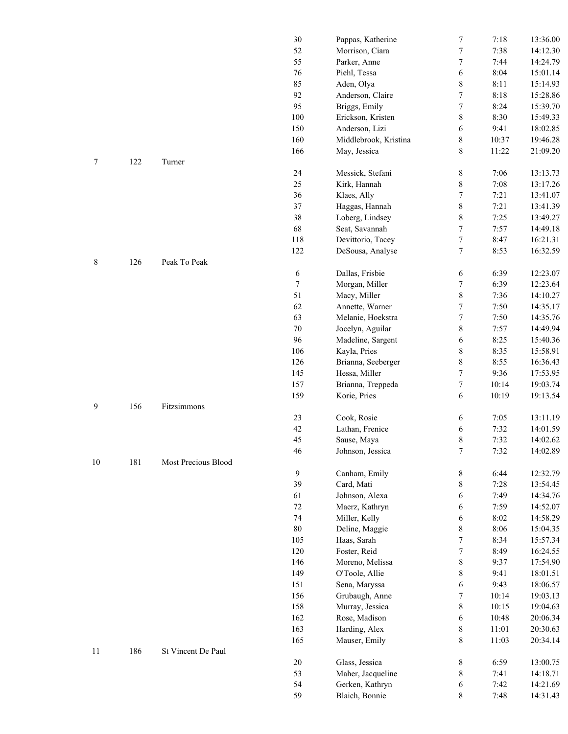|             |     |                     | 30     | Pappas, Katherine     | 7                | 7:18  | 13:36.00 |
|-------------|-----|---------------------|--------|-----------------------|------------------|-------|----------|
|             |     |                     | 52     | Morrison, Ciara       | $\boldsymbol{7}$ | 7:38  | 14:12.30 |
|             |     |                     | 55     | Parker, Anne          | $\boldsymbol{7}$ | 7:44  | 14:24.79 |
|             |     |                     | 76     | Piehl, Tessa          | 6                | 8:04  | 15:01.14 |
|             |     |                     | 85     | Aden, Olya            | $\,$ 8 $\,$      | 8:11  | 15:14.93 |
|             |     |                     | 92     | Anderson, Claire      | $\boldsymbol{7}$ | 8:18  | 15:28.86 |
|             |     |                     | 95     | Briggs, Emily         | $\boldsymbol{7}$ | 8:24  | 15:39.70 |
|             |     |                     | 100    | Erickson, Kristen     | $\,$ $\,$        | 8:30  | 15:49.33 |
|             |     |                     | 150    | Anderson, Lizi        | 6                | 9:41  | 18:02.85 |
|             |     |                     | 160    | Middlebrook, Kristina | $\,$ $\,$        | 10:37 | 19:46.28 |
|             |     |                     | 166    | May, Jessica          | 8                | 11:22 | 21:09.20 |
| 7           | 122 | Turner              |        |                       |                  |       |          |
|             |     |                     | 24     | Messick, Stefani      |                  | 7:06  | 13:13.73 |
|             |     |                     | 25     |                       | $\,$ 8 $\,$      | 7:08  |          |
|             |     |                     |        | Kirk, Hannah          | $\,8\,$          |       | 13:17.26 |
|             |     |                     | 36     | Klaes, Ally           | $\boldsymbol{7}$ | 7:21  | 13:41.07 |
|             |     |                     | 37     | Haggas, Hannah        | $\,$ $\,$        | 7:21  | 13:41.39 |
|             |     |                     | 38     | Loberg, Lindsey       | $\,$ $\,$        | 7:25  | 13:49.27 |
|             |     |                     | 68     | Seat, Savannah        | $\boldsymbol{7}$ | 7:57  | 14:49.18 |
|             |     |                     | 118    | Devittorio, Tacey     | $\boldsymbol{7}$ | 8:47  | 16:21.31 |
|             |     |                     | 122    | DeSousa, Analyse      | $\tau$           | 8:53  | 16:32.59 |
| $\,$ 8 $\,$ | 126 | Peak To Peak        |        |                       |                  |       |          |
|             |     |                     | 6      | Dallas, Frisbie       | 6                | 6:39  | 12:23.07 |
|             |     |                     | $\tau$ | Morgan, Miller        | $\boldsymbol{7}$ | 6:39  | 12:23.64 |
|             |     |                     | 51     | Macy, Miller          | $\,$ $\,$        | 7:36  | 14:10.27 |
|             |     |                     | 62     | Annette, Warner       | $\boldsymbol{7}$ | 7:50  | 14:35.17 |
|             |     |                     | 63     | Melanie, Hoekstra     | $\boldsymbol{7}$ | 7:50  | 14:35.76 |
|             |     |                     | $70\,$ | Jocelyn, Aguilar      | $\,$ $\,$        | 7:57  | 14:49.94 |
|             |     |                     | 96     | Madeline, Sargent     | 6                | 8:25  | 15:40.36 |
|             |     |                     | 106    | Kayla, Pries          | $\,$ 8 $\,$      | 8:35  | 15:58.91 |
|             |     |                     | 126    | Brianna, Seeberger    | $\,8\,$          | 8:55  | 16:36.43 |
|             |     |                     | 145    | Hessa, Miller         | $\boldsymbol{7}$ | 9:36  | 17:53.95 |
|             |     |                     | 157    | Brianna, Treppeda     | $\boldsymbol{7}$ | 10:14 | 19:03.74 |
|             |     |                     | 159    | Korie, Pries          | 6                | 10:19 | 19:13.54 |
| 9           | 156 | Fitzsimmons         |        |                       |                  |       |          |
|             |     |                     | 23     | Cook, Rosie           | 6                | 7:05  | 13:11.19 |
|             |     |                     | 42     | Lathan, Frenice       | 6                | 7:32  | 14:01.59 |
|             |     |                     | 45     | Sause, Maya           | $\,$ $\,$        | 7:32  | 14:02.62 |
|             |     |                     | 46     |                       | 7                | 7:32  | 14:02.89 |
| $10\,$      | 181 | Most Precious Blood |        | Johnson, Jessica      |                  |       |          |
|             |     |                     | 9      |                       |                  |       |          |
|             |     |                     |        | Canham, Emily         | $\,8\,$          | 6:44  | 12:32.79 |
|             |     |                     | 39     | Card, Mati            | $\,8\,$          | 7:28  | 13:54.45 |
|             |     |                     | 61     | Johnson, Alexa        | 6                | 7:49  | 14:34.76 |
|             |     |                     | 72     | Maerz, Kathryn        | 6                | 7:59  | 14:52.07 |
|             |     |                     | 74     | Miller, Kelly         | 6                | 8:02  | 14:58.29 |
|             |     |                     | $80\,$ | Deline, Maggie        | $\,8\,$          | 8:06  | 15:04.35 |
|             |     |                     | 105    | Haas, Sarah           | $\boldsymbol{7}$ | 8:34  | 15:57.34 |
|             |     |                     | 120    | Foster, Reid          | $\boldsymbol{7}$ | 8:49  | 16:24.55 |
|             |     |                     | 146    | Moreno, Melissa       | $\,$ $\,$        | 9:37  | 17:54.90 |
|             |     |                     | 149    | O'Toole, Allie        | $\,$ 8 $\,$      | 9:41  | 18:01.51 |
|             |     |                     | 151    | Sena, Maryssa         | 6                | 9:43  | 18:06.57 |
|             |     |                     | 156    | Grubaugh, Anne        | $\boldsymbol{7}$ | 10:14 | 19:03.13 |
|             |     |                     | 158    | Murray, Jessica       | $\,$ $\,$        | 10:15 | 19:04.63 |
|             |     |                     | 162    | Rose, Madison         | 6                | 10:48 | 20:06.34 |
|             |     |                     | 163    | Harding, Alex         | $8\,$            | 11:01 | 20:30.63 |
|             |     |                     | 165    | Mauser, Emily         | $\,$ 8 $\,$      | 11:03 | 20:34.14 |
| 11          | 186 | St Vincent De Paul  |        |                       |                  |       |          |
|             |     |                     | $20\,$ | Glass, Jessica        | 8                | 6:59  | 13:00.75 |
|             |     |                     | 53     | Maher, Jacqueline     | $8\,$            | 7:41  | 14:18.71 |
|             |     |                     | 54     | Gerken, Kathryn       | 6                | 7:42  | 14:21.69 |
|             |     |                     | 59     | Blaich, Bonnie        | 8                | 7:48  | 14:31.43 |
|             |     |                     |        |                       |                  |       |          |